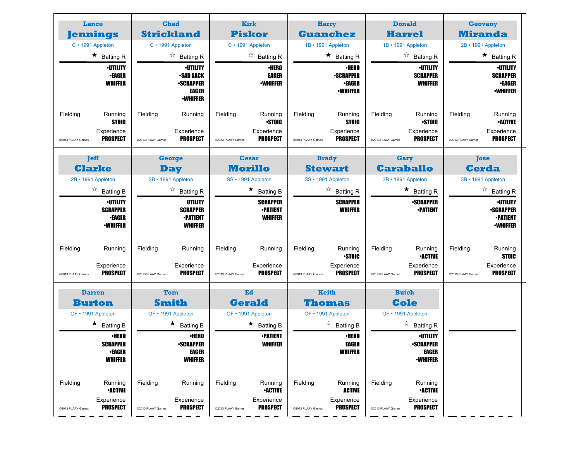| Lance                                                                     | <b>Chad</b>                                                                                | <b>Kirk</b><br>Harry                                                      |                                                                                           | <b>Donald</b>                                                                               | Geovany                                                                            |
|---------------------------------------------------------------------------|--------------------------------------------------------------------------------------------|---------------------------------------------------------------------------|-------------------------------------------------------------------------------------------|---------------------------------------------------------------------------------------------|------------------------------------------------------------------------------------|
| <b>Jennings</b>                                                           | <b>Strickland</b>                                                                          | <b>Piskor</b>                                                             | <b>Guanchez</b>                                                                           | <b>Harrel</b>                                                                               | <b>Miranda</b>                                                                     |
| C · 1991 Appleton                                                         | C · 1991 Appleton                                                                          | C · 1991 Appleton                                                         | 1B · 1991 Appleton                                                                        | 1B · 1991 Appleton                                                                          | 2B · 1991 Appleton                                                                 |
| $\star$ Batting R                                                         | $\overrightarrow{a}$ Batting R                                                             | $\overrightarrow{a}$ Batting R                                            | $\star$ Batting R                                                                         | $\overrightarrow{A}$ Batting R                                                              | $\star$ Batting R                                                                  |
| <b>·UTILITY</b><br>∙EAGER<br><b>WHIFFER</b>                               | <b><i>•UTILITY</i></b><br><b>•SAD SACK</b><br><b>•SCRAPPER</b><br>EAGER<br><b>-WHIFFER</b> | <b>·HERO</b><br><b>EAGER</b><br><b>-WHIFFER</b>                           | <b>•HERO</b><br><b>-SCRAPPER</b><br><b>•EAGER</b><br><b>-WHIFFER</b>                      | <b>•UTILITY</b><br><b>SCRAPPER</b><br><b>WHIFFER</b>                                        | ∙UTILITY<br><b>SCRAPPER</b><br><b>•EAGER</b><br><b>-WHIFFER</b>                    |
| Fielding<br>Running<br><b>STOIC</b>                                       | Fielding<br>Running                                                                        | Fielding<br>Running<br><b>STOIC</b>                                       | Fielding<br>Running<br><b>STOIC</b>                                                       | Fielding<br>Running<br><b>STOIC</b>                                                         | Fielding<br>Running<br><b>•ACTIVE</b>                                              |
| Experience<br><b>PROSPECT</b><br>@2013 PLAAY Games                        | Experience<br><b>PROSPECT</b><br>@2013 PLAAY Games                                         | Experience<br><b>PROSPECT</b><br>@2013 PLAAY Games                        | Experience<br><b>PROSPECT</b><br>@2013 PLAAY Games                                        | Experience<br>PROSPECT<br>@2013 PLAAY Games                                                 | Experience<br><b>PROSPECT</b><br>@2013 PLAAY Games                                 |
| <b>Jeff</b>                                                               | <b>George</b>                                                                              | <b>Cesar</b>                                                              | <b>Brady</b>                                                                              | Gary                                                                                        | <b>Tose</b>                                                                        |
| <b>Clarke</b>                                                             | <b>Day</b>                                                                                 | <b>Morillo</b>                                                            | <b>Stewart</b>                                                                            | <b>Caraballo</b>                                                                            | <b>Cerda</b>                                                                       |
| 2B • 1991 Appleton                                                        | 2B · 1991 Appleton                                                                         | SS · 1991 Appleton                                                        | SS · 1991 Appleton                                                                        | 3B · 1991 Appleton                                                                          | 3B • 1991 Appleton                                                                 |
| $\overrightarrow{a}$ Batting B                                            | $\overrightarrow{a}$ Batting R                                                             | $\star$ Batting B                                                         | $\overrightarrow{a}$ Batting R                                                            | $\star$ Batting R                                                                           | $\overrightarrow{a}$ Batting R                                                     |
| <b>·UTILITY</b><br><b>SCRAPPER</b><br>∙EAGER<br><b>-WHIFFER</b>           | UTILITY<br><b>SCRAPPER</b><br><b>•PATIENT</b><br><b>WHIFFER</b>                            | <b>SCRAPPER</b><br><b>-PATIENT</b><br><b>WHIFFER</b>                      | <b>SCRAPPER</b><br><b>WHIFFER</b>                                                         | <b>•SCRAPPER</b><br><b>•PATIENT</b>                                                         | ∙UTILITY<br><b>•SCRAPPER</b><br><b>•PATIENT</b><br><b>-WHIFFER</b>                 |
| Fielding<br>Running<br>Experience<br><b>PROSPECT</b><br>@2013 PLAAY Games | Fielding<br>Running<br>Experience<br><b>PROSPECT</b><br>@2013 PLAAY Games                  | Fielding<br>Running<br>Experience<br><b>PROSPECT</b><br>@2013 PLAAY Games | Fielding<br>Running<br><b>STOIC</b><br>Experience<br><b>PROSPECT</b><br>@2013 PLAAY Games | Fielding<br>Running<br><b>-ACTIVE</b><br>Experience<br><b>PROSPECT</b><br>@2013 PLAAY Games | Fielding<br>Running<br><b>STOIC</b><br>Experience<br>PROSPECT<br>@2013 PLAAY Games |
| <b>Darren</b>                                                             | Tom                                                                                        | Ed                                                                        | Keith                                                                                     | <b>Butch</b>                                                                                |                                                                                    |
| <b>Burton</b>                                                             | <b>Smith</b>                                                                               | <b>Gerald</b>                                                             | <b>Thomas</b>                                                                             | <b>Cole</b>                                                                                 |                                                                                    |
| OF • 1991 Appleton                                                        | OF • 1991 Appleton                                                                         | OF • 1991 Appleton                                                        | OF • 1991 Appleton                                                                        | OF • 1991 Appleton                                                                          |                                                                                    |
| $\star$ Batting B                                                         | $\star$ Batting B                                                                          | $\star$ Batting B                                                         | $\overrightarrow{a}$ Batting B                                                            | $\overrightarrow{a}$ Batting R                                                              |                                                                                    |
| ∙HERO<br><b>SCRAPPER</b>                                                  | ∙HERO<br><b>-SCRAPPER</b>                                                                  | <b>•PATIENT</b><br><b>WHIFFER</b>                                         | <b>·HERO</b><br><b>EAGER</b>                                                              | ∙UTILITY<br><b>-SCRAPPER</b>                                                                |                                                                                    |
| <b>•EAGER</b><br><b>WHIFFER</b>                                           | <b>EAGER</b><br><b>WHIFFER</b>                                                             |                                                                           | <b>WHIFFER</b>                                                                            | <b>EAGER</b><br><b>-WHIFFER</b>                                                             |                                                                                    |
| Fielding<br>Running<br><b>-ACTIVE</b>                                     | Fielding<br>Running                                                                        | Fielding<br>Running<br><b>-ACTIVE</b>                                     | Fielding<br>Running<br><b>ACTIVE</b>                                                      | Fielding<br>Running<br><b>-ACTIVE</b>                                                       |                                                                                    |
| Experience<br><b>PROSPECT</b><br>@2013 PLAAY Games                        | Experience<br><b>PROSPECT</b><br>@2013 PLAAY Games                                         | Experience<br><b>PROSPECT</b><br>@2013 PLAAY Games                        | Experience<br><b>PROSPECT</b><br>@2013 PLAAY Games                                        | Experience<br><b>PROSPECT</b><br>@2013 PLAAY Games                                          |                                                                                    |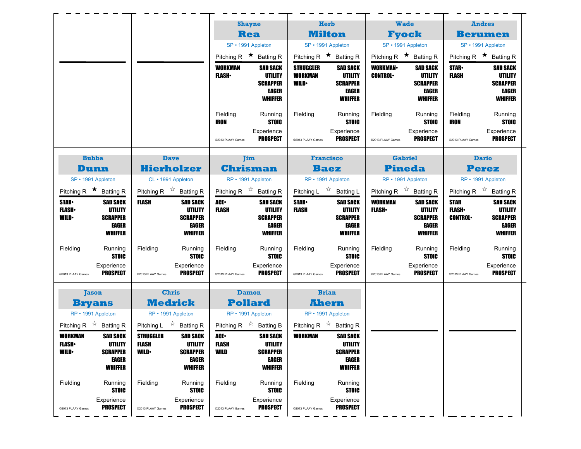|                                            |                                                                                 |                                  |                                                                                 |                                           | <b>Shayne</b>                                                                   | <b>Herb</b>                                       |                                                                                 | <b>Wade</b>                               |                                                                                 | <b>Andres</b>                                 |                                                                                 |
|--------------------------------------------|---------------------------------------------------------------------------------|----------------------------------|---------------------------------------------------------------------------------|-------------------------------------------|---------------------------------------------------------------------------------|---------------------------------------------------|---------------------------------------------------------------------------------|-------------------------------------------|---------------------------------------------------------------------------------|-----------------------------------------------|---------------------------------------------------------------------------------|
|                                            |                                                                                 |                                  |                                                                                 |                                           | <b>Rea</b>                                                                      | <b>Milton</b>                                     |                                                                                 | <b>Fyock</b>                              |                                                                                 | <b>Berumen</b>                                |                                                                                 |
|                                            |                                                                                 |                                  |                                                                                 |                                           | SP · 1991 Appleton                                                              | SP · 1991 Appleton                                |                                                                                 | SP · 1991 Appleton                        |                                                                                 | SP · 1991 Appleton                            |                                                                                 |
|                                            |                                                                                 |                                  |                                                                                 | Pitching R $\star$ Batting R              |                                                                                 | Pitching R $\star$ Batting R                      |                                                                                 | Pitching R $\star$ Batting R              |                                                                                 | Pitching R $\star$ Batting R                  |                                                                                 |
|                                            |                                                                                 |                                  |                                                                                 | <b>WORKMAN</b><br><b>FLASH</b>            | <b>SAD SACK</b><br>UTILITY<br><b>SCRAPPER</b><br>EAGER<br><b>WHIFFER</b>        | <b>STRUGGLER</b><br><b>WORKMAN</b><br><b>WILD</b> | <b>SAD SACK</b><br>UTILITY<br><b>SCRAPPER</b><br><b>EAGER</b><br><b>WHIFFER</b> | <b>WORKMAN</b><br><b>CONTROL</b>          | <b>SAD SACK</b><br>UTILITY<br><b>SCRAPPER</b><br>EAGER<br><b>WHIFFER</b>        | <b>STAR-</b><br><b>FLASH</b>                  | SAD SACK<br>UTILITY<br><b>SCRAPPER</b><br><b>EAGER</b><br><b>WHIFFER</b>        |
|                                            |                                                                                 |                                  |                                                                                 | Fielding<br>IRON                          | Running<br><b>STOIC</b><br>Experience                                           | Fielding                                          | Running<br><b>STOIC</b><br>Experience                                           | Fielding                                  | Running<br><b>STOIC</b><br>Experience                                           | Fielding<br>IRON                              | Running<br><b>STOIC</b><br>Experience                                           |
|                                            |                                                                                 |                                  |                                                                                 | @2013 PLAAY Games                         | <b>PROSPECT</b>                                                                 | @2013 PLAAY Games                                 | <b>PROSPECT</b>                                                                 | @2013 PLAAY Games                         | <b>PROSPECT</b>                                                                 | @2013 PLAAY Games                             | <b>PROSPECT</b>                                                                 |
|                                            | <b>Bubba</b>                                                                    |                                  | <b>Dave</b>                                                                     |                                           | <b>Jim</b>                                                                      | <b>Francisco</b>                                  |                                                                                 | <b>Gabriel</b>                            |                                                                                 | <b>Dario</b>                                  |                                                                                 |
|                                            | <b>Dunn</b>                                                                     |                                  | <b>Hierholzer</b>                                                               |                                           | <b>Chrisman</b>                                                                 | <b>Baez</b>                                       |                                                                                 |                                           | <b>Pineda</b>                                                                   | <b>Perez</b>                                  |                                                                                 |
|                                            | SP · 1991 Appleton                                                              |                                  | CL · 1991 Appleton                                                              |                                           | RP · 1991 Appleton                                                              | RP · 1991 Appleton                                |                                                                                 |                                           | RP · 1991 Appleton                                                              | RP · 1991 Appleton                            |                                                                                 |
|                                            | Pitching R $\star$ Batting R                                                    |                                  | Pitching R $\overrightarrow{x}$ Batting R                                       |                                           | Pitching R $\overrightarrow{x}$ Batting R                                       | Pitching L $\overrightarrow{x}$ Batting L         |                                                                                 | Pitching R $\overrightarrow{x}$ Batting R |                                                                                 | Pitching R $\overrightarrow{x}$ Batting R     |                                                                                 |
| <b>STAR</b><br><b>FLASH</b><br><b>WILD</b> | <b>SAD SACK</b><br><b>UTILITY</b><br><b>SCRAPPER</b><br>EAGER<br><b>WHIFFER</b> | FLASH                            | <b>SAD SACK</b><br>UTILITY<br><b>SCRAPPER</b><br><b>EAGER</b><br><b>WHIFFER</b> | ACE.<br><b>FLASH</b>                      | <b>SAD SACK</b><br><b>UTILITY</b><br><b>SCRAPPER</b><br>EAGER<br><b>WHIFFER</b> | <b>STAR</b><br><b>FLASH</b>                       | <b>SAD SACK</b><br>UTILITY<br><b>SCRAPPER</b><br><b>EAGER</b><br><b>WHIFFER</b> | <b>WORKMAN</b><br><b>FLASH</b>            | <b>SAD SACK</b><br>UTILITY<br><b>SCRAPPER</b><br><b>EAGER</b><br><b>WHIFFER</b> | <b>STAR</b><br><b>FLASH</b><br><b>CONTROL</b> | <b>SAD SACK</b><br>UTILITY<br><b>SCRAPPER</b><br><b>EAGER</b><br><b>WHIFFER</b> |
| Fielding<br>@2013 PLAAY Games              | Running<br><b>STOIC</b><br>Experience<br><b>PROSPECT</b>                        | Fielding<br>@2013 PLAAY Games    | Running<br><b>STOIC</b><br>Experience<br><b>PROSPECT</b>                        | Fielding<br>@2013 PLAAY Games             | Running<br><b>STOIC</b><br>Experience<br><b>PROSPECT</b>                        | Fielding<br>@2013 PLAAY Games                     | Running<br><b>STOIC</b><br>Experience<br>PROSPECT                               | Fielding<br>@2013 PLAAY Games             | Running<br><b>STOIC</b><br>Experience<br><b>PROSPECT</b>                        | Fielding<br>@2013 PLAAY Games                 | Running<br><b>STOIC</b><br>Experience<br><b>PROSPECT</b>                        |
|                                            |                                                                                 |                                  | <b>Chris</b>                                                                    |                                           | <b>Damon</b>                                                                    | <b>Brian</b>                                      |                                                                                 |                                           |                                                                                 |                                               |                                                                                 |
|                                            | <b>Jason</b><br><b>Bryans</b>                                                   |                                  | <b>Medrick</b>                                                                  |                                           | <b>Pollard</b>                                                                  | <b>Ahern</b>                                      |                                                                                 |                                           |                                                                                 |                                               |                                                                                 |
|                                            | RP • 1991 Appleton                                                              |                                  | RP · 1991 Appleton                                                              |                                           | RP • 1991 Appleton                                                              | RP · 1991 Appleton                                |                                                                                 |                                           |                                                                                 |                                               |                                                                                 |
|                                            | Pitching R $\overrightarrow{x}$ Batting R                                       |                                  | Pitching L $\overrightarrow{x}$ Batting R                                       | Pitching R $\overrightarrow{A}$ Batting B |                                                                                 | Pitching R $\overrightarrow{x}$ Batting R         |                                                                                 |                                           |                                                                                 |                                               |                                                                                 |
| WORKMAN<br><b>FLASH</b>                    | <b>SAD SACK</b><br>UTILITY                                                      | <b>STRUGGLER</b><br><b>FLASH</b> | <b>SAD SACK</b><br>UTILITY                                                      | ACE-<br><b>FLASH</b><br>WILD              | <b>SAD SACK</b><br>UTILITY<br><b>SCRAPPER</b>                                   | <b>WORKMAN</b>                                    | <b>SAD SACK</b><br>UTILITY<br><b>SCRAPPER</b>                                   |                                           |                                                                                 |                                               |                                                                                 |
|                                            | <b>SCRAPPER</b><br>EAGER<br><b>WHIFFER</b>                                      | <b>WILD</b>                      | <b>SCRAPPER</b><br>EAGER<br><b>WHIFFER</b>                                      |                                           | EAGER<br><b>WHIFFER</b>                                                         |                                                   | EAGER<br><b>WHIFFER</b>                                                         |                                           |                                                                                 |                                               |                                                                                 |
| <b>WILD</b><br>Fielding                    | Running<br><b>STOIC</b>                                                         | Fielding                         | Running<br><b>STOIC</b>                                                         | Fielding                                  | Running<br><b>STOIC</b>                                                         | Fielding                                          | Running<br><b>STOIC</b>                                                         |                                           |                                                                                 |                                               |                                                                                 |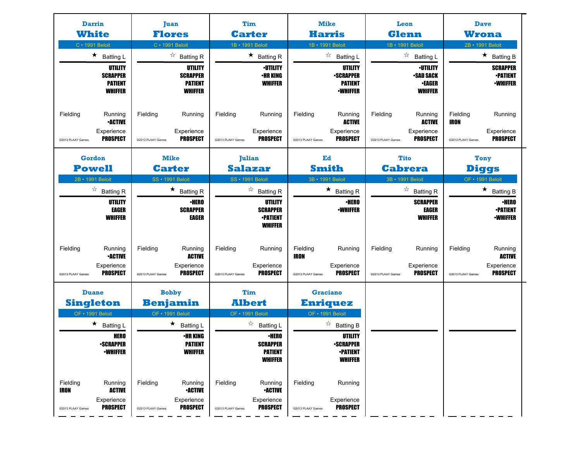| <b>Darrin</b><br><b>White</b><br>C · 1991 Beloit                                                          | <b>Juan</b><br><b>Flores</b><br>C · 1991 Beloit                                             | Tim<br><b>Carter</b><br>1B · 1991 Beloit                                                    | <b>Mike</b><br><b>Harris</b><br>1B · 1991 Beloit                                  | Leon<br><b>Glenn</b><br>1B · 1991 Beloit                                  | <b>Dave</b><br><b>Wrona</b><br>2B · 1991 Beloit                                            |
|-----------------------------------------------------------------------------------------------------------|---------------------------------------------------------------------------------------------|---------------------------------------------------------------------------------------------|-----------------------------------------------------------------------------------|---------------------------------------------------------------------------|--------------------------------------------------------------------------------------------|
| $\star$ Batting L                                                                                         | $\overrightarrow{a}$ Batting R                                                              | $\star$ Batting R                                                                           | $\overrightarrow{a}$ Batting L                                                    | ☆<br><b>Batting L</b>                                                     | $\star$ Batting B                                                                          |
| UTILITY<br><b>SCRAPPER</b><br><b>PATIENT</b><br><b>WHIFFER</b>                                            | UTILITY<br><b>SCRAPPER</b><br><b>PATIENT</b><br><b>WHIFFER</b>                              | <b>•UTILITY</b><br><b>•HR KING</b><br><b>WHIFFER</b>                                        | UTILITY<br><b>•SCRAPPER</b><br><b>PATIENT</b><br><b>·WHIFFER</b>                  | <b>·UTILITY</b><br><b>•SAD SACK</b><br><b>•EAGER</b><br><b>WHIFFER</b>    | <b>SCRAPPER</b><br><b>-PATIENT</b><br><b>•WHIFFER</b>                                      |
| Fielding<br>Running<br><b>•ACTIVE</b>                                                                     | Fielding<br>Running                                                                         | Fielding<br>Running                                                                         | Fielding<br>Running<br><b>ACTIVE</b>                                              | Fielding<br>Running<br><b>ACTIVE</b>                                      | Fielding<br>Running<br><b>IRON</b>                                                         |
| Experience<br><b>PROSPECT</b><br>@2013 PLAAY Games                                                        | Experience<br>PROSPECT<br>@2013 PLAAY Games                                                 | Experience<br>PROSPECT<br>@2013 PLAAY Games                                                 | Experience<br><b>PROSPECT</b><br>@2013 PLAAY Games                                | Experience<br><b>PROSPECT</b><br>@2013 PLAAY Games                        | Experience<br>PROSPECT<br>@2013 PLAAY Games                                                |
| <b>Gordon</b>                                                                                             | <b>Mike</b>                                                                                 | Julian                                                                                      | Ed                                                                                | Tito                                                                      | Tony                                                                                       |
| <b>Powell</b>                                                                                             | <b>Carter</b>                                                                               | <b>Salazar</b>                                                                              | <b>Smith</b>                                                                      | <b>Cabrera</b>                                                            | <b>Diggs</b>                                                                               |
| 2B · 1991 Beloit<br>$\overrightarrow{a}$ Batting R                                                        | <b>SS · 1991 Beloit</b><br>$\star$ Batting R                                                | SS · 1991 Beloit<br>$\overrightarrow{a}$ Batting R                                          | 3B · 1991 Beloit<br>$\star$ Batting R                                             | 3B · 1991 Beloit<br>$\overrightarrow{A}$ Batting R                        | OF · 1991 Beloit<br>$\star$ Batting B                                                      |
| UTILITY<br><b>EAGER</b><br><b>WHIFFER</b>                                                                 | <b>•HERO</b><br><b>SCRAPPER</b><br>EAGER                                                    | UTILITY<br><b>SCRAPPER</b><br><b>-PATIENT</b><br><b>WHIFFER</b>                             | <b>·HERO</b><br><b>-WHIFFER</b>                                                   | <b>SCRAPPER</b><br>EAGER<br><b>WHIFFER</b>                                | <b>•HERO</b><br><b>•PATIENT</b><br><b>•WHIFFER</b>                                         |
| Fielding<br>Running<br><b>•ACTIVE</b><br>Experience<br><b>PROSPECT</b><br>@2013 PLAAY Games               | Fielding<br>Running<br><b>ACTIVE</b><br>Experience<br><b>PROSPECT</b><br>@2013 PLAAY Games  | Fielding<br>Running<br>Experience<br><b>PROSPECT</b><br>@2013 PLAAY Games                   | Fielding<br>Running<br>IRON<br>Experience<br><b>PROSPECT</b><br>@2013 PLAAY Games | Fielding<br>Running<br>Experience<br><b>PROSPECT</b><br>@2013 PLAAY Games | Fielding<br>Running<br><b>ACTIVE</b><br>Experience<br><b>PROSPECT</b><br>@2013 PLAAY Games |
| <b>Duane</b>                                                                                              | <b>Bobby</b>                                                                                | Tim                                                                                         | <b>Graciano</b>                                                                   |                                                                           |                                                                                            |
| <b>Singleton</b>                                                                                          | <b>Benjamin</b>                                                                             | <b>Albert</b>                                                                               | <b>Enriquez</b>                                                                   |                                                                           |                                                                                            |
| OF · 1991 Beloit<br>$\star$ Batting L                                                                     | OF • 1991 Beloit<br>$\star$ Batting L                                                       | OF · 1991 Beloit<br>$\overrightarrow{a}$ Batting L                                          | OF · 1991 Beloit<br>$\overrightarrow{a}$ Batting B                                |                                                                           |                                                                                            |
| <b>HERO</b><br><b>-SCRAPPER</b><br><b>-WHIFFER</b>                                                        | <b>•HR KING</b><br><b>PATIENT</b><br><b>WHIFFER</b>                                         | ∙HERO<br><b>SCRAPPER</b><br><b>PATIENT</b><br><b>WHIFFER</b>                                | UTILITY<br><b>-SCRAPPER</b><br><b>•PATIENT</b><br><b>WHIFFER</b>                  |                                                                           |                                                                                            |
| Fielding<br>Running<br><b>IRON</b><br><b>ACTIVE</b><br>Experience<br><b>PROSPECT</b><br>@2013 PLAAY Games | Fielding<br>Running<br><b>-ACTIVE</b><br>Experience<br><b>PROSPECT</b><br>@2013 PLAAY Games | Fielding<br>Running<br><b>•ACTIVE</b><br>Experience<br><b>PROSPECT</b><br>@2013 PLAAY Games | Fielding<br>Running<br>Experience<br><b>PROSPECT</b><br>@2013 PLAAY Games         |                                                                           |                                                                                            |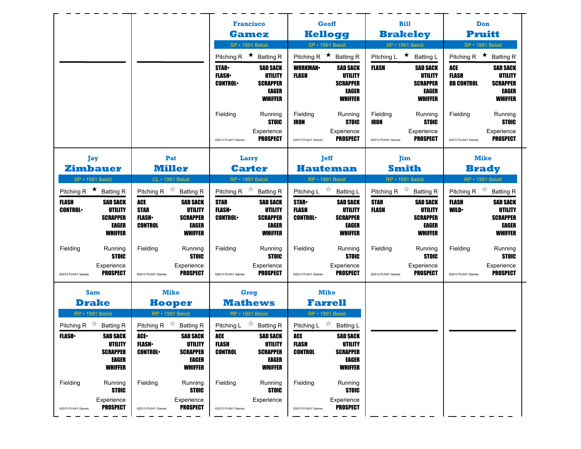|                                           |                                                                                 |                                                             |                                                                                 |                                               | <b>Francisco</b>                                                                |                                               | <b>Geoff</b>                                                                    |                                           | <b>Bill</b>                                                                            | Don                                             |                                                                                 |
|-------------------------------------------|---------------------------------------------------------------------------------|-------------------------------------------------------------|---------------------------------------------------------------------------------|-----------------------------------------------|---------------------------------------------------------------------------------|-----------------------------------------------|---------------------------------------------------------------------------------|-------------------------------------------|----------------------------------------------------------------------------------------|-------------------------------------------------|---------------------------------------------------------------------------------|
|                                           |                                                                                 |                                                             |                                                                                 |                                               | <b>Gamez</b>                                                                    | <b>Kellogg</b>                                |                                                                                 |                                           | <b>Brakeley</b>                                                                        | <b>Pruitt</b>                                   |                                                                                 |
|                                           |                                                                                 |                                                             |                                                                                 |                                               | SP · 1991 Beloit                                                                | <b>SP · 1991 Beloit</b>                       |                                                                                 | SP · 1991 Beloit                          |                                                                                        | SP · 1991 Beloit                                |                                                                                 |
|                                           |                                                                                 |                                                             |                                                                                 |                                               | Pitching R $\star$ Batting R                                                    | Pitching R $\star$ Batting R                  |                                                                                 | Pitching L ★ Batting L                    |                                                                                        | Pitching R $\star$ Batting R                    |                                                                                 |
|                                           |                                                                                 |                                                             |                                                                                 | <b>STAR</b><br><b>FLASH</b><br><b>CONTROL</b> | <b>SAD SACK</b><br><b>UTILITY</b><br><b>SCRAPPER</b><br>EAGER<br><b>WHIFFER</b> | <b>WORKMAN-</b><br><b>FLASH</b>               | <b>SAD SACK</b><br>UTILITY<br><b>SCRAPPER</b><br>EAGER<br><b>WHIFFER</b>        | <b>FLASH</b>                              | <b>SAD SACK</b><br>UTILITY<br><b>SCRAPPER</b><br>EAGER<br><b>WHIFFER</b>               | <b>ACE</b><br><b>FLASH</b><br><b>DB CONTROL</b> | <b>SAD SACK</b><br>UTILITY<br><b>SCRAPPER</b><br><b>EAGER</b><br><b>WHIFFER</b> |
|                                           |                                                                                 |                                                             |                                                                                 | Fielding                                      | Running<br><b>STOIC</b>                                                         | Fielding<br>IRON                              | Running<br><b>STOIC</b>                                                         | Fielding<br><b>IRON</b>                   | Running<br><b>STOIC</b>                                                                | Fielding                                        | Running<br><b>STOIC</b>                                                         |
|                                           |                                                                                 |                                                             |                                                                                 | @2013 PLAAY Games                             | Experience<br><b>PROSPECT</b>                                                   | @2013 PLAAY Games                             | Experience<br><b>PROSPECT</b>                                                   | @2013 PLAAY Games                         | Experience<br><b>PROSPECT</b>                                                          | @2013 PLAAY Games                               | Experience<br><b>PROSPECT</b>                                                   |
| Jay                                       |                                                                                 |                                                             | Pat                                                                             |                                               | Larry                                                                           |                                               | <b>Jeff</b>                                                                     |                                           | Jim                                                                                    | <b>Mike</b>                                     |                                                                                 |
| <b>Zimbauer</b>                           |                                                                                 |                                                             | <b>Miller</b>                                                                   |                                               | <b>Carter</b>                                                                   | <b>Hauteman</b>                               |                                                                                 | <b>Smith</b>                              |                                                                                        | <b>Brady</b>                                    |                                                                                 |
| <b>SP · 1991 Beloit</b>                   |                                                                                 |                                                             | <b>CL</b> • 1991 Beloit                                                         |                                               | RP · 1991 Beloit                                                                | RP · 1991 Beloit                              |                                                                                 | RP · 1991 Beloit                          |                                                                                        | RP · 1991 Beloit                                |                                                                                 |
| Pitching R $\star$ Batting R              |                                                                                 |                                                             | Pitching R $\overrightarrow{x}$ Batting R                                       |                                               | Pitching R $\overrightarrow{x}$ Batting R                                       | Pitching L $\overrightarrow{x}$ Batting L     |                                                                                 | Pitching R $\overrightarrow{x}$ Batting R |                                                                                        | Pitching R $\overrightarrow{x}$ Batting R       |                                                                                 |
| <b>FLASH</b><br><b>CONTROL</b>            | <b>SAD SACK</b><br><b>UTILITY</b><br><b>SCRAPPER</b><br>EAGER<br><b>WHIFFER</b> | <b>ACE</b><br><b>STAR</b><br><b>FLASH</b><br><b>CONTROL</b> | <b>SAD SACK</b><br><b>UTILITY</b><br><b>SCRAPPER</b><br>EAGER<br><b>WHIFFER</b> | <b>STAR</b><br><b>FLASH</b><br><b>CONTROL</b> | <b>SAD SACK</b><br><b>UTILITY</b><br><b>SCRAPPER</b><br>EAGER<br><b>WHIFFER</b> | <b>STAR</b><br><b>FLASH</b><br><b>CONTROL</b> | <b>SAD SACK</b><br>UTILITY<br><b>SCRAPPER</b><br><b>EAGER</b><br><b>WHIFFER</b> | <b>STAR</b><br><b>FLASH</b>               | <b>SAD SACK</b><br><b>UTILITY</b><br><b>SCRAPPER</b><br><b>EAGER</b><br><b>WHIFFER</b> | <b>FLASH</b><br><b>WILD</b>                     | <b>SAD SACK</b><br>UTILITY<br><b>SCRAPPER</b><br><b>EAGER</b><br><b>WHIFFER</b> |
| Fielding                                  | Running<br><b>STOIC</b><br>Experience<br><b>PROSPECT</b>                        | Fielding                                                    | Running<br><b>STOIC</b><br>Experience<br><b>PROSPECT</b>                        | Fielding                                      | Running<br><b>STOIC</b><br>Experience<br><b>PROSPECT</b>                        | Fielding                                      | Running<br><b>STOIC</b><br>Experience<br><b>PROSPECT</b>                        | Fielding<br>@2013 PLAAY Games             | Running<br><b>STOIC</b><br>Experience<br><b>PROSPECT</b>                               | Fielding<br>@2013 PLAAY Games                   | Running<br><b>STOIC</b><br>Experience<br><b>PROSPECT</b>                        |
| @2013 PLAAY Games                         |                                                                                 | @2013 PLAAY Games                                           |                                                                                 | @2013 PLAAY Games                             |                                                                                 | @2013 PLAAY Games                             |                                                                                 |                                           |                                                                                        |                                                 |                                                                                 |
| <b>Sam</b>                                |                                                                                 |                                                             | <b>Mike</b>                                                                     |                                               | Greg                                                                            | <b>Mike</b>                                   |                                                                                 |                                           |                                                                                        |                                                 |                                                                                 |
| <b>Drake</b>                              |                                                                                 |                                                             | <b>Hooper</b>                                                                   |                                               | <b>Mathews</b>                                                                  | <b>Farrell</b>                                |                                                                                 |                                           |                                                                                        |                                                 |                                                                                 |
| RP · 1991 Beloit                          |                                                                                 |                                                             | RP · 1991 Beloit                                                                |                                               | RP · 1991 Beloit                                                                | RP · 1991 Beloit                              |                                                                                 |                                           |                                                                                        |                                                 |                                                                                 |
| Pitching R $\overrightarrow{x}$ Batting R |                                                                                 |                                                             | Pitching R $\overrightarrow{A}$ Batting R                                       |                                               | Pitching L $\overrightarrow{2}$ Batting R                                       | Pitching L $\overrightarrow{x}$ Batting L     |                                                                                 |                                           |                                                                                        |                                                 |                                                                                 |
| <b>FLASH</b> •                            | <b>SAD SACK</b><br>UTILITY                                                      | ACE.<br><b>FLASH</b>                                        | <b>SAD SACK</b><br>UTILITY                                                      | ACE<br><b>FLASH</b>                           | <b>SAD SACK</b><br>UTILITY                                                      | ACE<br><b>FLASH</b>                           | <b>SAD SACK</b><br>UTILITY                                                      |                                           |                                                                                        |                                                 |                                                                                 |
|                                           | <b>SCRAPPER</b><br>EAGER<br><b>WHIFFER</b>                                      | <b>CONTROL</b>                                              | <b>SCRAPPER</b><br>EAGER<br><b>WHIFFER</b>                                      | <b>CONTROL</b>                                | <b>SCRAPPER</b><br>EAGER<br><b>WHIFFER</b>                                      | CONTROL                                       | <b>SCRAPPER</b><br>EAGER<br><b>WHIFFER</b>                                      |                                           |                                                                                        |                                                 |                                                                                 |
| Fielding                                  |                                                                                 |                                                             |                                                                                 |                                               |                                                                                 | Fielding                                      | Running                                                                         |                                           |                                                                                        |                                                 |                                                                                 |
|                                           | Running<br><b>STOIC</b>                                                         | Fielding                                                    | Running<br><b>STOIC</b>                                                         | Fielding                                      | Running<br><b>STOIC</b>                                                         |                                               | <b>STOIC</b>                                                                    |                                           |                                                                                        |                                                 |                                                                                 |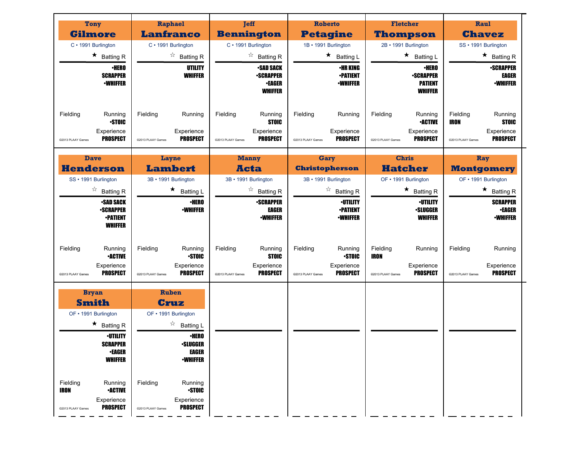| <b>Tony</b><br><b>Gilmore</b><br>C · 1991 Burlington<br>$\star$ Batting R<br><b>•HERO</b><br><b>SCRAPPER</b><br><b>-WHIFFER</b>                                                                                                                           | Raphael<br><b>Lanfranco</b><br>C · 1991 Burlington<br>$\overrightarrow{a}$ Batting R<br>UTILITY<br><b>WHIFFER</b>                                                                                                                          | <b>Jeff</b><br><b>Bennington</b><br>C · 1991 Burlington<br>$\overrightarrow{a}$ Batting R<br><b>-SAD SACK</b><br><b>-SCRAPPER</b><br><b>•EAGER</b> | <b>Roberto</b><br><b>Petagine</b><br>1B · 1991 Burlington<br>$\star$ Batting L<br><b>•HR KING</b><br><b>-PATIENT</b><br><b><i>•WHIFFER</i></b>          | <b>Fletcher</b><br><b>Thompson</b><br>2B · 1991 Burlington<br>$\star$ Batting L<br><b>·HERO</b><br><b>-SCRAPPER</b><br><b>PATIENT</b> | Raul<br><b>Chavez</b><br>SS · 1991 Burlington<br>$\star$ Batting R<br><b>-SCRAPPER</b><br>EAGER<br><b>-WHIFFER</b>    |
|-----------------------------------------------------------------------------------------------------------------------------------------------------------------------------------------------------------------------------------------------------------|--------------------------------------------------------------------------------------------------------------------------------------------------------------------------------------------------------------------------------------------|----------------------------------------------------------------------------------------------------------------------------------------------------|---------------------------------------------------------------------------------------------------------------------------------------------------------|---------------------------------------------------------------------------------------------------------------------------------------|-----------------------------------------------------------------------------------------------------------------------|
| Fielding<br>Running<br><b>STOIC</b><br>Experience<br><b>PROSPECT</b><br>@2013 PLAAY Games                                                                                                                                                                 | Fielding<br>Running<br>Experience<br><b>PROSPECT</b><br>@2013 PLAAY Games                                                                                                                                                                  | <b>WHIFFER</b><br>Fielding<br>Running<br><b>STOIC</b><br>Experience<br><b>PROSPECT</b><br>@2013 PLAAY Games                                        | Fielding<br>Running<br>Experience<br><b>PROSPECT</b><br>@2013 PLAAY Games                                                                               | <b>WHIFFER</b><br>Fielding<br>Running<br><b>-ACTIVE</b><br>Experience<br><b>PROSPECT</b><br>@2013 PLAAY Games                         | Fielding<br>Running<br><b>IRON</b><br><b>STOIC</b><br>Experience<br><b>PROSPECT</b><br>@2013 PLAAY Games              |
| <b>Dave</b><br><b>Henderson</b><br>SS · 1991 Burlington<br>$\overrightarrow{a}$ Batting R<br><b>-SAD SACK</b><br><b>•SCRAPPER</b><br><b>•PATIENT</b><br><b>WHIFFER</b>                                                                                    | Layne<br><b>Lambert</b><br>3B · 1991 Burlington<br>$\star$ Batting L<br>∙HERO<br><b>-WHIFFER</b>                                                                                                                                           | <b>Manny</b><br><b>Acta</b><br>3B · 1991 Burlington<br>$\overrightarrow{a}$ Batting R<br><b>-SCRAPPER</b><br>EAGER<br><b>-WHIFFER</b>              | Gary<br><b>Christopherson</b><br>3B · 1991 Burlington<br>$\overrightarrow{a}$ Batting R<br><b><i>•UTILITY</i></b><br><b>-PATIENT</b><br><b>•WHIFFER</b> | <b>Chris</b><br><b>Hatcher</b><br>OF • 1991 Burlington<br>$\star$ Batting R<br><b>-UTILITY</b><br><b>•SLUGGER</b><br><b>WHIFFER</b>   | Ray<br><b>Montgomery</b><br>OF • 1991 Burlington<br>$\star$ Batting R<br><b>SCRAPPER</b><br>∙EAGER<br><b>-WHIFFER</b> |
| Fielding<br>Running<br><b>•ACTIVE</b><br>Experience<br><b>PROSPECT</b><br>@2013 PLAAY Games                                                                                                                                                               | Fielding<br>Running<br><b>STOIC</b><br>Experience<br><b>PROSPECT</b><br>@2013 PLAAY Games                                                                                                                                                  | Fielding<br>Running<br><b>STOIC</b><br>Experience<br><b>PROSPECT</b><br>@2013 PLAAY Games                                                          | Fielding<br>Running<br><b>STOIC</b><br>Experience<br><b>PROSPECT</b><br>@2013 PLAAY Games                                                               | Fielding<br>Running<br><b>IRON</b><br>Experience<br><b>PROSPECT</b><br>@2013 PLAAY Games                                              | Fielding<br>Running<br>Experience<br><b>PROSPECT</b><br>@2013 PLAAY Games                                             |
| <b>Bryan</b><br><b>Smith</b><br>OF • 1991 Burlington<br>$\star$ Batting R<br><b>·UTILITY</b><br><b>SCRAPPER</b><br>∙EAGER<br><b>WHIFFER</b><br>Fielding<br>Running<br><b>IRON</b><br><b>•ACTIVE</b><br>Experience<br><b>PROSPECT</b><br>@2013 PLAAY Games | Ruben<br>Cruz<br>OF • 1991 Burlington<br>$\overrightarrow{a}$ Batting L<br><b>·HERO</b><br><b>•SLUGGER</b><br><b>EAGER</b><br><b>-WHIFFER</b><br>Fielding<br>Running<br><b>STOIC</b><br>Experience<br><b>PROSPECT</b><br>@2013 PLAAY Games |                                                                                                                                                    |                                                                                                                                                         |                                                                                                                                       |                                                                                                                       |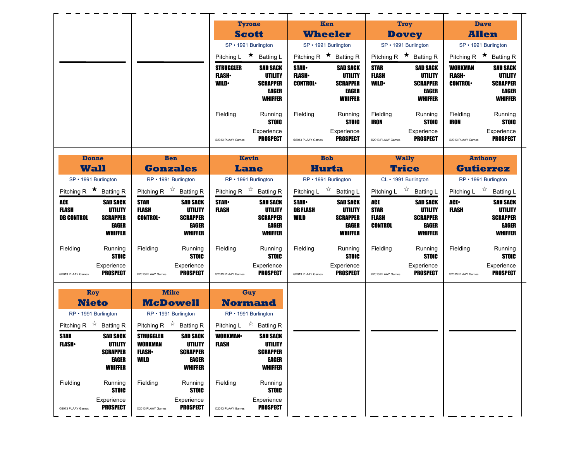|                                                                                                                                                        |                                                                                                                                                                              | <b>Tyrone</b>                                             |                                                                          | <b>Ken</b>                                    |                                                                          | Trov                                                 |                                                                          |                                                    | <b>Dave</b>                                                                     |
|--------------------------------------------------------------------------------------------------------------------------------------------------------|------------------------------------------------------------------------------------------------------------------------------------------------------------------------------|-----------------------------------------------------------|--------------------------------------------------------------------------|-----------------------------------------------|--------------------------------------------------------------------------|------------------------------------------------------|--------------------------------------------------------------------------|----------------------------------------------------|---------------------------------------------------------------------------------|
|                                                                                                                                                        |                                                                                                                                                                              | <b>Scott</b>                                              |                                                                          | <b>Wheeler</b>                                |                                                                          | <b>Dovey</b>                                         |                                                                          |                                                    | <b>Allen</b>                                                                    |
|                                                                                                                                                        |                                                                                                                                                                              | SP · 1991 Burlington                                      |                                                                          | SP • 1991 Burlington                          |                                                                          | SP • 1991 Burlington                                 |                                                                          |                                                    | SP · 1991 Burlington                                                            |
|                                                                                                                                                        |                                                                                                                                                                              | Pitching L $\star$ Batting L                              |                                                                          | Pitching R $\star$ Batting R                  |                                                                          | Pitching R $\star$ Batting R                         |                                                                          |                                                    | Pitching R $\star$ Batting R                                                    |
|                                                                                                                                                        |                                                                                                                                                                              | <b>STRUGGLER</b><br><b>FLASH</b><br><b>WILD</b>           | <b>SAD SACK</b><br>UTILITY<br><b>SCRAPPER</b><br>EAGER<br><b>WHIFFER</b> | <b>STAR</b><br><b>FLASH</b><br><b>CONTROL</b> | <b>SAD SACK</b><br>UTILITY<br><b>SCRAPPER</b><br>EAGER<br><b>WHIFFER</b> | <b>STAR</b><br><b>FLASH</b><br><b>WILD</b>           | <b>SAD SACK</b><br>UTILITY<br><b>SCRAPPER</b><br>EAGER<br><b>WHIFFER</b> | <b>WORKMAN</b><br><b>FLASH</b> •<br><b>CONTROL</b> | <b>SAD SACK</b><br>UTILITY<br><b>SCRAPPER</b><br><b>EAGER</b><br><b>WHIFFER</b> |
|                                                                                                                                                        |                                                                                                                                                                              | Fielding<br>@2013 PLAAY Games                             | Running<br><b>STOIC</b><br>Experience<br><b>PROSPECT</b>                 | Fielding<br>@2013 PLAAY Games                 | Running<br><b>STOIC</b><br>Experience<br><b>PROSPECT</b>                 | Fielding<br>IRON<br>@2013 PLAAY Games                | Running<br><b>STOIC</b><br>Experience<br><b>PROSPECT</b>                 | Fielding<br>IRON<br>@2013 PLAAY Games              | Running<br><b>STOIC</b><br>Experience<br><b>PROSPECT</b>                        |
| <b>Donne</b><br><b>Wall</b>                                                                                                                            | <b>Ben</b><br><b>Gonzales</b>                                                                                                                                                | <b>Kevin</b><br><b>Lane</b>                               |                                                                          | <b>Bob</b><br><b>Hurta</b>                    |                                                                          | <b>Wally</b><br><b>Trice</b>                         |                                                                          |                                                    | <b>Anthony</b><br><b>Gutierrez</b>                                              |
| SP · 1991 Burlington                                                                                                                                   | RP · 1991 Burlington                                                                                                                                                         | RP • 1991 Burlington                                      |                                                                          | RP • 1991 Burlington                          |                                                                          | CL · 1991 Burlington                                 |                                                                          |                                                    | RP • 1991 Burlington                                                            |
| Pitching R $\star$ Batting R                                                                                                                           | Pitching R $\overrightarrow{x}$ Batting R                                                                                                                                    | Pitching R $\overrightarrow{x}$ Batting R                 |                                                                          | Pitching L $\overrightarrow{x}$ Batting L     |                                                                          | Pitching L $\vec{X}$ Batting L                       |                                                                          |                                                    | Pitching L $\vec{r}$ Batting L                                                  |
| ACE<br><b>SAD SACK</b><br><b>UTILITY</b><br><b>FLASH</b><br><b>SCRAPPER</b><br><b>DB CONTROL</b><br><b>EAGER</b><br><b>WHIFFER</b>                     | <b>STAR</b><br><b>SAD SACK</b><br><b>FLASH</b><br>UTILITY<br><b>SCRAPPER</b><br><b>CONTROL</b><br>EAGER<br><b>WHIFFER</b>                                                    | <b>STAR-</b><br><b>FLASH</b>                              | <b>SAD SACK</b><br>UTILITY<br><b>SCRAPPER</b><br>EAGER<br><b>WHIFFER</b> | <b>STAR</b><br><b>DB FLASH</b><br>WILD        | <b>SAD SACK</b><br>UTILITY<br><b>SCRAPPER</b><br>EAGER<br><b>WHIFFER</b> | ACE<br><b>STAR</b><br><b>FLASH</b><br><b>CONTROL</b> | <b>SAD SACK</b><br>UTILITY<br><b>SCRAPPER</b><br>EAGER<br><b>WHIFFER</b> | ACE-<br><b>FLASH</b>                               | <b>SAD SACK</b><br>UTILITY<br><b>SCRAPPER</b><br><b>EAGER</b><br><b>WHIFFER</b> |
| Fielding<br>Running<br><b>STOIC</b>                                                                                                                    | Fielding<br>Running<br><b>STOIC</b>                                                                                                                                          | Fielding                                                  | Running<br><b>STOIC</b>                                                  | Fielding                                      | Running<br><b>STOIC</b>                                                  | Fielding                                             | Running<br><b>STOIC</b>                                                  | Fielding                                           | Running<br><b>STOIC</b>                                                         |
| Experience<br><b>PROSPECT</b><br>@2013 PLAAY Games                                                                                                     | Experience<br><b>PROSPECT</b><br>@2013 PLAAY Games                                                                                                                           | @2013 PLAAY Games                                         | Experience<br><b>PROSPECT</b>                                            | @2013 PLAAY Games                             | Experience<br><b>PROSPECT</b>                                            | @2013 PLAAY Games                                    | Experience<br><b>PROSPECT</b>                                            | @2013 PLAAY Games                                  | Experience<br><b>PROSPECT</b>                                                   |
| Roy<br><b>Nieto</b><br>RP • 1991 Burlington                                                                                                            | <b>Mike</b><br><b>McDowell</b><br>RP · 1991 Burlington                                                                                                                       | Guy<br><b>Normand</b><br>RP • 1991 Burlington             |                                                                          |                                               |                                                                          |                                                      |                                                                          |                                                    |                                                                                 |
| Pitching R $\overrightarrow{2}$ Batting R<br><b>STAR</b><br><b>SAD SACK</b><br><b>FLASH</b> •<br>UTILITY<br><b>SCRAPPER</b><br>EAGER<br><b>WHIFFER</b> | Pitching R $\overrightarrow{x}$ Batting R<br><b>STRUGGLER</b><br><b>SAD SACK</b><br>WORKMAN<br>UTILITY<br><b>FLASH</b><br><b>SCRAPPER</b><br>WILD<br>EAGER<br><b>WHIFFER</b> | Pitching L $\vec{r}$ Batting R<br><b>WORKMAN</b><br>FLASH | <b>SAD SACK</b><br>UTILITY<br><b>SCRAPPER</b><br>EAGER<br><b>WHIFFER</b> |                                               |                                                                          |                                                      |                                                                          |                                                    |                                                                                 |
| Fielding<br>Running<br><b>STOIC</b><br>Experience<br><b>PROSPECT</b><br>@2013 PLAAY Games                                                              | Fielding<br>Running<br><b>STOIC</b><br>Experience<br><b>PROSPECT</b><br>@2013 PLAAY Games                                                                                    | Fielding<br>@2013 PLAAY Games                             | Running<br><b>STOIC</b><br>Experience<br><b>PROSPECT</b>                 |                                               |                                                                          |                                                      |                                                                          |                                                    |                                                                                 |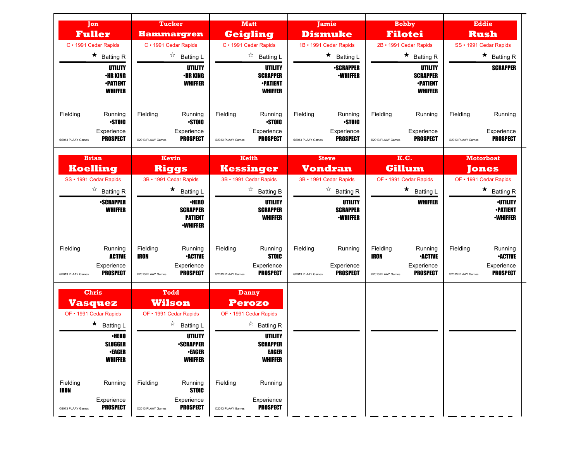| <b>Jon</b><br><b>Fuller</b>                                                                                                          | <b>Tucker</b><br><b>Hammargren</b>                                                                                                                         | <b>Matt</b><br><b>Geigling</b>                                                                                                                     | Jamie<br><b>Dismuke</b>                                                   | <b>Bobby</b><br><b>Filotei</b>                                                                             | <b>Eddie</b><br><b>Rush</b>                                                                 |
|--------------------------------------------------------------------------------------------------------------------------------------|------------------------------------------------------------------------------------------------------------------------------------------------------------|----------------------------------------------------------------------------------------------------------------------------------------------------|---------------------------------------------------------------------------|------------------------------------------------------------------------------------------------------------|---------------------------------------------------------------------------------------------|
| C · 1991 Cedar Rapids                                                                                                                | C · 1991 Cedar Rapids                                                                                                                                      | C · 1991 Cedar Rapids                                                                                                                              | 1B · 1991 Cedar Rapids                                                    | 2B · 1991 Cedar Rapids                                                                                     | SS · 1991 Cedar Rapids                                                                      |
| $\star$ Batting R                                                                                                                    | $\overrightarrow{a}$ Batting L                                                                                                                             | $\overrightarrow{a}$ Batting L                                                                                                                     | $\star$<br><b>Batting L</b>                                               | $\star$ Batting R                                                                                          | $\star$ Batting R                                                                           |
| UTILITY<br><b>•HR KING</b><br><b>-PATIENT</b><br>WHIFFER                                                                             | UTILITY<br><b>•HR KING</b><br><b>WHIFFER</b>                                                                                                               | UTILITY<br><b>SCRAPPER</b><br><b>•PATIENT</b><br><b>WHIFFER</b>                                                                                    | <b>•SCRAPPER</b><br><b>•WHIFFER</b>                                       | UTILITY<br><b>SCRAPPER</b><br><b>•PATIENT</b><br><b>WHIFFER</b>                                            | <b>SCRAPPER</b>                                                                             |
| Fielding<br>Running<br><b>STOIC</b>                                                                                                  | Fielding<br>Running<br>•STOIC                                                                                                                              | Fielding<br>Running<br><b>STOIC</b>                                                                                                                | Fielding<br>Running<br><b>STOIC</b>                                       | Fielding<br>Running                                                                                        | Fielding<br>Running                                                                         |
| Experience<br><b>PROSPECT</b><br>@2013 PLAAY Games                                                                                   | Experience<br>PROSPECT<br>@2013 PLAAY Games                                                                                                                | Experience<br><b>PROSPECT</b><br>@2013 PLAAY Games                                                                                                 | Experience<br><b>PROSPECT</b><br>@2013 PLAAY Games                        | Experience<br><b>PROSPECT</b><br>@2013 PLAAY Games                                                         | Experience<br><b>PROSPECT</b><br>@2013 PLAAY Games                                          |
| <b>Brian</b><br><b>Koelling</b>                                                                                                      | Kevin<br><b>Riggs</b>                                                                                                                                      | <b>Keith</b><br><b>Kessinger</b>                                                                                                                   | <b>Steve</b><br><b>Vondran</b>                                            | K.C.<br><b>Gillum</b>                                                                                      | <b>Motorboat</b><br><b>Tones</b>                                                            |
| SS · 1991 Cedar Rapids                                                                                                               | 3B · 1991 Cedar Rapids                                                                                                                                     | 3B · 1991 Cedar Rapids                                                                                                                             | 3B · 1991 Cedar Rapids                                                    | OF • 1991 Cedar Rapids                                                                                     | OF • 1991 Cedar Rapids                                                                      |
| $\overrightarrow{a}$ Batting R                                                                                                       | $\star$ Batting L                                                                                                                                          | $\overrightarrow{a}$ Batting B                                                                                                                     | $\overrightarrow{a}$ Batting R                                            | $\star$ Batting L                                                                                          | $\star$ Batting R                                                                           |
| <b>-SCRAPPER</b><br><b>WHIFFER</b>                                                                                                   | <b>•HERO</b><br><b>SCRAPPER</b><br><b>PATIENT</b><br><b>•WHIFFER</b>                                                                                       | UTILITY<br><b>SCRAPPER</b><br><b>WHIFFER</b>                                                                                                       | UTILITY<br><b>SCRAPPER</b><br><b>•WHIFFER</b>                             | <b>WHIFFER</b>                                                                                             | <b>·UTILITY</b><br><b>•PATIENT</b><br><b>-WHIFFER</b>                                       |
| Fielding<br>Running<br><b>ACTIVE</b><br>Experience<br><b>PROSPECT</b><br>@2013 PLAAY Games                                           | Fielding<br>Running<br><b>IRON</b><br><b>•ACTIVE</b><br>Experience<br><b>PROSPECT</b><br>@2013 PLAAY Games                                                 | Fielding<br>Running<br><b>STOIC</b><br>Experience<br><b>PROSPECT</b><br>@2013 PLAAY Games                                                          | Fielding<br>Running<br>Experience<br><b>PROSPECT</b><br>@2013 PLAAY Games | Fielding<br>Running<br><b>IRON</b><br><b>•ACTIVE</b><br>Experience<br><b>PROSPECT</b><br>@2013 PLAAY Games | Fielding<br>Running<br><b>•ACTIVE</b><br>Experience<br><b>PROSPECT</b><br>@2013 PLAAY Games |
| <b>Chris</b><br><b>Vasquez</b><br>OF • 1991 Cedar Rapids<br>$\star$ Batting L<br><b>•HERO</b><br>SLUGGER<br>∙EAGER<br><b>WHIFFER</b> | <b>Todd</b><br><b>Wilson</b><br>OF • 1991 Cedar Rapids<br>$\overrightarrow{a}$ Batting L<br>UTILITY<br><b>•SCRAPPER</b><br><b>•EAGER</b><br><b>WHIFFER</b> | <b>Danny</b><br><b>Perozo</b><br>OF • 1991 Cedar Rapids<br>$\overrightarrow{a}$ Batting R<br>UTILITY<br><b>SCRAPPER</b><br>EAGER<br><b>WHIFFER</b> |                                                                           |                                                                                                            |                                                                                             |
| Fielding<br>Running<br>IRON<br>Experience<br><b>PROSPECT</b><br>@2013 PLAAY Games                                                    | Fielding<br>Running<br><b>STOIC</b><br>Experience<br><b>PROSPECT</b><br>@2013 PLAAY Games                                                                  | Fielding<br>Running<br>Experience<br><b>PROSPECT</b><br>@2013 PLAAY Games                                                                          |                                                                           |                                                                                                            |                                                                                             |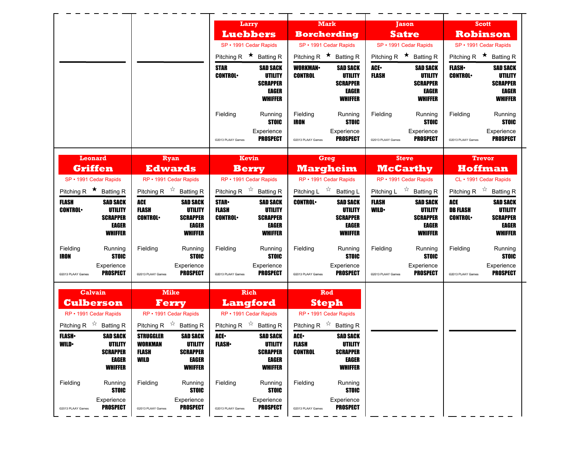|                                                                     |                                                                                          | Larry                                                                                                            | <b>Mark</b>                                                                                                  | <b>Jason</b>                                                                                     | <b>Scott</b>                                                                                                      |
|---------------------------------------------------------------------|------------------------------------------------------------------------------------------|------------------------------------------------------------------------------------------------------------------|--------------------------------------------------------------------------------------------------------------|--------------------------------------------------------------------------------------------------|-------------------------------------------------------------------------------------------------------------------|
|                                                                     |                                                                                          | <b>Luebbers</b>                                                                                                  | <b>Borcherding</b>                                                                                           | <b>Satre</b>                                                                                     | <b>Robinson</b>                                                                                                   |
|                                                                     |                                                                                          | SP · 1991 Cedar Rapids                                                                                           | SP · 1991 Cedar Rapids                                                                                       | SP · 1991 Cedar Rapids                                                                           | SP · 1991 Cedar Rapids                                                                                            |
|                                                                     |                                                                                          | Pitching R $\star$ Batting R                                                                                     | Pitching R $\star$ Batting R                                                                                 | Pitching R $\star$ Batting R                                                                     | Pitching R $\star$ Batting R                                                                                      |
|                                                                     |                                                                                          | <b>STAR</b><br><b>SAD SACK</b><br><b>CONTROL</b><br><b>UTILITY</b><br><b>SCRAPPER</b><br>EAGER<br><b>WHIFFER</b> | <b>WORKMAN</b><br><b>SAD SACK</b><br><b>CONTROL</b><br>UTILITY<br><b>SCRAPPER</b><br>EAGER<br><b>WHIFFER</b> | ACE.<br><b>SAD SACK</b><br><b>FLASH</b><br>UTILITY<br><b>SCRAPPER</b><br>EAGER<br><b>WHIFFER</b> | <b>FLASH</b><br><b>SAD SACK</b><br><b>CONTROL</b><br>UTILITY<br><b>SCRAPPER</b><br><b>EAGER</b><br><b>WHIFFER</b> |
|                                                                     |                                                                                          | Fielding<br>Running<br><b>STOIC</b><br>Experience<br><b>PROSPECT</b><br>@2013 PLAAY Games                        | Fielding<br>Running<br><b>IRON</b><br><b>STOIC</b><br>Experience<br><b>PROSPECT</b><br>@2013 PLAAY Games     | Fielding<br>Running<br><b>STOIC</b><br>Experience<br><b>PROSPECT</b><br>@2013 PLAAY Games        | Fielding<br>Running<br><b>STOIC</b><br>Experience<br><b>PROSPECT</b><br>@2013 PLAAY Games                         |
| <b>Leonard</b><br><b>Griffen</b>                                    | Ryan<br><b>Edwards</b>                                                                   | Kevin<br><b>Berry</b>                                                                                            | <b>Greg</b><br><b>Margheim</b>                                                                               | <b>Steve</b><br><b>McCarthy</b>                                                                  | <b>Trevor</b><br><b>Hoffman</b>                                                                                   |
| SP · 1991 Cedar Rapids                                              | RP · 1991 Cedar Rapids                                                                   | RP · 1991 Cedar Rapids                                                                                           | RP · 1991 Cedar Rapids                                                                                       | RP · 1991 Cedar Rapids                                                                           | CL · 1991 Cedar Rapids                                                                                            |
| Pitching R $\star$ Batting R                                        | Pitching R $\overrightarrow{x}$ Batting R                                                | Pitching R $\overrightarrow{x}$ Batting R                                                                        | Pitching L $\overrightarrow{x}$ Batting L                                                                    | Pitching L $\vec{r}$ Batting R                                                                   | Pitching R $\overrightarrow{x}$ Batting R                                                                         |
| <b>FLASH</b><br><b>SAD SACK</b><br><b>CONTROL</b><br><b>UTILITY</b> | <b>ACE</b><br><b>SAD SACK</b><br><b>FLASH</b><br><b>UTILITY</b>                          | <b>STAR</b><br><b>SAD SACK</b><br><b>FLASH</b><br><b>UTILITY</b>                                                 | <b>CONTROL</b><br><b>SAD SACK</b><br><b>UTILITY</b>                                                          | FLASH<br><b>SAD SACK</b><br><b>WILD</b><br>UTILITY                                               | <b>ACE</b><br><b>SAD SACK</b><br><b>DB FLASH</b><br><b>UTILITY</b>                                                |
| <b>SCRAPPER</b><br><b>EAGER</b><br><b>WHIFFER</b>                   | <b>SCRAPPER</b><br><b>CONTROL</b><br><b>EAGER</b><br><b>WHIFFER</b>                      | <b>SCRAPPER</b><br><b>CONTROL</b><br>EAGER<br><b>WHIFFER</b>                                                     | <b>SCRAPPER</b><br>EAGER<br><b>WHIFFER</b>                                                                   | <b>SCRAPPER</b><br>EAGER<br><b>WHIFFER</b>                                                       | <b>CONTROL</b><br><b>SCRAPPER</b><br>EAGER<br><b>WHIFFER</b>                                                      |
| Fielding<br>Running<br>IRON<br><b>STOIC</b>                         | Fielding<br>Running<br><b>STOIC</b>                                                      | Fielding<br>Running<br><b>STOIC</b>                                                                              | Fielding<br>Running<br><b>STOIC</b>                                                                          | Fielding<br>Running<br><b>STOIC</b>                                                              | Fielding<br>Running<br><b>STOIC</b>                                                                               |
| Experience<br><b>PROSPECT</b><br>@2013 PLAAY Games                  | Experience<br><b>PROSPECT</b><br>@2013 PLAAY Games                                       | Experience<br><b>PROSPECT</b><br>@2013 PLAAY Games                                                               | Experience<br><b>PROSPECT</b><br>@2013 PLAAY Games                                                           | Experience<br><b>PROSPECT</b><br>@2013 PLAAY Games                                               | Experience<br><b>PROSPECT</b><br>@2013 PLAAY Games                                                                |
| Calvain<br><b>Culberson</b>                                         | <b>Mike</b><br><b>Ferry</b>                                                              | Rich<br><b>Langford</b>                                                                                          | Rod<br><b>Steph</b>                                                                                          |                                                                                                  |                                                                                                                   |
| RP · 1991 Cedar Rapids<br>Pitching R $\overrightarrow{x}$ Batting R | RP · 1991 Cedar Rapids<br>Pitching R $\overrightarrow{r}$ Batting R                      | RP · 1991 Cedar Rapids<br>Pitching R $\overrightarrow{x}$ Batting R                                              | RP · 1991 Cedar Rapids<br>Pitching R $\overrightarrow{x}$ Batting R                                          |                                                                                                  |                                                                                                                   |
| <b>FLASH</b><br><b>SAD SACK</b>                                     | <b>STRUGGLER</b><br><b>SAD SACK</b>                                                      | ACE.<br><b>SAD SACK</b>                                                                                          | ACE.<br><b>SAD SACK</b>                                                                                      |                                                                                                  |                                                                                                                   |
| WILD•<br>UTILITY<br><b>SCRAPPER</b><br>EAGER<br><b>WHIFFER</b>      | WORKMAN<br>UTILITY<br><b>SCRAPPER</b><br>FLASH<br><b>EAGER</b><br>WILD<br><b>WHIFFER</b> | <b>FLASH</b> •<br>UTILITY<br><b>SCRAPPER</b><br>EAGER<br><b>WHIFFER</b>                                          | FLASH<br>UTILITY<br><b>CONTROL</b><br><b>SCRAPPER</b><br>EAGER<br><b>WHIFFER</b>                             |                                                                                                  |                                                                                                                   |
| Fielding<br>Running<br>STOIC                                        | Fielding<br>Running<br><b>STOIC</b>                                                      | Fielding<br>Running<br><b>STOIC</b>                                                                              | Fielding<br>Running<br><b>STOIC</b>                                                                          |                                                                                                  |                                                                                                                   |
| Experience<br><b>PROSPECT</b><br>@2013 PLAAY Games                  | Experience<br><b>PROSPECT</b><br>@2013 PLAAY Games                                       | Experience<br><b>PROSPECT</b><br>@2013 PLAAY Games                                                               | Experience<br><b>PROSPECT</b><br>@2013 PLAAY Games                                                           |                                                                                                  |                                                                                                                   |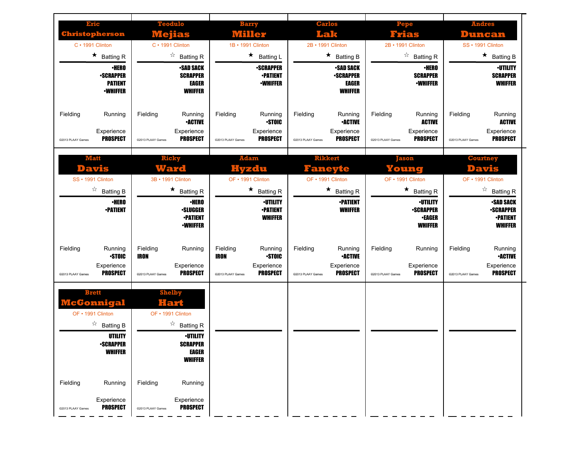| Eric<br><b>Christopherson</b><br>$C \cdot 1991$ Clinton<br>$\star$ Batting R<br><b>•HERO</b><br><b>-SCRAPPER</b><br><b>PATIENT</b><br><b>-WHIFFER</b> | <b>Teodulo</b><br>Wejias<br>$C \cdot 1991$ Clinton<br>$\overrightarrow{a}$ Batting R<br><b>-SAD SACK</b><br><b>SCRAPPER</b><br><b>EAGER</b><br><b>WHIFFER</b> | <b>Barry</b><br>Willer<br>1B • 1991 Clinton<br>$\star$<br><b>Batting L</b><br><b>-SCRAPPER</b><br><b>•PATIENT</b><br><b>-WHIFFER</b>    | <b>Carlos</b><br>Lak<br>2B • 1991 Clinton<br>$\star$<br><b>Batting B</b><br><b>•SAD SACK</b><br><b>-SCRAPPER</b><br>EAGER<br><b>WHIFFER</b> | <b>Pepe</b><br>Frias<br>2B • 1991 Clinton<br>☆<br><b>Batting R</b><br><b>·HERO</b><br><b>SCRAPPER</b><br><b>-WHIFFER</b>                      | <b>Andres</b><br><b>Duncan</b><br>SS · 1991 Clinton<br>$\star$<br><b>Batting B</b><br><b>·UTILITY</b><br><b>SCRAPPER</b><br><b>WHIFFER</b>          |
|-------------------------------------------------------------------------------------------------------------------------------------------------------|---------------------------------------------------------------------------------------------------------------------------------------------------------------|-----------------------------------------------------------------------------------------------------------------------------------------|---------------------------------------------------------------------------------------------------------------------------------------------|-----------------------------------------------------------------------------------------------------------------------------------------------|-----------------------------------------------------------------------------------------------------------------------------------------------------|
| Fielding<br>Running<br>Experience<br><b>PROSPECT</b><br>@2013 PLAAY Games                                                                             | Fielding<br>Running<br><b>•ACTIVE</b><br>Experience<br><b>PROSPECT</b><br>@2013 PLAAY Games                                                                   | Fielding<br>Running<br><b>STOIC</b><br>Experience<br><b>PROSPECT</b><br>@2013 PLAAY Games                                               | Fielding<br>Running<br><b>•ACTIVE</b><br>Experience<br><b>PROSPECT</b><br>@2013 PLAAY Games                                                 | Fielding<br>Running<br><b>ACTIVE</b><br>Experience<br><b>PROSPECT</b><br>@2013 PLAAY Games                                                    | Fielding<br>Running<br><b>ACTIVE</b><br>Experience<br><b>PROSPECT</b><br>@2013 PLAAY Games                                                          |
| <b>Matt</b><br>Davis<br>SS · 1991 Clinton<br>$\overrightarrow{a}$ Batting B<br><b>·HERO</b><br><b>•PATIENT</b>                                        | <b>Ricky</b><br>Ward<br>3B · 1991 Clinton<br>$\star$ Batting R<br>∙HERO<br><b>•SLUGGER</b><br><b>-PATIENT</b><br><b>•WHIFFER</b>                              | <b>Adam</b><br>Hvzdu<br>OF • 1991 Clinton<br>$\star$<br><b>Batting R</b><br><b><i>•UTILITY</i></b><br><b>•PATIENT</b><br><b>WHIFFER</b> | <b>Rikkert</b><br>Faneyte<br>OF • 1991 Clinton<br>$\star$<br><b>Batting R</b><br><b>•PATIENT</b><br><b>WHIFFER</b>                          | <b>Jason</b><br>Young<br>OF • 1991 Clinton<br>★<br><b>Batting R</b><br><b>-UTILITY</b><br><b>-SCRAPPER</b><br><b>•EAGER</b><br><b>WHIFFER</b> | <b>Courtney</b><br>Davis<br>OF • 1991 Clinton<br>☆<br><b>Batting R</b><br><b>•SAD SACK</b><br><b>•SCRAPPER</b><br><b>-PATIENT</b><br><b>WHIFFER</b> |
| Fielding<br>Running<br><b>STOIC</b><br>Experience<br><b>PROSPECT</b><br>@2013 PLAAY Games                                                             | Fielding<br>Running<br><b>IRON</b><br>Experience<br><b>PROSPECT</b><br>@2013 PLAAY Games                                                                      | Fielding<br>Running<br><b>STOIC</b><br><b>IRON</b><br>Experience<br><b>PROSPECT</b><br>@2013 PLAAY Games                                | Fielding<br>Running<br><b>•ACTIVE</b><br>Experience<br><b>PROSPECT</b><br>@2013 PLAAY Games                                                 | Fielding<br>Running<br>Experience<br><b>PROSPECT</b><br>@2013 PLAAY Games                                                                     | Fielding<br>Running<br><b>•ACTIVE</b><br>Experience<br><b>PROSPECT</b><br>@2013 PLAAY Games                                                         |
| <b>Brett</b><br><b>cGonnigal</b><br>OF • 1991 Clinton<br>$\overrightarrow{a}$ Batting B<br><b>UTILITY</b><br><b>•SCRAPPER</b><br><b>WHIFFER</b>       | <b>Shelby</b><br>Hart<br>OF • 1991 Clinton<br>$\overrightarrow{a}$ Batting R<br><b>·UTILITY</b><br><b>SCRAPPER</b><br><b>EAGER</b><br><b>WHIFFER</b>          |                                                                                                                                         |                                                                                                                                             |                                                                                                                                               |                                                                                                                                                     |
| Fielding<br>Running<br>Experience<br><b>PROSPECT</b><br>@2013 PLAAY Games                                                                             | Fielding<br>Running<br>Experience<br><b>PROSPECT</b><br>@2013 PLAAY Games                                                                                     |                                                                                                                                         |                                                                                                                                             |                                                                                                                                               |                                                                                                                                                     |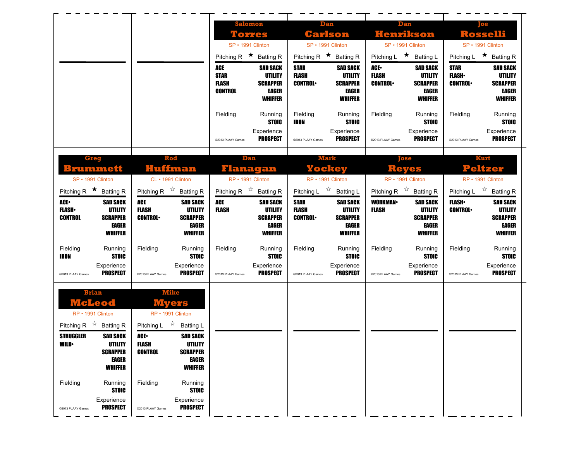|                                                    |                                                                |                                |                                 | <b>Salomon</b><br>Torres              |                                | Dan<br>Carlson                        |                                | Dan<br><b>Henrikson</b>                                  |                                | Toe<br><b>Rosselli</b>                              |
|----------------------------------------------------|----------------------------------------------------------------|--------------------------------|---------------------------------|---------------------------------------|--------------------------------|---------------------------------------|--------------------------------|----------------------------------------------------------|--------------------------------|-----------------------------------------------------|
|                                                    |                                                                |                                |                                 | SP · 1991 Clinton                     |                                | SP · 1991 Clinton                     |                                | SP · 1991 Clinton                                        |                                | SP · 1991 Clinton                                   |
|                                                    |                                                                |                                |                                 | Pitching R $\star$ Batting R          | Pitching R $\star$ Batting R   |                                       |                                | Pitching L ★ Batting L                                   |                                | Pitching L $\star$ Batting R                        |
|                                                    |                                                                |                                | ACE                             | <b>SAD SACK</b>                       | <b>STAR</b>                    | <b>SAD SACK</b>                       | ACE-                           | <b>SAD SACK</b>                                          | <b>STAR</b>                    | <b>SAD SACK</b>                                     |
|                                                    |                                                                |                                | <b>STAR</b><br><b>FLASH</b>     | <b>UTILITY</b><br><b>SCRAPPER</b>     | <b>FLASH</b><br><b>CONTROL</b> | UTILITY<br><b>SCRAPPER</b>            | <b>FLASH</b><br><b>CONTROL</b> | UTILITY<br><b>SCRAPPER</b>                               | <b>FLASH</b><br><b>CONTROL</b> | <b>UTILITY</b><br><b>SCRAPPER</b>                   |
|                                                    |                                                                |                                | <b>CONTROL</b>                  | <b>EAGER</b><br><b>WHIFFER</b>        |                                | EAGER<br><b>WHIFFER</b>               |                                | <b>EAGER</b><br><b>WHIFFER</b>                           |                                | <b>EAGER</b><br><b>WHIFFER</b>                      |
|                                                    |                                                                |                                |                                 |                                       |                                |                                       |                                |                                                          |                                |                                                     |
|                                                    |                                                                |                                | Fielding                        | Running<br><b>STOIC</b>               | Fielding<br><b>IRON</b>        | Running<br><b>STOIC</b>               | Fielding                       | Running<br><b>STOIC</b>                                  | Fielding                       | Running<br><b>STOIC</b>                             |
|                                                    |                                                                |                                |                                 | Experience<br><b>PROSPECT</b>         |                                | Experience                            |                                | Experience                                               |                                | Experience<br><b>PROSPECT</b>                       |
|                                                    |                                                                |                                | @2013 PLAAY Games               |                                       | @2013 PLAAY Games              | <b>PROSPECT</b>                       | @2013 PLAAY Games              | <b>PROSPECT</b>                                          | @2013 PLAAY Games              |                                                     |
| <b>Greg</b>                                        | Rod                                                            |                                |                                 | Dan                                   |                                | <b>Mark</b>                           |                                | Tose                                                     |                                | Kurt                                                |
| <b>Brummett</b>                                    | Huffman                                                        |                                |                                 | Flanagan                              |                                | <b>Yockey</b>                         |                                | <b>Reves</b>                                             |                                | Peltzer                                             |
| SP · 1991 Clinton<br>Pitching R $\star$ Batting R  | CL · 1991 Clinton<br>Pitching R $\overrightarrow{x}$ Batting R |                                | Pitching R $\overrightarrow{x}$ | RP · 1991 Clinton<br><b>Batting R</b> | Pitching L $\sqrt[4]{x}$       | RP · 1991 Clinton<br><b>Batting L</b> |                                | RP · 1991 Clinton<br>Pitching R $\overline{x}$ Batting R |                                | RP · 1991 Clinton<br>Pitching L $\vec{r}$ Batting R |
| ACE-<br><b>SAD SACK</b>                            | <b>ACE</b>                                                     | <b>SAD SACK</b>                | ACE                             | <b>SAD SACK</b>                       | <b>STAR</b>                    | <b>SAD SACK</b>                       | <b>WORKMAN-</b>                | <b>SAD SACK</b>                                          | <b>FLASH</b> •                 | <b>SAD SACK</b>                                     |
| <b>FLASH</b><br><b>UTILITY</b>                     | <b>FLASH</b>                                                   | <b>UTILITY</b>                 | <b>FLASH</b>                    | <b>UTILITY</b>                        | <b>FLASH</b>                   | <b>UTILITY</b>                        | <b>FLASH</b>                   | UTILITY                                                  | <b>CONTROL</b>                 | <b>UTILITY</b>                                      |
|                                                    |                                                                |                                |                                 |                                       |                                |                                       |                                |                                                          |                                |                                                     |
| <b>CONTROL</b><br><b>SCRAPPER</b>                  | <b>CONTROL</b>                                                 | <b>SCRAPPER</b>                |                                 | <b>SCRAPPER</b>                       | <b>CONTROL</b>                 | <b>SCRAPPER</b>                       |                                | <b>SCRAPPER</b>                                          |                                | <b>SCRAPPER</b>                                     |
| <b>EAGER</b><br><b>WHIFFER</b>                     |                                                                | <b>EAGER</b><br><b>WHIFFER</b> |                                 | <b>EAGER</b><br><b>WHIFFER</b>        |                                | EAGER<br><b>WHIFFER</b>               |                                | <b>EAGER</b><br><b>WHIFFER</b>                           |                                | <b>EAGER</b><br><b>WHIFFER</b>                      |
| Fielding<br>Running                                | Fielding                                                       | Running                        | Fielding                        | Running                               | Fielding                       | Running                               | Fielding                       | Running                                                  | Fielding                       | Running                                             |
| <b>STOIC</b><br><b>IRON</b><br>Experience          |                                                                | <b>STOIC</b>                   |                                 | <b>STOIC</b>                          |                                | <b>STOIC</b><br>Experience            |                                | <b>STOIC</b><br>Experience                               |                                | <b>STOIC</b><br>Experience                          |
| <b>PROSPECT</b><br>@2013 PLAAY Games               | @2013 PLAAY Games                                              | Experience<br><b>PROSPECT</b>  | @2013 PLAAY Games               | Experience<br><b>PROSPECT</b>         | @2013 PLAAY Games              | <b>PROSPECT</b>                       | @2013 PLAAY Games              | <b>PROSPECT</b>                                          | @2013 PLAAY Games              | <b>PROSPECT</b>                                     |
| <b>Brian</b>                                       | <b>Mike</b>                                                    |                                |                                 |                                       |                                |                                       |                                |                                                          |                                |                                                     |
| McLeod                                             | Myers                                                          |                                |                                 |                                       |                                |                                       |                                |                                                          |                                |                                                     |
| RP · 1991 Clinton                                  | RP · 1991 Clinton                                              |                                |                                 |                                       |                                |                                       |                                |                                                          |                                |                                                     |
| Pitching R $\overrightarrow{x}$ Batting R          | Pitching L $\vec{X}$ Batting L                                 |                                |                                 |                                       |                                |                                       |                                |                                                          |                                |                                                     |
| <b>STRUGGLER</b><br><b>SAD SACK</b>                | ACE.                                                           | <b>SAD SACK</b>                |                                 |                                       |                                |                                       |                                |                                                          |                                |                                                     |
| WILD•<br>UTILITY<br><b>SCRAPPER</b>                | FLASH<br><b>CONTROL</b>                                        | UTILITY<br><b>SCRAPPER</b>     |                                 |                                       |                                |                                       |                                |                                                          |                                |                                                     |
| <b>EAGER</b><br><b>WHIFFER</b>                     |                                                                | <b>EAGER</b><br><b>WHIFFER</b> |                                 |                                       |                                |                                       |                                |                                                          |                                |                                                     |
|                                                    |                                                                |                                |                                 |                                       |                                |                                       |                                |                                                          |                                |                                                     |
| Fielding<br>Running<br><b>STOIC</b>                | Fielding                                                       | Running<br><b>STOIC</b>        |                                 |                                       |                                |                                       |                                |                                                          |                                |                                                     |
| Experience<br><b>PROSPECT</b><br>@2013 PLAAY Games | @2013 PLAAY Games                                              | Experience<br><b>PROSPECT</b>  |                                 |                                       |                                |                                       |                                |                                                          |                                |                                                     |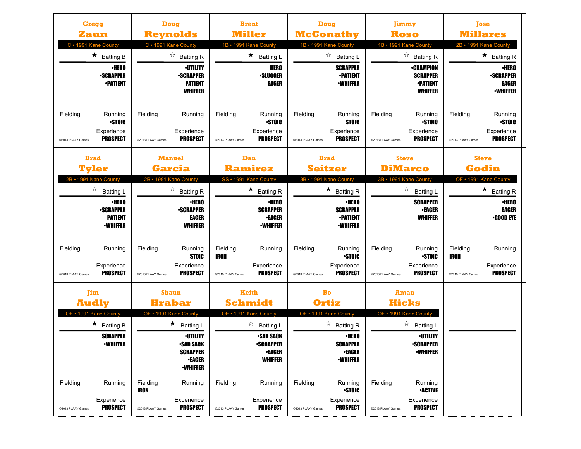| Gregg<br>Zaun                                                             |                                               | Doug<br><b>Reynolds</b>                                                                                         | <b>Brent</b><br><b>Miller</b>                           |                                                                                      | <b>Doug</b><br><b>McConathy</b> |                                                                                                |                               | <b>Jimmy</b><br>Roso                                                            | <b>Tose</b><br><b>Millares</b>               |                                                              |
|---------------------------------------------------------------------------|-----------------------------------------------|-----------------------------------------------------------------------------------------------------------------|---------------------------------------------------------|--------------------------------------------------------------------------------------|---------------------------------|------------------------------------------------------------------------------------------------|-------------------------------|---------------------------------------------------------------------------------|----------------------------------------------|--------------------------------------------------------------|
| C · 1991 Kane County                                                      |                                               | C · 1991 Kane County                                                                                            | 1B · 1991 Kane County                                   |                                                                                      | 1B • 1991 Kane County           |                                                                                                |                               | 1B · 1991 Kane County                                                           | 2B · 1991 Kane County                        |                                                              |
| $\star$ Batting B                                                         |                                               | $\overrightarrow{a}$ Batting R                                                                                  | $\star$                                                 | <b>Batting L</b>                                                                     |                                 | ☆<br><b>Batting L</b>                                                                          |                               | ☆<br><b>Batting R</b>                                                           |                                              | $\star$ Batting R                                            |
| <b>-SCRAPPER</b><br><b>•PATIENT</b>                                       | $\cdot$ HERO                                  | <b><i>•UTILITY</i></b><br><b>-SCRAPPER</b><br><b>PATIENT</b><br><b>WHIFFER</b>                                  |                                                         | <b>HERO</b><br><b>•SLUGGER</b><br>EAGER                                              |                                 | <b>SCRAPPER</b><br><b>-PATIENT</b><br><b>·WHIFFER</b>                                          |                               | <b>•CHAMPION</b><br><b>SCRAPPER</b><br><b>-PATIENT</b><br><b>WHIFFER</b>        |                                              | ∙HERO<br><b>•SCRAPPER</b><br><b>EAGER</b><br><b>-WHIFFER</b> |
| Fielding<br>Running<br>Experience<br><b>PROSPECT</b><br>©2013 PLAAY Games | Fielding<br><b>STOIC</b><br>@2013 PLAAY Games | Running<br>Experience<br><b>PROSPECT</b>                                                                        | Fielding<br>@2013 PLAAY Games                           | Running<br><b>STOIC</b><br>Experience<br><b>PROSPECT</b>                             | Fielding<br>@2013 PLAAY Games   | Running<br><b>STOIC</b><br>Experience<br><b>PROSPECT</b>                                       | Fielding<br>@2013 PLAAY Games | Running<br><b>STOIC</b><br>Experience<br><b>PROSPECT</b>                        | Fielding<br>@2013 PLAAY Games                | Running<br><b>STOIC</b><br>Experience<br><b>PROSPECT</b>     |
| <b>Brad</b><br>Tvler                                                      |                                               | <b>Manuel</b><br><b>Garcia</b>                                                                                  | Dan<br><b>Ramirez</b>                                   |                                                                                      | <b>Brad</b>                     | <b>Seitzer</b>                                                                                 |                               | <b>Steve</b><br><b>DiMarco</b>                                                  | <b>Steve</b><br>Godin                        |                                                              |
| 2B • 1991 Kane County                                                     |                                               | 2B · 1991 Kane County                                                                                           | SS · 1991 Kane County                                   |                                                                                      | 3B · 1991 Kane County           |                                                                                                |                               | 3B · 1991 Kane County                                                           | OF • 1991 Kane County                        |                                                              |
| ☆<br><b>Batting L</b>                                                     | ∙HERO                                         | ☆<br><b>Batting R</b><br>∙HERO                                                                                  | $\star$                                                 | <b>Batting R</b><br>∙HERO                                                            |                                 | ★<br><b>Batting R</b><br><b>·HERO</b>                                                          |                               | ☆<br><b>Batting L</b><br><b>SCRAPPER</b>                                        |                                              | $\star$<br><b>Batting R</b><br><b>·HERO</b>                  |
| <b>-SCRAPPER</b><br><b>PATIENT</b><br><b>-WHIFFER</b>                     |                                               | <b>-SCRAPPER</b><br><b>EAGER</b><br><b>WHIFFER</b>                                                              |                                                         | <b>SCRAPPER</b><br><b>•EAGER</b><br><b>-WHIFFER</b>                                  |                                 | <b>SCRAPPER</b><br><b>•PATIENT</b><br><b>·WHIFFER</b>                                          |                               | <b>•EAGER</b><br><b>WHIFFER</b>                                                 |                                              | <b>EAGER</b><br>•GOOD EYE                                    |
| Fielding<br>Running<br>Experience<br>PROSPECT<br>@2013 PLAAY Games        | Fielding<br>@2013 PLAAY Games                 | Running<br><b>STOIC</b><br>Experience<br><b>PROSPECT</b>                                                        | Fielding<br><b>IRON</b><br>@2013 PLAAY Games            | Running<br>Experience<br><b>PROSPECT</b>                                             | Fielding<br>@2013 PLAAY Games   | Running<br><b>STOIC</b><br>Experience<br><b>PROSPECT</b>                                       | Fielding<br>@2013 PLAAY Games | Running<br><b>STOIC</b><br>Experience<br><b>PROSPECT</b>                        | Fielding<br><b>IRON</b><br>@2013 PLAAY Games | Running<br>Experience<br><b>PROSPECT</b>                     |
| <b>Jim</b><br><b>Audly</b><br>OF • 1991 Kane County                       |                                               | <b>Shaun</b><br><b>Hrabar</b><br>OF • 1991 Kane County                                                          | <b>Keith</b><br><b>Schmidt</b><br>OF • 1991 Kane County |                                                                                      | Bo<br>Ortiz                     | OF • 1991 Kane County                                                                          |                               | Aman<br><b>Hicks</b><br>OF • 1991 Kane County                                   |                                              |                                                              |
| $\star$ Batting B<br><b>SCRAPPER</b><br>∙WHIFFER                          |                                               | $\star$ Batting L<br><b>·UTILITY</b><br><b>•SAD SACK</b><br><b>SCRAPPER</b><br><b>•EAGER</b><br><b>-WHIFFER</b> | ☆                                                       | <b>Batting L</b><br><b>-SAD SACK</b><br>•SCRAPPER<br><b>•EAGER</b><br><b>WHIFFER</b> |                                 | $\overrightarrow{a}$ Batting R<br><b>·HERO</b><br>SCRAPPER<br><b>•EAGER</b><br><b>-WHIFFER</b> |                               | ☆<br><b>Batting L</b><br><b>·UTILITY</b><br><b>•SCRAPPER</b><br><b>-WHIFFER</b> |                                              |                                                              |
| Fielding<br>Running<br>Experience<br><b>PROSPECT</b><br>@2013 PLAAY Games | Fielding<br>IRON<br>@2013 PLAAY Games         | Running<br>Experience<br><b>PROSPECT</b>                                                                        | Fielding<br>@2013 PLAAY Games                           | Running<br>Experience<br><b>PROSPECT</b>                                             | Fielding<br>@2013 PLAAY Games   | Running<br><b>-STOIC</b><br>Experience<br><b>PROSPECT</b>                                      | Fielding<br>@2013 PLAAY Games | Running<br><b>-ACTIVE</b><br>Experience<br><b>PROSPECT</b>                      |                                              |                                                              |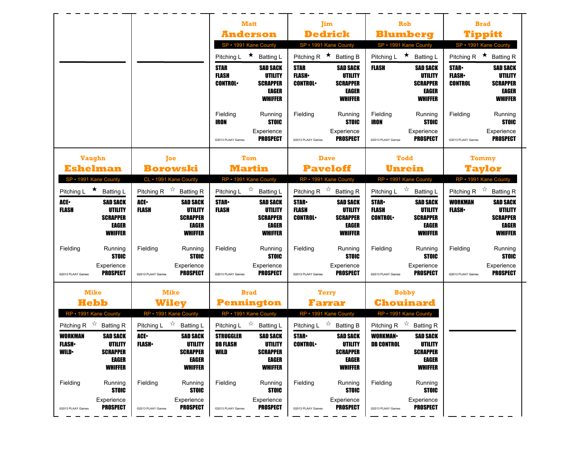|                                                                                                                           |                                                                                                         | <b>Matt</b>                                                                                                               | Jim                                                                                                                              | <b>Rob</b>                                                                                                                       | <b>Brad</b>                                                                                                                       |
|---------------------------------------------------------------------------------------------------------------------------|---------------------------------------------------------------------------------------------------------|---------------------------------------------------------------------------------------------------------------------------|----------------------------------------------------------------------------------------------------------------------------------|----------------------------------------------------------------------------------------------------------------------------------|-----------------------------------------------------------------------------------------------------------------------------------|
|                                                                                                                           |                                                                                                         | <b>Anderson</b>                                                                                                           | <b>Dedrick</b>                                                                                                                   | <b>Blumberg</b>                                                                                                                  | <b>Tippitt</b>                                                                                                                    |
|                                                                                                                           |                                                                                                         | SP · 1991 Kane County                                                                                                     | SP · 1991 Kane County                                                                                                            | SP · 1991 Kane County                                                                                                            | SP · 1991 Kane County                                                                                                             |
|                                                                                                                           |                                                                                                         | $\star$<br>Pitching L<br><b>Batting L</b>                                                                                 | Pitching R $\star$<br><b>Batting B</b>                                                                                           | $\star$<br>Pitching L<br><b>Batting L</b>                                                                                        | $\star$<br>Pitching R<br><b>Batting R</b>                                                                                         |
|                                                                                                                           |                                                                                                         | <b>STAR</b><br><b>SAD SACK</b><br><b>FLASH</b><br>UTILITY<br><b>CONTROL</b><br><b>SCRAPPER</b><br>EAGER<br><b>WHIFFER</b> | <b>STAR</b><br><b>SAD SACK</b><br><b>FLASH</b><br>UTILITY<br><b>CONTROL</b><br><b>SCRAPPER</b><br>EAGER<br><b>WHIFFER</b>        | <b>FLASH</b><br><b>SAD SACK</b><br>UTILITY<br><b>SCRAPPER</b><br>EAGER<br><b>WHIFFER</b>                                         | <b>STAR-</b><br><b>SAD SACK</b><br><b>FLASH</b><br>UTILITY<br><b>CONTROL</b><br><b>SCRAPPER</b><br><b>EAGER</b><br><b>WHIFFER</b> |
|                                                                                                                           |                                                                                                         | Fielding<br>Running<br><b>STOIC</b><br>IRON                                                                               | Fielding<br>Running<br><b>STOIC</b>                                                                                              | Fielding<br>Running<br><b>STOIC</b><br><b>IRON</b>                                                                               | Fielding<br>Running<br><b>STOIC</b>                                                                                               |
|                                                                                                                           |                                                                                                         | Experience<br><b>PROSPECT</b><br>@2013 PLAAY Games                                                                        | Experience<br><b>PROSPECT</b><br>@2013 PLAAY Games                                                                               | Experience<br><b>PROSPECT</b><br>@2013 PLAAY Games                                                                               | Experience<br><b>PROSPECT</b><br>@2013 PLAAY Games                                                                                |
| <b>Vaughn</b>                                                                                                             | Joe                                                                                                     | Tom                                                                                                                       | <b>Dave</b>                                                                                                                      | <b>Todd</b>                                                                                                                      | Tommy                                                                                                                             |
| <b>Eshelman</b>                                                                                                           | <b>Borowski</b>                                                                                         | <b>Martin</b>                                                                                                             | <b>Paveloff</b>                                                                                                                  | Unrein                                                                                                                           | <b>Taylor</b>                                                                                                                     |
| SP · 1991 Kane County                                                                                                     | CL · 1991 Kane County                                                                                   | RP • 1991 Kane County                                                                                                     | RP • 1991 Kane County                                                                                                            | RP • 1991 Kane County                                                                                                            | RP • 1991 Kane County                                                                                                             |
| Pitching L ★ Batting L                                                                                                    | Pitching R $\overrightarrow{x}$ Batting R                                                               | $\overrightarrow{a}$ Batting L<br>Pitching L                                                                              | Pitching R $\overrightarrow{x}$ Batting R                                                                                        | Pitching L $\sqrt[3]{x}$<br><b>Batting L</b>                                                                                     | Pitching R $\overrightarrow{x}$<br><b>Batting R</b>                                                                               |
| ACE-<br><b>SAD SACK</b><br><b>UTILITY</b><br><b>FLASH</b><br><b>SCRAPPER</b><br>EAGER<br><b>WHIFFER</b>                   | ACE.<br><b>SAD SACK</b><br><b>UTILITY</b><br><b>FLASH</b><br><b>SCRAPPER</b><br>EAGER<br><b>WHIFFER</b> | <b>STAR</b><br><b>SAD SACK</b><br><b>FLASH</b><br>UTILITY<br><b>SCRAPPER</b><br>EAGER<br><b>WHIFFER</b>                   | <b>STAR</b><br><b>SAD SACK</b><br><b>FLASH</b><br>UTILITY<br><b>CONTROL</b><br><b>SCRAPPER</b><br><b>EAGER</b><br><b>WHIFFER</b> | <b>STAR</b><br><b>SAD SACK</b><br><b>FLASH</b><br><b>UTILITY</b><br><b>CONTROL</b><br><b>SCRAPPER</b><br>EAGER<br><b>WHIFFER</b> | <b>WORKMAN</b><br><b>SAD SACK</b><br><b>UTILITY</b><br><b>FLASH</b><br><b>SCRAPPER</b><br><b>EAGER</b><br><b>WHIFFER</b>          |
| Fielding<br>Running<br><b>STOIC</b>                                                                                       | Fielding<br>Running<br><b>STOIC</b>                                                                     | Fielding<br>Running<br><b>STOIC</b>                                                                                       | Fielding<br>Running<br><b>STOIC</b>                                                                                              | Fielding<br>Running<br><b>STOIC</b>                                                                                              | Fielding<br>Running<br><b>STOIC</b>                                                                                               |
| Experience<br><b>PROSPECT</b><br>@2013 PLAAY Games                                                                        | Experience<br><b>PROSPECT</b><br>@2013 PLAAY Games                                                      | Experience<br><b>PROSPECT</b><br>@2013 PLAAY Games                                                                        | Experience<br><b>PROSPECT</b><br>@2013 PLAAY Games                                                                               | Experience<br><b>PROSPECT</b><br>@2013 PLAAY Games                                                                               | Experience<br><b>PROSPECT</b><br>@2013 PLAAY Games                                                                                |
| <b>Mike</b>                                                                                                               | <b>Mike</b>                                                                                             | <b>Brad</b>                                                                                                               | <b>Terry</b>                                                                                                                     | <b>Bobby</b>                                                                                                                     |                                                                                                                                   |
| <b>Hebb</b>                                                                                                               | Wilev                                                                                                   | <b>Pennington</b>                                                                                                         | Farrar                                                                                                                           | <b>Chouinard</b>                                                                                                                 |                                                                                                                                   |
| RP • 1991 Kane County                                                                                                     | RP • 1991 Kane County                                                                                   | RP • 1991 Kane County<br>☆                                                                                                | RP • 1991 Kane County                                                                                                            | RP • 1991 Kane County                                                                                                            |                                                                                                                                   |
| Pitching R $\sqrt[4]{x}$<br><b>Batting R</b>                                                                              | ☆<br>Pitching L<br><b>Batting L</b>                                                                     | <b>Batting L</b><br>Pitching L                                                                                            | $\approx$<br>Pitching L<br><b>Batting B</b>                                                                                      | $\approx$<br>Pitching R<br><b>Batting R</b>                                                                                      |                                                                                                                                   |
| <b>SAD SACK</b><br><b>WORKMAN</b><br><b>FLASH</b><br>UTILITY<br><b>WILD</b><br><b>SCRAPPER</b><br>EAGER<br><b>WHIFFER</b> | ACE.<br><b>SAD SACK</b><br><b>FLASH</b><br>UTILITY<br><b>SCRAPPER</b><br>EAGER<br><b>WHIFFER</b>        | <b>STRUGGLER</b><br><b>SAD SACK</b><br><b>DB FLASH</b><br>UTILITY<br>WILD<br><b>SCRAPPER</b><br>EAGER<br><b>WHIFFER</b>   | <b>STAR</b><br><b>SAD SACK</b><br><b>CONTROL</b><br>UTILITY<br><b>SCRAPPER</b><br>EAGER<br><b>WHIFFER</b>                        | <b>SAD SACK</b><br><b>WORKMAN</b><br><b>DB CONTROL</b><br>UTILITY<br><b>SCRAPPER</b><br>EAGER<br><b>WHIFFER</b>                  |                                                                                                                                   |
|                                                                                                                           |                                                                                                         |                                                                                                                           |                                                                                                                                  |                                                                                                                                  |                                                                                                                                   |
| Fielding<br>Running<br><b>STOIC</b>                                                                                       | Fielding<br>Running<br><b>STOIC</b>                                                                     | Fielding<br>Running<br><b>STOIC</b>                                                                                       | Fielding<br>Running<br><b>STOIC</b>                                                                                              | Fielding<br>Running<br><b>STOIC</b>                                                                                              |                                                                                                                                   |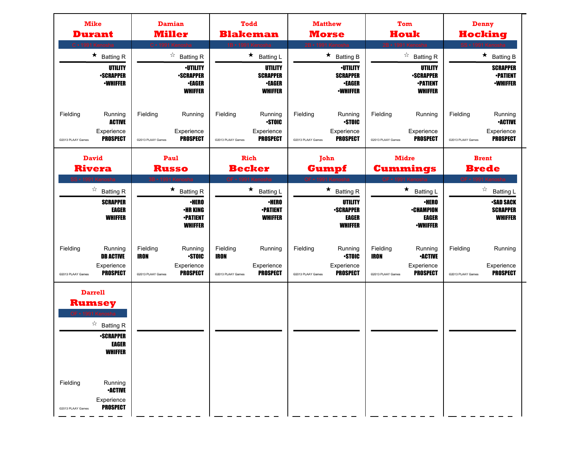| <b>Mike</b><br><b>Durant</b>                                                                                                                                                                                                         | Damian<br><b>Miller</b>                                                                                                                     | <b>Todd</b><br><b>Blakeman</b>                                                                                          | <b>Matthew</b><br><b>Morse</b>                                                                                             | Tom<br>Houk                                                                                                                  | Denny<br>Hocking                                                                                                     |
|--------------------------------------------------------------------------------------------------------------------------------------------------------------------------------------------------------------------------------------|---------------------------------------------------------------------------------------------------------------------------------------------|-------------------------------------------------------------------------------------------------------------------------|----------------------------------------------------------------------------------------------------------------------------|------------------------------------------------------------------------------------------------------------------------------|----------------------------------------------------------------------------------------------------------------------|
| C · 1991 Ker<br>$\star$ Batting R<br>UTILITY<br><b>-SCRAPPER</b><br><b><i>•WHIFFER</i></b>                                                                                                                                           | C · 1991 Kenosha<br>$\overrightarrow{a}$ Batting R<br><b><i>•UTILITY</i></b><br><b>-SCRAPPER</b><br><b>•EAGER</b><br><b>WHIFFER</b>         | 1B · 1991 Kenosha<br>$\star$ Batting L<br>UTILITY<br><b>SCRAPPER</b><br><b>•EAGER</b><br><b>WHIFFER</b>                 | 2B · 1991 Ken<br>$\star$ Batting B<br><b><i>•UTILITY</i></b><br><b>SCRAPPER</b><br><b>•EAGER</b><br><b><i>•WHIFFER</i></b> | 2B · 1991 Ker<br>$\overrightarrow{a}$ Batting R<br>UTILITY<br><b>-SCRAPPER</b><br><b>•PATIENT</b><br><b>WHIFFER</b>          | SS · 1991 K<br>$\star$ Batting B<br><b>SCRAPPER</b><br><b>-PATIENT</b><br><b>-WHIFFER</b>                            |
| Fielding<br>Running<br><b>ACTIVE</b><br>Experience<br><b>PROSPECT</b><br>@2013 PLAAY Games                                                                                                                                           | Fielding<br>Running<br>Experience<br><b>PROSPECT</b><br>@2013 PLAAY Games                                                                   | Fielding<br>Running<br><b>STOIC</b><br>Experience<br><b>PROSPECT</b><br>@2013 PLAAY Games                               | Fielding<br>Running<br><b>STOIC</b><br>Experience<br><b>PROSPECT</b><br>@2013 PLAAY Games                                  | Fielding<br>Running<br>Experience<br><b>PROSPECT</b><br>@2013 PLAAY Games                                                    | Fielding<br>Running<br><b>•ACTIVE</b><br>Experience<br><b>PROSPECT</b><br>@2013 PLAAY Games                          |
| <b>David</b><br><b>Rivera</b>                                                                                                                                                                                                        | Paul<br><b>Russo</b>                                                                                                                        | <b>Rich</b><br><b>Becker</b>                                                                                            | John<br>Gumpf                                                                                                              | <b>Midre</b><br>Cummings                                                                                                     | <b>Brent</b><br><b>Brede</b>                                                                                         |
| SS • 1991 K<br>☆<br><b>Batting R</b><br><b>SCRAPPER</b><br>EAGER<br><b>WHIFFER</b><br>Fielding<br>Running                                                                                                                            | 3B · 1991 Ker<br>$\star$<br><b>Batting R</b><br><b>·HERO</b><br><b>•HR KING</b><br><b>-PATIENT</b><br><b>WHIFFER</b><br>Fielding<br>Running | OF • 1991 Ke<br>$\star$<br><b>Batting L</b><br><b>·HERO</b><br><b>-PATIENT</b><br><b>WHIFFER</b><br>Fielding<br>Running | OF • 1991 Ke<br>★<br><b>Batting R</b><br>UTILITY<br><b>-SCRAPPER</b><br>EAGER<br><b>WHIFFER</b><br>Fielding<br>Running     | OF • 1991 Ke<br>★<br><b>Batting L</b><br><b>•HERO</b><br><b>•CHAMPION</b><br>EAGER<br><b>•WHIFFER</b><br>Fielding<br>Running | OF • 1991 K<br>☆<br><b>Batting L</b><br><b>•SAD SACK</b><br><b>SCRAPPER</b><br><b>WHIFFER</b><br>Fielding<br>Running |
| <b>DB ACTIVE</b><br>Experience<br><b>PROSPECT</b><br>@2013 PLAAY Games                                                                                                                                                               | <b>STOIC</b><br><b>IRON</b><br>Experience<br><b>PROSPECT</b><br>@2013 PLAAY Games                                                           | <b>IRON</b><br>Experience<br><b>PROSPECT</b><br>@2013 PLAAY Games                                                       | <b>STOIC</b><br>Experience<br><b>PROSPECT</b><br>@2013 PLAAY Games                                                         | <b>IRON</b><br><b>•ACTIVE</b><br>Experience<br><b>PROSPECT</b><br>@2013 PLAAY Games                                          | Experience<br><b>PROSPECT</b><br>@2013 PLAAY Games                                                                   |
| <b>Darrell</b><br><b>Rumsey</b><br>OF • 1991 Kenosha<br>$\overrightarrow{a}$ Batting R<br><b>-SCRAPPER</b><br>EAGER<br><b>WHIFFER</b><br>Fielding<br>Running<br><b>•ACTIVE</b><br>Experience<br><b>PROSPECT</b><br>@2013 PLAAY Games |                                                                                                                                             |                                                                                                                         |                                                                                                                            |                                                                                                                              |                                                                                                                      |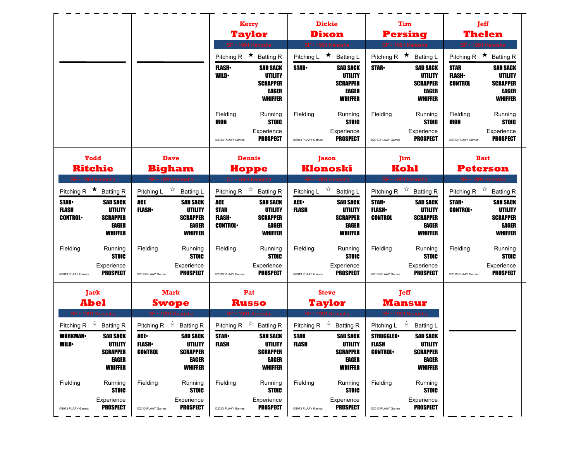|                                                                                                                                                                           |                                                                                                        |                                                                                                     |                                                                              | <b>Kerry</b>                                                                                        | <b>Dickie</b>                                                        |                                                                                              | Tim                                                                                      |                                                                                                   |                                               | <b>Jeff</b>                                                                            |
|---------------------------------------------------------------------------------------------------------------------------------------------------------------------------|--------------------------------------------------------------------------------------------------------|-----------------------------------------------------------------------------------------------------|------------------------------------------------------------------------------|-----------------------------------------------------------------------------------------------------|----------------------------------------------------------------------|----------------------------------------------------------------------------------------------|------------------------------------------------------------------------------------------|---------------------------------------------------------------------------------------------------|-----------------------------------------------|----------------------------------------------------------------------------------------|
|                                                                                                                                                                           |                                                                                                        |                                                                                                     |                                                                              | <b>Taylor</b>                                                                                       | <b>Dixon</b>                                                         |                                                                                              |                                                                                          | <b>Persing</b>                                                                                    |                                               | Thelen                                                                                 |
|                                                                                                                                                                           |                                                                                                        |                                                                                                     |                                                                              | SP • 1991 Kenosha<br>Pitching R $\star$ Batting R                                                   | SP · 1991 Kenosha<br>Pitching L                                      | $\star$<br><b>Batting L</b>                                                                  | Pitching R $\star$                                                                       | SP · 1991 Kenosha<br><b>Batting L</b>                                                             | Pitching R                                    | SP · 1991 Kenosha<br>$\star$<br><b>Batting R</b>                                       |
|                                                                                                                                                                           |                                                                                                        |                                                                                                     | <b>FLASH</b><br><b>WILD</b>                                                  | <b>SAD SACK</b><br>UTILITY<br><b>SCRAPPER</b><br>EAGER<br><b>WHIFFER</b>                            | <b>STAR</b>                                                          | <b>SAD SACK</b><br><b>UTILITY</b><br><b>SCRAPPER</b><br><b>EAGER</b><br><b>WHIFFER</b>       | <b>STAR</b>                                                                              | <b>SAD SACK</b><br>UTILITY<br><b>SCRAPPER</b><br>EAGER<br><b>WHIFFER</b>                          | <b>STAR</b><br><b>FLASH</b><br><b>CONTROL</b> | <b>SAD SACK</b><br>UTILITY<br><b>SCRAPPER</b><br><b>EAGER</b><br><b>WHIFFER</b>        |
|                                                                                                                                                                           |                                                                                                        |                                                                                                     | Fielding<br><b>IRON</b><br>@2013 PLAAY Games                                 | Running<br><b>STOIC</b><br>Experience<br><b>PROSPECT</b>                                            | Fielding<br>@2013 PLAAY Games                                        | Running<br><b>STOIC</b><br>Experience<br><b>PROSPECT</b>                                     | Fielding<br>@2013 PLAAY Games                                                            | Running<br><b>STOIC</b><br>Experience<br><b>PROSPECT</b>                                          | Fielding<br><b>IRON</b><br>@2013 PLAAY Games  | Running<br><b>STOIC</b><br>Experience<br><b>PROSPECT</b>                               |
| <b>Todd</b>                                                                                                                                                               |                                                                                                        | <b>Dave</b>                                                                                         |                                                                              | <b>Dennis</b>                                                                                       | <b>Jason</b>                                                         |                                                                                              |                                                                                          | Jim                                                                                               |                                               | <b>Bart</b>                                                                            |
| <b>Ritchie</b>                                                                                                                                                            |                                                                                                        | <b>Bigham</b>                                                                                       |                                                                              | <b>Hoppe</b>                                                                                        | Klonoski                                                             |                                                                                              | Kohl                                                                                     |                                                                                                   |                                               | <b>Peterson</b>                                                                        |
| SP · 1991 Kenosha<br>Pitching R $\star$ Batting R                                                                                                                         |                                                                                                        | RP · 1991 Kenosha<br>Pitching L $\overrightarrow{x}$ Batting L                                      |                                                                              | CL . 1991 Kennsha<br>Pitching R $\overrightarrow{x}$ Batting R                                      | RP · 1991 Kenosha<br>Pitching L $\sqrt[3]{x}$                        | <b>Batting L</b>                                                                             | Pitching R $\overrightarrow{x}$ Batting R                                                | RP • 1991 Kenosha                                                                                 |                                               | RP · 1991 Kenosha<br>Pitching R $\overrightarrow{x}$ Batting R                         |
| <b>STAR</b><br><b>SAD SACK</b><br><b>FLASH</b><br><b>UTILITY</b><br><b>SCRAPPER</b><br><b>CONTROL</b><br><b>WHIFFER</b>                                                   | <b>ACE</b><br><b>FLASH</b><br>EAGER                                                                    | <b>SAD SACK</b><br>UTILITY<br><b>SCRAPPER</b><br>EAGER<br><b>WHIFFER</b>                            | <b>ACE</b><br><b>STAR</b><br><b>FLASH</b><br><b>CONTROL</b>                  | <b>SAD SACK</b><br>UTILITY<br><b>SCRAPPER</b><br>EAGER<br><b>WHIFFER</b>                            | ACE.<br><b>FLASH</b>                                                 | <b>SAD SACK</b><br>UTILITY<br><b>SCRAPPER</b><br>EAGER<br><b>WHIFFER</b>                     | <b>STAR</b><br><b>FLASH</b><br><b>CONTROL</b>                                            | <b>SAD SACK</b><br><b>UTILITY</b><br><b>SCRAPPER</b><br><b>EAGER</b><br><b>WHIFFER</b>            | <b>STAR</b><br><b>CONTROL</b>                 | <b>SAD SACK</b><br><b>UTILITY</b><br><b>SCRAPPER</b><br><b>EAGER</b><br><b>WHIFFER</b> |
| Fielding<br>Running<br>Experience<br><b>PROSPECT</b><br>@2013 PLAAY Games                                                                                                 | Fielding<br><b>STOIC</b><br>@2013 PLAAY Games                                                          | Running<br><b>STOIC</b><br>Experience<br><b>PROSPECT</b>                                            | Fielding<br>@2013 PLAAY Games                                                | Running<br><b>STOIC</b><br>Experience<br><b>PROSPECT</b>                                            | Fielding<br>@2013 PLAAY Games                                        | Running<br><b>STOIC</b><br>Experience<br><b>PROSPECT</b>                                     | Fielding<br>@2013 PLAAY Games                                                            | Running<br><b>STOIC</b><br>Experience<br><b>PROSPECT</b>                                          | Fielding<br>@2013 PLAAY Games                 | Running<br><b>STOIC</b><br>Experience<br><b>PROSPECT</b>                               |
| Jack                                                                                                                                                                      |                                                                                                        | <b>Mark</b>                                                                                         |                                                                              | Pat                                                                                                 | <b>Steve</b>                                                         |                                                                                              |                                                                                          | <b>Jeff</b>                                                                                       |                                               |                                                                                        |
| <b>Abel</b>                                                                                                                                                               |                                                                                                        | <b>Swope</b>                                                                                        |                                                                              | <b>Russo</b>                                                                                        |                                                                      | Taylor                                                                                       |                                                                                          | <b>Mansur</b>                                                                                     |                                               |                                                                                        |
| <b>RP • 1991 Kend</b><br>Pitching R $\sqrt[3]{x}$<br><b>Batting R</b><br><b>SAD SACK</b><br><b>WORKMAN</b><br><b>WILD</b><br>UTILITY<br><b>SCRAPPER</b><br><b>WHIFFER</b> | Pitching R $\overset{\leftrightarrow}{\sim}$<br>ACE.<br><b>FLASH</b><br><b>CONTROL</b><br><b>EAGER</b> | <b>Batting R</b><br><b>SAD SACK</b><br><b>UTILITY</b><br><b>SCRAPPER</b><br>EAGER<br><b>WHIFFER</b> | Pitching R $\overset{\leftrightarrow}{\sim}$<br><b>STAR-</b><br><b>FLASH</b> | <b>Batting R</b><br><b>SAD SACK</b><br><b>UTILITY</b><br><b>SCRAPPER</b><br>EAGER<br><b>WHIFFER</b> | Pitching R $\overset{\leftrightarrow}{\sim}$<br><b>STAR</b><br>FLASH | <b>Batting R</b><br><b>SAD SACK</b><br>UTILITY<br><b>SCRAPPER</b><br>EAGER<br><b>WHIFFER</b> | <b>RP</b> • 1991 Ken<br>Pitching L<br><b>STRUGGLER</b><br><b>FLASH</b><br><b>CONTROL</b> | ☆<br><b>Batting L</b><br><b>SAD SACK</b><br>UTILITY<br><b>SCRAPPER</b><br>EAGER<br><b>WHIFFER</b> |                                               |                                                                                        |
| Fielding<br>Running<br>Experience                                                                                                                                         | Fielding<br><b>STOIC</b>                                                                               | Running<br><b>STOIC</b><br>Experience                                                               | Fielding                                                                     | Running<br><b>STOIC</b><br>Experience                                                               | Fielding                                                             | Running<br><b>STOIC</b><br>Experience                                                        | Fielding                                                                                 | Running<br><b>STOIC</b><br>Experience                                                             |                                               |                                                                                        |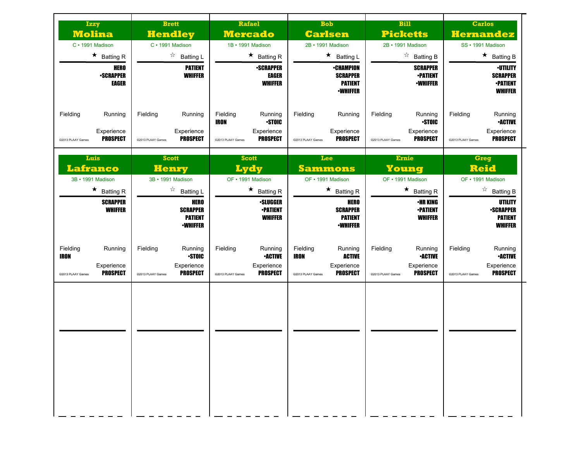| <b>Izzy</b><br><b>Molina</b><br>C · 1991 Madison                                         | <b>Brett</b><br><b>Hendley</b><br>C · 1991 Madison                                        | Rafael<br><b>Mercado</b><br>1B • 1991 Madison                                                     | <b>Bob</b><br><b>Carlsen</b><br>2B • 1991 Madison                                                         | <b>Bill</b><br><b>Picketts</b><br>2B · 1991 Madison                                         | <b>Carlos</b><br><b>Hernandez</b><br>SS · 1991 Madison                                      |
|------------------------------------------------------------------------------------------|-------------------------------------------------------------------------------------------|---------------------------------------------------------------------------------------------------|-----------------------------------------------------------------------------------------------------------|---------------------------------------------------------------------------------------------|---------------------------------------------------------------------------------------------|
| $\star$ Batting R                                                                        | ☆<br><b>Batting L</b>                                                                     | $\star$ Batting R                                                                                 | $\star$<br><b>Batting L</b>                                                                               | ☆<br><b>Batting B</b>                                                                       | $\star$ Batting B                                                                           |
| <b>HERO</b><br><b>•SCRAPPER</b><br><b>EAGER</b>                                          | <b>PATIENT</b><br><b>WHIFFER</b>                                                          | <b>-SCRAPPER</b><br>EAGER<br><b>WHIFFER</b>                                                       | <b>•CHAMPION</b><br><b>SCRAPPER</b><br><b>PATIENT</b><br><b>·WHIFFER</b>                                  | <b>SCRAPPER</b><br><b>•PATIENT</b><br><b>•WHIFFER</b>                                       | <b>•UTILITY</b><br><b>SCRAPPER</b><br><b>•PATIENT</b><br><b>WHIFFER</b>                     |
| Fielding<br>Running<br>Experience<br><b>PROSPECT</b><br>@2013 PLAAY Games                | Fielding<br>Running<br>Experience<br><b>PROSPECT</b><br>@2013 PLAAY Games                 | Fielding<br>Running<br><b>STOIC</b><br>IRON<br>Experience<br><b>PROSPECT</b><br>@2013 PLAAY Games | Fielding<br>Running<br>Experience<br><b>PROSPECT</b><br>@2013 PLAAY Games                                 | Fielding<br>Running<br><b>STOIC</b><br>Experience<br><b>PROSPECT</b><br>@2013 PLAAY Games   | Fielding<br>Running<br><b>•ACTIVE</b><br>Experience<br><b>PROSPECT</b><br>@2013 PLAAY Games |
| Luis<br>Lafranco                                                                         | <b>Scott</b><br>Henry                                                                     | <b>Scott</b><br><b>Lydy</b>                                                                       | Lee<br><b>Sammons</b>                                                                                     | <b>Ernie</b><br>Young                                                                       | <b>Greg</b><br><b>Reid</b>                                                                  |
| 3B · 1991 Madison<br>$\star$ Batting R                                                   | 3B · 1991 Madison<br>☆                                                                    | OF • 1991 Madison<br>$\star$<br><b>Batting R</b>                                                  | OF • 1991 Madison<br>$\star$<br><b>Batting R</b>                                                          | OF • 1991 Madison<br>$\star$ Batting R                                                      | OF • 1991 Madison<br>$\overrightarrow{a}$ Batting B                                         |
| <b>SCRAPPER</b><br><b>WHIFFER</b>                                                        | <b>Batting L</b><br><b>HERO</b><br><b>SCRAPPER</b><br><b>PATIENT</b><br><b>•WHIFFER</b>   | <b>•SLUGGER</b><br><b>-PATIENT</b><br><b>WHIFFER</b>                                              | <b>HERO</b><br><b>SCRAPPER</b><br><b>PATIENT</b><br><b>·WHIFFER</b>                                       | <b>•HR KING</b><br><b>•PATIENT</b><br><b>WHIFFER</b>                                        | UTILITY<br><b>-SCRAPPER</b><br><b>PATIENT</b><br><b>WHIFFER</b>                             |
| Fielding<br>Running<br><b>IRON</b><br>Experience<br><b>PROSPECT</b><br>@2013 PLAAY Games | Fielding<br>Running<br><b>STOIC</b><br>Experience<br><b>PROSPECT</b><br>@2013 PLAAY Games | Fielding<br>Running<br><b>•ACTIVE</b><br>Experience<br><b>PROSPECT</b><br>@2013 PLAAY Games       | Fielding<br>Running<br><b>IRON</b><br><b>ACTIVE</b><br>Experience<br><b>PROSPECT</b><br>@2013 PLAAY Games | Fielding<br>Running<br><b>•ACTIVE</b><br>Experience<br><b>PROSPECT</b><br>@2013 PLAAY Games | Fielding<br>Running<br><b>-ACTIVE</b><br>Experience<br><b>PROSPECT</b><br>@2013 PLAAY Games |
|                                                                                          |                                                                                           |                                                                                                   |                                                                                                           |                                                                                             |                                                                                             |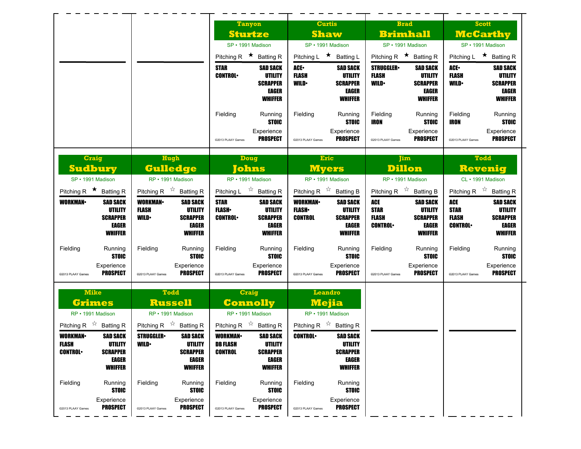|                                                                                                      |                                                                                                  | <b>Tanyon</b>                                                                                                    | <b>Curtis</b>                                                                                                   | <b>Brad</b>                                                                                                                 | <b>Scott</b>                                                                                                           |
|------------------------------------------------------------------------------------------------------|--------------------------------------------------------------------------------------------------|------------------------------------------------------------------------------------------------------------------|-----------------------------------------------------------------------------------------------------------------|-----------------------------------------------------------------------------------------------------------------------------|------------------------------------------------------------------------------------------------------------------------|
|                                                                                                      |                                                                                                  | <b>Sturtze</b>                                                                                                   | <b>Shaw</b>                                                                                                     | <b>Brimhall</b>                                                                                                             | <b>McCarthy</b>                                                                                                        |
|                                                                                                      |                                                                                                  | SP · 1991 Madison                                                                                                | SP · 1991 Madison                                                                                               | SP · 1991 Madison                                                                                                           | SP · 1991 Madison                                                                                                      |
|                                                                                                      |                                                                                                  | Pitching R $\star$ Batting R                                                                                     | Pitching L ★ Batting L                                                                                          | Pitching R $\star$ Batting R                                                                                                | Pitching L $\star$ Batting R                                                                                           |
|                                                                                                      |                                                                                                  | <b>STAR</b><br><b>SAD SACK</b><br><b>UTILITY</b><br><b>CONTROL</b><br><b>SCRAPPER</b><br>EAGER<br><b>WHIFFER</b> | ACE.<br><b>SAD SACK</b><br><b>FLASH</b><br>UTILITY<br><b>WILD</b><br><b>SCRAPPER</b><br>EAGER<br><b>WHIFFER</b> | <b>STRUGGLER</b><br><b>SAD SACK</b><br><b>FLASH</b><br>UTILITY<br><b>WILD</b><br><b>SCRAPPER</b><br>EAGER<br><b>WHIFFER</b> | ACE.<br><b>SAD SACK</b><br><b>FLASH</b><br><b>UTILITY</b><br><b>WILD</b><br><b>SCRAPPER</b><br>EAGER<br><b>WHIFFER</b> |
|                                                                                                      |                                                                                                  | Fielding<br>Running<br><b>STOIC</b><br>Experience<br><b>PROSPECT</b><br>@2013 PLAAY Games                        | Running<br>Fielding<br><b>STOIC</b><br>Experience<br><b>PROSPECT</b><br>@2013 PLAAY Games                       | Fielding<br>Running<br><b>STOIC</b><br><b>IRON</b><br>Experience<br><b>PROSPECT</b><br>@2013 PLAAY Games                    | Fielding<br>Running<br>IRON<br><b>STOIC</b><br>Experience<br><b>PROSPECT</b><br>@2013 PLAAY Games                      |
| <b>Craig</b><br><b>Sudbury</b>                                                                       | Hugh<br><b>Gulledge</b>                                                                          | <b>Doug</b><br>Johns                                                                                             | Eric<br><b>Myers</b>                                                                                            | <b>Jim</b><br><b>Dillon</b>                                                                                                 | <b>Todd</b><br><b>Revenig</b>                                                                                          |
| SP · 1991 Madison                                                                                    | RP · 1991 Madison                                                                                | RP · 1991 Madison                                                                                                | RP · 1991 Madison                                                                                               | RP · 1991 Madison                                                                                                           | CL · 1991 Madison                                                                                                      |
| Pitching R $\star$ Batting R                                                                         | Pitching R $\overrightarrow{x}$ Batting R                                                        | Pitching L $\vec{r}$ Batting R                                                                                   | Pitching R $\overrightarrow{x}$ Batting B                                                                       | Pitching R $\overrightarrow{x}$ Batting B                                                                                   | Pitching R $\overrightarrow{x}$ Batting R                                                                              |
| <b>SAD SACK</b><br><b>WORKMAN</b><br><b>UTILITY</b>                                                  | <b>WORKMAN</b><br><b>SAD SACK</b><br><b>FLASH</b><br>UTILITY                                     | <b>STAR</b><br><b>SAD SACK</b><br><b>FLASH</b><br><b>UTILITY</b>                                                 | <b>WORKMAN-</b><br><b>SAD SACK</b><br><b>FLASH</b><br><b>UTILITY</b>                                            | ACE<br><b>SAD SACK</b><br><b>STAR</b><br>UTILITY                                                                            | <b>ACE</b><br><b>SAD SACK</b><br><b>STAR</b><br><b>UTILITY</b>                                                         |
| <b>SCRAPPER</b><br>EAGER<br><b>WHIFFER</b>                                                           | <b>WILD</b><br><b>SCRAPPER</b><br><b>EAGER</b><br><b>WHIFFER</b>                                 | <b>CONTROL</b><br><b>SCRAPPER</b><br>EAGER<br><b>WHIFFER</b>                                                     | CONTROL<br><b>SCRAPPER</b><br>EAGER<br><b>WHIFFER</b>                                                           | <b>FLASH</b><br><b>SCRAPPER</b><br><b>CONTROL</b><br><b>EAGER</b><br><b>WHIFFER</b>                                         | <b>FLASH</b><br><b>SCRAPPER</b><br><b>CONTROL</b><br><b>EAGER</b><br><b>WHIFFER</b>                                    |
| Fielding<br>Running<br><b>STOIC</b>                                                                  | Fielding<br>Running<br><b>STOIC</b>                                                              | Fielding<br>Running<br><b>STOIC</b>                                                                              | Running<br>Fielding<br><b>STOIC</b>                                                                             | Fielding<br>Running<br><b>STOIC</b>                                                                                         | Fielding<br>Running<br><b>STOIC</b>                                                                                    |
| Experience<br><b>PROSPECT</b><br>@2013 PLAAY Games                                                   | Experience<br><b>PROSPECT</b><br>@2013 PLAAY Games                                               | Experience<br><b>PROSPECT</b><br>@2013 PLAAY Games                                                               | Experience<br><b>PROSPECT</b><br>@2013 PLAAY Games                                                              | Experience<br><b>PROSPECT</b><br>@2013 PLAAY Games                                                                          | Experience<br><b>PROSPECT</b><br>@2013 PLAAY Games                                                                     |
| <b>Mike</b><br><b>Grimes</b><br>RP · 1991 Madison                                                    | <b>Todd</b><br><b>Russell</b><br>RP · 1991 Madison                                               | <b>Craig</b><br><b>Connolly</b><br>RP · 1991 Madison                                                             | <b>Leandro</b><br><b>Mejia</b><br>RP · 1991 Madison                                                             |                                                                                                                             |                                                                                                                        |
| Pitching R $\overrightarrow{x}$ Batting R                                                            | Pitching R $\overrightarrow{A}$ Batting R                                                        | Pitching R $\overrightarrow{x}$ Batting R                                                                        | Pitching R $\overrightarrow{x}$ Batting R                                                                       |                                                                                                                             |                                                                                                                        |
| <b>WORKMAN-</b><br><b>SAD SACK</b><br>FLASH<br>UTILITY<br><b>CONTROL</b><br><b>SCRAPPER</b><br>EAGER | <b>STRUGGLER</b><br><b>SAD SACK</b><br><b>WILD</b><br>UTILITY<br><b>SCRAPPER</b><br><b>EAGER</b> | <b>WORKMAN</b><br><b>SAD SACK</b><br>DB FLASH<br>UTILITY<br><b>CONTROL</b><br><b>SCRAPPER</b><br>EAGER           | <b>CONTROL</b><br><b>SAD SACK</b><br>UTILITY<br><b>SCRAPPER</b><br>EAGER                                        |                                                                                                                             |                                                                                                                        |
| <b>WHIFFER</b><br>Fielding<br>Running<br><b>STOIC</b>                                                | <b>WHIFFER</b><br>Fielding<br>Running<br><b>STOIC</b>                                            | <b>WHIFFER</b><br>Fielding<br>Running<br><b>STOIC</b>                                                            | <b>WHIFFER</b><br>Fielding<br>Running<br><b>STOIC</b>                                                           |                                                                                                                             |                                                                                                                        |
| Experience<br><b>PROSPECT</b>                                                                        | Experience                                                                                       | Experience                                                                                                       | Experience                                                                                                      |                                                                                                                             |                                                                                                                        |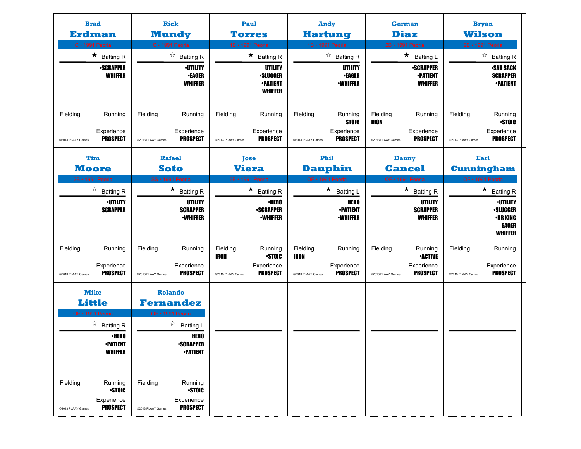| <b>Brad</b><br>C · 1991 Peoria | Erdman                                                   | <b>Rick</b><br><b>Mundy</b><br>C · 1991 Peoria |                                                          |                                       | Paul<br><b>Torres</b><br>1B · 1991 Peoria                       |                                       | <b>Andy</b><br><b>Hartung</b><br>1B · 1991 Peoria        |                                              | <b>German</b><br><b>Diaz</b><br>2B · 1991 Peoria           |                               | <b>Bryan</b><br><b>Wilson</b><br>2B · 1991 Peoria             |
|--------------------------------|----------------------------------------------------------|------------------------------------------------|----------------------------------------------------------|---------------------------------------|-----------------------------------------------------------------|---------------------------------------|----------------------------------------------------------|----------------------------------------------|------------------------------------------------------------|-------------------------------|---------------------------------------------------------------|
|                                | $\star$ Batting R                                        |                                                | $\overrightarrow{a}$ Batting R                           |                                       | $\star$ Batting R                                               |                                       | $\overrightarrow{a}$ Batting R                           |                                              | $\star$<br><b>Batting L</b>                                |                               | ☆<br><b>Batting R</b>                                         |
|                                | <b>•SCRAPPER</b><br><b>WHIFFER</b>                       |                                                | <b>•UTILITY</b><br><b>•EAGER</b><br><b>WHIFFER</b>       |                                       | UTILITY<br><b>•SLUGGER</b><br><b>•PATIENT</b><br><b>WHIFFER</b> |                                       | UTILITY<br><b>•EAGER</b><br><b>-WHIFFER</b>              |                                              | <b>-SCRAPPER</b><br><b>•PATIENT</b><br><b>WHIFFER</b>      |                               | •SAD SACK<br><b>SCRAPPER</b><br><b>•PATIENT</b>               |
| Fielding<br>@2013 PLAAY Games  | Running<br>Experience<br><b>PROSPECT</b>                 | Fielding<br>@2013 PLAAY Games                  | Running<br>Experience<br><b>PROSPECT</b>                 | Fielding<br>@2013 PLAAY Games         | Running<br>Experience<br><b>PROSPECT</b>                        | Fielding<br>@2013 PLAAY Games         | Running<br><b>STOIC</b><br>Experience<br><b>PROSPECT</b> | Fielding<br><b>IRON</b><br>@2013 PLAAY Games | Running<br>Experience<br><b>PROSPECT</b>                   | Fielding<br>@2013 PLAAY Games | Running<br><b>STOIC</b><br>Experience<br><b>PROSPECT</b>      |
|                                | <b>Tim</b>                                               | Rafael                                         |                                                          |                                       | <b>Jose</b>                                                     |                                       | Phil                                                     |                                              | <b>Danny</b>                                               |                               | Earl                                                          |
| <b>Moore</b>                   |                                                          | <b>Soto</b>                                    |                                                          |                                       | <b>Viera</b>                                                    |                                       | <b>Dauphin</b>                                           |                                              | <b>Cancel</b>                                              |                               | <b>Cunningham</b>                                             |
| 2B · 1991 Peoria               |                                                          | SS · 1991 Peoria                               |                                                          |                                       | 3B · 1991 Peoria                                                |                                       | OF · 1991 Peoria                                         |                                              | OF • 1991 Peoria                                           |                               | OF • 1991 Peoria                                              |
|                                | $\overrightarrow{a}$ Batting R<br><b>·UTILITY</b>        |                                                | $\star$ Batting R<br>UTILITY                             |                                       | $\star$ Batting R<br>∙HERO                                      |                                       | $\star$ Batting L<br><b>HERO</b>                         |                                              | $\star$ Batting R<br>UTILITY                               |                               | $\star$ Batting R<br><b>•UTILITY</b>                          |
|                                | <b>SCRAPPER</b>                                          |                                                | <b>SCRAPPER</b><br><b>•WHIFFER</b>                       |                                       | <b>-SCRAPPER</b><br><b>•WHIFFER</b>                             |                                       | <b>•PATIENT</b><br><b>•WHIFFER</b>                       |                                              | <b>SCRAPPER</b><br><b>WHIFFER</b>                          |                               | <b>•SLUGGER</b><br>•HR KING<br><b>EAGER</b><br><b>WHIFFER</b> |
| Fielding<br>@2013 PLAAY Games  | Running<br>Experience<br><b>PROSPECT</b>                 | Fielding<br>@2013 PLAAY Games                  | Running<br>Experience<br><b>PROSPECT</b>                 | Fielding<br>IRON<br>@2013 PLAAY Games | Running<br><b>STOIC</b><br>Experience<br><b>PROSPECT</b>        | Fielding<br>IRON<br>@2013 PLAAY Games | Running<br>Experience<br><b>PROSPECT</b>                 | Fielding<br>@2013 PLAAY Games                | Running<br><b>•ACTIVE</b><br>Experience<br><b>PROSPECT</b> | Fielding<br>@2013 PLAAY Games | Running<br>Experience<br><b>PROSPECT</b>                      |
|                                |                                                          |                                                |                                                          |                                       |                                                                 |                                       |                                                          |                                              |                                                            |                               |                                                               |
| <b>Mike</b><br><b>Little</b>   |                                                          | <b>Rolando</b><br><b>Fernandez</b>             |                                                          |                                       |                                                                 |                                       |                                                          |                                              |                                                            |                               |                                                               |
| OF • 1991 Peoria               |                                                          | OF • 1991 Peoria                               |                                                          |                                       |                                                                 |                                       |                                                          |                                              |                                                            |                               |                                                               |
|                                | $\overrightarrow{a}$ Batting R<br><b>·HERO</b>           |                                                | $\overrightarrow{a}$ Batting L<br><b>HERO</b>            |                                       |                                                                 |                                       |                                                          |                                              |                                                            |                               |                                                               |
|                                | <b>•PATIENT</b><br><b>WHIFFER</b>                        |                                                | <b>•SCRAPPER</b><br><b>-PATIENT</b>                      |                                       |                                                                 |                                       |                                                          |                                              |                                                            |                               |                                                               |
| Fielding<br>@2013 PLAAY Games  | Running<br><b>STOIC</b><br>Experience<br><b>PROSPECT</b> | Fielding<br>@2013 PLAAY Games                  | Running<br><b>STOIC</b><br>Experience<br><b>PROSPECT</b> |                                       |                                                                 |                                       |                                                          |                                              |                                                            |                               |                                                               |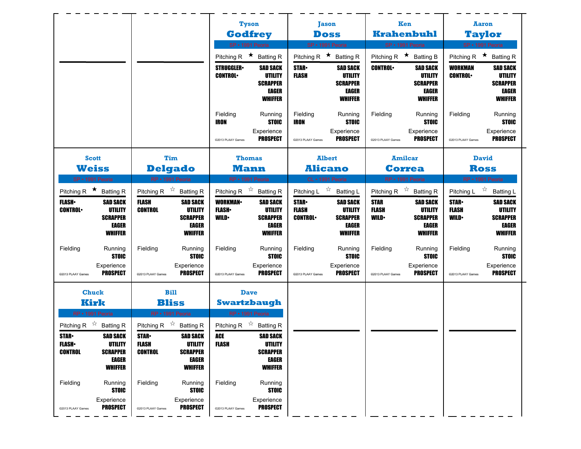|                                                                                                                |                                                                                        |                                                                                            |                                                                                              |                                                                  | <b>Tyson</b>                                                                                 |                                               | <b>Jason</b>                                                                    | Ken                                        |                                                                                 |                                            | <b>Aaron</b>                                                                    |
|----------------------------------------------------------------------------------------------------------------|----------------------------------------------------------------------------------------|--------------------------------------------------------------------------------------------|----------------------------------------------------------------------------------------------|------------------------------------------------------------------|----------------------------------------------------------------------------------------------|-----------------------------------------------|---------------------------------------------------------------------------------|--------------------------------------------|---------------------------------------------------------------------------------|--------------------------------------------|---------------------------------------------------------------------------------|
|                                                                                                                |                                                                                        |                                                                                            |                                                                                              |                                                                  | <b>Godfrey</b>                                                                               | <b>Doss</b>                                   |                                                                                 |                                            | <b>Krahenbuhl</b>                                                               |                                            | <b>Taylor</b>                                                                   |
|                                                                                                                |                                                                                        |                                                                                            |                                                                                              |                                                                  | SP · 1991 Peoria                                                                             | SP · 1991 Peoria                              |                                                                                 | SP · 1991 Peoria                           |                                                                                 |                                            | SP · 1991 Peoria                                                                |
|                                                                                                                |                                                                                        |                                                                                            |                                                                                              | Pitching R $\star$ Batting R                                     |                                                                                              | Pitching R $\star$ Batting R                  |                                                                                 | Pitching R $\star$ Batting B               |                                                                                 |                                            | Pitching R $\star$ Batting R                                                    |
|                                                                                                                |                                                                                        |                                                                                            |                                                                                              | <b>STRUGGLER</b><br><b>CONTROL</b>                               | <b>SAD SACK</b><br>UTILITY<br><b>SCRAPPER</b><br>EAGER<br><b>WHIFFER</b>                     | <b>STAR</b><br>FLASH                          | <b>SAD SACK</b><br><b>UTILITY</b><br><b>SCRAPPER</b><br>EAGER<br><b>WHIFFER</b> | <b>CONTROL</b>                             | <b>SAD SACK</b><br>UTILITY<br><b>SCRAPPER</b><br>EAGER<br><b>WHIFFER</b>        | <b>WORKMAN</b><br><b>CONTROL</b>           | <b>SAD SACK</b><br>UTILITY<br><b>SCRAPPER</b><br><b>EAGER</b><br><b>WHIFFER</b> |
|                                                                                                                |                                                                                        |                                                                                            |                                                                                              | Fielding<br><b>IRON</b><br>@2013 PLAAY Games                     | Running<br><b>STOIC</b><br>Experience<br><b>PROSPECT</b>                                     | Fielding<br><b>IRON</b><br>@2013 PLAAY Games  | Running<br><b>STOIC</b><br>Experience<br><b>PROSPECT</b>                        | Fielding<br>@2013 PLAAY Games              | Running<br><b>STOIC</b><br>Experience<br><b>PROSPECT</b>                        | Fielding<br>@2013 PLAAY Games              | Running<br><b>STOIC</b><br>Experience<br><b>PROSPECT</b>                        |
| <b>Scott</b>                                                                                                   |                                                                                        |                                                                                            | Tim                                                                                          |                                                                  | <b>Thomas</b>                                                                                |                                               | <b>Albert</b>                                                                   | <b>Amilcar</b>                             |                                                                                 |                                            | <b>David</b>                                                                    |
| <b>Weiss</b>                                                                                                   |                                                                                        |                                                                                            | <b>Delgado</b>                                                                               |                                                                  | <b>Mann</b>                                                                                  | <b>Alicano</b>                                |                                                                                 |                                            | <b>Correa</b>                                                                   |                                            | <b>Ross</b>                                                                     |
| SP · 1991 Peoria                                                                                               |                                                                                        |                                                                                            | RP · 1991 Peoria                                                                             |                                                                  | RP · 1991 Peoria                                                                             | CL · 1991 Peoria                              |                                                                                 | RP · 1991 Peoria                           |                                                                                 |                                            | RP • 1991 Peoria                                                                |
| Pitching R $\star$ Batting R                                                                                   |                                                                                        | Pitching R $\overrightarrow{x}$ Batting R                                                  |                                                                                              | Pitching R $\overrightarrow{x}$ Batting R                        |                                                                                              | Pitching L $\overrightarrow{x}$ Batting L     |                                                                                 | Pitching R $\overrightarrow{x}$ Batting R  |                                                                                 |                                            | Pitching L $\overrightarrow{r}$ Batting L                                       |
| <b>FLASH</b><br><b>CONTROL</b>                                                                                 | <b>SAD SACK</b><br><b>UTILITY</b><br><b>SCRAPPER</b><br>EAGER<br><b>WHIFFER</b>        | <b>FLASH</b><br><b>CONTROL</b>                                                             | <b>SAD SACK</b><br><b>UTILITY</b><br><b>SCRAPPER</b><br><b>EAGER</b><br><b>WHIFFER</b>       | <b>WORKMAN</b><br><b>FLASH</b><br><b>WILD</b>                    | <b>SAD SACK</b><br><b>UTILITY</b><br><b>SCRAPPER</b><br>EAGER<br><b>WHIFFER</b>              | <b>STAR</b><br><b>FLASH</b><br><b>CONTROL</b> | <b>SAD SACK</b><br>UTILITY<br><b>SCRAPPER</b><br>EAGER<br><b>WHIFFER</b>        | <b>STAR</b><br><b>FLASH</b><br><b>WILD</b> | <b>SAD SACK</b><br>UTILITY<br><b>SCRAPPER</b><br><b>EAGER</b><br><b>WHIFFER</b> | <b>STAR</b><br><b>FLASH</b><br><b>WILD</b> | <b>SAD SACK</b><br>UTILITY<br><b>SCRAPPER</b><br><b>EAGER</b><br><b>WHIFFER</b> |
| Fielding                                                                                                       | Running<br><b>STOIC</b><br>Experience                                                  | Fielding                                                                                   | Running<br><b>STOIC</b><br>Experience                                                        | Fielding                                                         | Running<br><b>STOIC</b><br>Experience                                                        | Fielding                                      | Running<br><b>STOIC</b><br>Experience                                           | Fielding                                   | Running<br><b>STOIC</b><br>Experience                                           | Fielding                                   | Running<br><b>STOIC</b><br>Experience                                           |
| @2013 PLAAY Games                                                                                              | <b>PROSPECT</b>                                                                        | @2013 PLAAY Games                                                                          | <b>PROSPECT</b>                                                                              | @2013 PLAAY Games                                                | <b>PROSPECT</b>                                                                              | @2013 PLAAY Games                             | <b>PROSPECT</b>                                                                 | @2013 PLAAY Games                          | <b>PROSPECT</b>                                                                 | @2013 PLAAY Games                          | <b>PROSPECT</b>                                                                 |
| <b>Chuck</b>                                                                                                   |                                                                                        |                                                                                            | <b>Bill</b>                                                                                  |                                                                  | <b>Dave</b>                                                                                  |                                               |                                                                                 |                                            |                                                                                 |                                            |                                                                                 |
| Kirk                                                                                                           |                                                                                        |                                                                                            | <b>Bliss</b>                                                                                 |                                                                  | <b>Swartzbaugh</b>                                                                           |                                               |                                                                                 |                                            |                                                                                 |                                            |                                                                                 |
| RP · 1991 Peoria<br>Pitching R $\overrightarrow{x}$ Batting R<br><b>STAR</b><br><b>FLASH</b><br><b>CONTROL</b> | <b>SAD SACK</b><br><b>UTILITY</b><br><b>SCRAPPER</b><br><b>EAGER</b><br><b>WHIFFER</b> | Pitching R $\overrightarrow{x}$ Batting R<br><b>STAR</b><br><b>FLASH</b><br><b>CONTROL</b> | RP · 1991 Peoria<br><b>SAD SACK</b><br>UTILITY<br><b>SCRAPPER</b><br>EAGER<br><b>WHIFFER</b> | Pitching R $\overrightarrow{x}$ Batting R<br>ACE<br><b>FLASH</b> | RP · 1991 Peoria<br><b>SAD SACK</b><br>UTILITY<br><b>SCRAPPER</b><br>EAGER<br><b>WHIFFER</b> |                                               |                                                                                 |                                            |                                                                                 |                                            |                                                                                 |
| Fielding                                                                                                       | Running<br><b>STOIC</b><br>Experience                                                  | Fielding                                                                                   | Running<br><b>STOIC</b><br>Experience                                                        | Fielding                                                         | Running<br><b>STOIC</b><br>Experience                                                        |                                               |                                                                                 |                                            |                                                                                 |                                            |                                                                                 |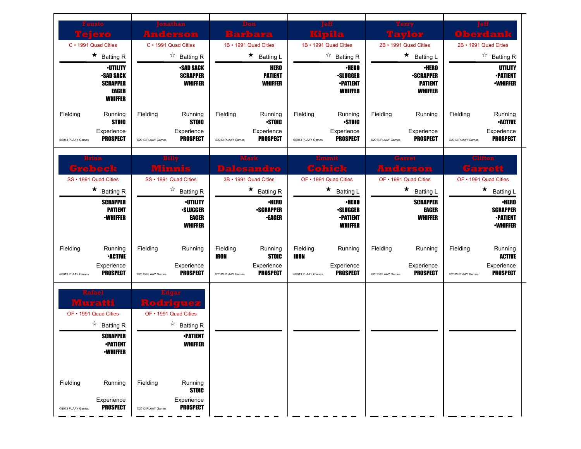| austo<br>elero<br>C · 1991 Quad Cities<br>$\star$ Batting R                                                                        | nathan<br><u> Anderson</u><br>C · 1991 Quad Cities<br>$\overrightarrow{a}$ Batting R                           | Don<br>Barbara<br>1B • 1991 Quad Cities<br>$\star$ Batting L                                                              | 1B • 1991 Quad Cities<br>$\overrightarrow{a}$ Batting R                                                                       | rerry<br>2B • 1991 Quad Cities<br>$\star$<br><b>Batting L</b>                                 | <b>Oberdank</b><br>2B · 1991 Quad Cities<br>$\overrightarrow{a}$ Batting R                                                       |
|------------------------------------------------------------------------------------------------------------------------------------|----------------------------------------------------------------------------------------------------------------|---------------------------------------------------------------------------------------------------------------------------|-------------------------------------------------------------------------------------------------------------------------------|-----------------------------------------------------------------------------------------------|----------------------------------------------------------------------------------------------------------------------------------|
| <b>·UTILITY</b><br><b>-SAD SACK</b><br><b>SCRAPPER</b><br>EAGER<br><b>WHIFFER</b>                                                  | <b>•SAD SACK</b><br><b>SCRAPPER</b><br><b>WHIFFER</b>                                                          | <b>HERO</b><br><b>PATIENT</b><br><b>WHIFFER</b>                                                                           | <b>•HERO</b><br><b>·SLUGGER</b><br><b>•PATIENT</b><br><b>WHIFFER</b>                                                          | <b>•HERO</b><br><b>•SCRAPPER</b><br><b>PATIENT</b><br><b>WHIFFER</b>                          | <b>UTILITY</b><br><b>•PATIENT</b><br><b>-WHIFFER</b>                                                                             |
| Fielding<br>Running<br><b>STOIC</b><br>Experience<br><b>PROSPECT</b><br>@2013 PLAAY Games                                          | Fielding<br>Running<br><b>STOIC</b><br>Experience<br><b>PROSPECT</b><br>@2013 PLAAY Games                      | Fielding<br>Running<br><b>STOIC</b><br>Experience<br><b>PROSPECT</b><br>@2013 PLAAY Games                                 | Fielding<br>Running<br><b>STOIC</b><br>Experience<br><b>PROSPECT</b><br>@2013 PLAAY Games                                     | Fielding<br>Running<br>Experience<br><b>PROSPECT</b><br>@2013 PLAAY Games                     | Fielding<br>Running<br><b>-ACTIVE</b><br>Experience<br><b>PROSPECT</b><br>@2013 PLAAY Games                                      |
| Grebeck<br>SS · 1991 Quad Cities<br>$\star$ Batting R<br><b>SCRAPPER</b><br><b>PATIENT</b>                                         | Minnis<br>SS · 1991 Quad Cities<br>$\overrightarrow{a}$ Batting R<br><b><i>•UTILITY</i></b><br><b>•SLUGGER</b> | <b>Dalesandro</b><br>3B · 1991 Quad Cities<br>★<br><b>Batting R</b><br>∙HERO<br><b>-SCRAPPER</b>                          | Cohick<br>OF • 1991 Quad Cities<br>$\star$<br><b>Batting L</b><br><b>•HERO</b><br><b>·SLUGGER</b>                             | <b>Anderson</b><br>OF • 1991 Quad Cities<br>★<br><b>Batting L</b><br><b>SCRAPPER</b><br>EAGER | Garrett<br>OF • 1991 Quad Cities<br>$\star$<br><b>Batting L</b><br><b>•HERO</b><br><b>SCRAPPER</b>                               |
| <b>-WHIFFER</b><br>Fielding<br>Running<br><b>•ACTIVE</b><br>Experience<br><b>PROSPECT</b><br>@2013 PLAAY Games                     | <b>EAGER</b><br><b>WHIFFER</b><br>Fielding<br>Running<br>Experience<br><b>PROSPECT</b><br>@2013 PLAAY Games    | <b>•EAGER</b><br>Fielding<br>Running<br><b>IRON</b><br><b>STOIC</b><br>Experience<br><b>PROSPECT</b><br>@2013 PLAAY Games | <b>-PATIENT</b><br><b>WHIFFER</b><br>Fielding<br>Running<br><b>IRON</b><br>Experience<br><b>PROSPECT</b><br>@2013 PLAAY Games | <b>WHIFFER</b><br>Fielding<br>Running<br>Experience<br><b>PROSPECT</b><br>@2013 PLAAY Games   | <b>•PATIENT</b><br><b>-WHIFFER</b><br>Fielding<br>Running<br><b>ACTIVE</b><br>Experience<br><b>PROSPECT</b><br>@2013 PLAAY Games |
| Rafael<br>पकार<br>OF • 1991 Quad Cities<br>$\overrightarrow{a}$ Batting R<br><b>SCRAPPER</b><br><b>•PATIENT</b><br><b>•WHIFFER</b> | OF • 1991 Quad Cities<br>$\overrightarrow{a}$ Batting R<br><b>•PATIENT</b><br><b>WHIFFER</b>                   |                                                                                                                           |                                                                                                                               |                                                                                               |                                                                                                                                  |
| Fielding<br>Running<br>Experience<br><b>PROSPECT</b><br>@2013 PLAAY Games                                                          | Fielding<br>Running<br><b>STOIC</b><br>Experience<br><b>PROSPECT</b><br>@2013 PLAAY Games                      |                                                                                                                           |                                                                                                                               |                                                                                               |                                                                                                                                  |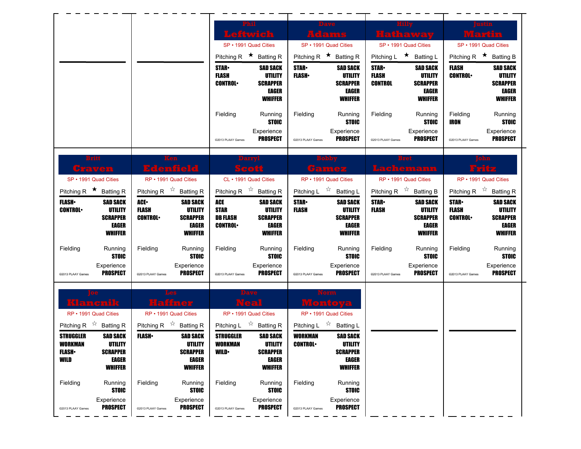|                                                                                                           |                                                                                                         | Phil<br>Leftwich                                                                       |                                                              |                                                                                      | <b>Dave</b><br>Adams                                         |                                                         | Hilly<br><b>Hathaway</b>                                           |                                              | Wartin                                                                         |
|-----------------------------------------------------------------------------------------------------------|---------------------------------------------------------------------------------------------------------|----------------------------------------------------------------------------------------|--------------------------------------------------------------|--------------------------------------------------------------------------------------|--------------------------------------------------------------|---------------------------------------------------------|--------------------------------------------------------------------|----------------------------------------------|--------------------------------------------------------------------------------|
|                                                                                                           |                                                                                                         | SP · 1991 Quad Cities<br>Pitching R $\star$ Batting R<br><b>STAR</b>                   | <b>SAD SACK</b>                                              | SP • 1991 Quad Cities<br>Pitching R $\star$ Batting R<br><b>STAR-</b>                | <b>SAD SACK</b>                                              | <b>STAR</b>                                             | SP · 1991 Quad Cities<br>Pitching L ★ Batting L<br><b>SAD SACK</b> | Pitching R $\star$ Batting B<br><b>FLASH</b> | SP • 1991 Quad Cities<br><b>SAD SACK</b>                                       |
|                                                                                                           |                                                                                                         | <b>FLASH</b><br><b>CONTROL</b>                                                         | <b>UTILITY</b><br><b>SCRAPPER</b><br>EAGER<br><b>WHIFFER</b> | <b>FLASH</b>                                                                         | <b>UTILITY</b><br><b>SCRAPPER</b><br>EAGER<br><b>WHIFFER</b> | <b>FLASH</b><br><b>CONTROL</b>                          | UTILITY<br><b>SCRAPPER</b><br><b>EAGER</b><br><b>WHIFFER</b>       | <b>CONTROL</b>                               | <b>UTILITY</b><br><b>SCRAPPER</b><br>EAGER<br><b>WHIFFER</b>                   |
|                                                                                                           |                                                                                                         | Fielding<br>@2013 PLAAY Games                                                          | Running<br><b>STOIC</b><br>Experience<br>PROSPECT            | Fielding<br>@2013 PLAAY Games                                                        | Running<br><b>STOIC</b><br>Experience<br><b>PROSPECT</b>     | Fielding<br>@2013 PLAAY Games                           | Running<br><b>STOIC</b><br>Experience<br>PROSPECT                  | Fielding<br>IRON<br>@2013 PLAAY Games        | Running<br><b>STOIC</b><br>Experience<br><b>PROSPECT</b>                       |
| <b>Britt</b><br>Craven<br>SP • 1991 Quad Cities                                                           | Ken<br><b>Edenfield</b><br>RP • 1991 Quad Cities                                                        | Darryl<br>Scott<br>CL · 1991 Quad Cities                                               |                                                              | RP • 1991 Quad Cities                                                                | samez                                                        |                                                         | Lachemann<br>RP · 1991 Quad Cities                                 |                                              | 33132<br>RP • 1991 Quad Cities                                                 |
| Pitching R $\star$ Batting R<br><b>FLASH</b><br><b>SAD SACK</b><br><b>UTILITY</b><br><b>CONTROL</b>       | Pitching R $\overrightarrow{x}$ Batting R<br>ACE.<br><b>SAD SACK</b><br>FLASH<br>UTILITY                | Pitching R $\overrightarrow{x}$ Batting R<br>ACE<br><b>STAR</b>                        | <b>SAD SACK</b><br><b>UTILITY</b>                            | Pitching L $\sqrt[4]{x}$<br><b>STAR</b><br><b>FLASH</b>                              | <b>Batting L</b><br><b>SAD SACK</b><br><b>UTILITY</b>        | Pitching R $\sqrt[3]{x}$<br><b>STAR</b><br><b>FLASH</b> | <b>Batting B</b><br><b>SAD SACK</b><br>UTILITY                     | <b>STAR-</b><br><b>FLASH</b>                 | Pitching R $\overrightarrow{x}$ Batting R<br><b>SAD SACK</b><br><b>UTILITY</b> |
| <b>SCRAPPER</b><br><b>EAGER</b><br><b>WHIFFER</b>                                                         | <b>CONTROL</b><br><b>SCRAPPER</b><br><b>EAGER</b><br><b>WHIFFER</b>                                     | <b>DB FLASH</b><br><b>CONTROL</b>                                                      | <b>SCRAPPER</b><br>EAGER<br><b>WHIFFER</b>                   |                                                                                      | <b>SCRAPPER</b><br><b>EAGER</b><br><b>WHIFFER</b>            |                                                         | <b>SCRAPPER</b><br><b>EAGER</b><br><b>WHIFFER</b>                  | <b>CONTROL</b>                               | <b>SCRAPPER</b><br><b>EAGER</b><br><b>WHIFFER</b>                              |
| Fielding<br>Running<br><b>STOIC</b><br>Experience<br><b>PROSPECT</b>                                      | Fielding<br>Running<br><b>STOIC</b><br>Experience<br><b>PROSPECT</b>                                    | Fielding                                                                               | Running<br><b>STOIC</b><br>Experience<br><b>PROSPECT</b>     | Fielding                                                                             | Running<br><b>STOIC</b><br>Experience<br><b>PROSPECT</b>     | Fielding                                                | Running<br><b>STOIC</b><br>Experience<br><b>PROSPECT</b>           | Fielding                                     | Running<br><b>STOIC</b><br>Experience<br><b>PROSPECT</b>                       |
| @2013 PLAAY Games<br>Klancnik                                                                             | @2013 PLAAY Games<br>Haffner                                                                            | @2013 PLAAY Games<br>Dave<br>Neal                                                      |                                                              | @2013 PLAAY Games<br>Montoya                                                         |                                                              | @2013 PLAAY Games                                       |                                                                    | @2013 PLAAY Games                            |                                                                                |
| RP • 1991 Quad Cities<br>Pitching R $\overrightarrow{x}$ Batting R<br><b>STRUGGLER</b><br><b>SAD SACK</b> | RP • 1991 Quad Cities<br>Pitching R $\overrightarrow{x}$ Batting R<br><b>FLASH</b> •<br><b>SAD SACK</b> | RP • 1991 Quad Cities<br>Pitching L $\overrightarrow{2}$ Batting R<br><b>STRUGGLER</b> | <b>SAD SACK</b>                                              | RP • 1991 Quad Cities<br>Pitching L $\overrightarrow{x}$ Batting L<br><b>WORKMAN</b> | <b>SAD SACK</b>                                              |                                                         |                                                                    |                                              |                                                                                |
| WORKMAN<br>UTILITY<br><b>SCRAPPER</b><br><b>FLASH</b><br><b>EAGER</b><br>WILD<br><b>WHIFFER</b>           | UTILITY<br><b>SCRAPPER</b><br><b>EAGER</b><br><b>WHIFFER</b>                                            | WORKMAN<br><b>WILD</b>                                                                 | UTILITY<br><b>SCRAPPER</b><br>EAGER<br><b>WHIFFER</b>        | <b>CONTROL</b>                                                                       | UTILITY<br><b>SCRAPPER</b><br>EAGER<br><b>WHIFFER</b>        |                                                         |                                                                    |                                              |                                                                                |
| Fielding<br>Running                                                                                       | Fielding<br>Running                                                                                     | Fielding                                                                               | Running                                                      | Fielding                                                                             | Running                                                      |                                                         |                                                                    |                                              |                                                                                |
| <b>STOIC</b><br>Experience                                                                                | <b>STOIC</b><br>Experience                                                                              |                                                                                        | <b>STOIC</b><br>Experience                                   |                                                                                      | <b>STOIC</b><br>Experience                                   |                                                         |                                                                    |                                              |                                                                                |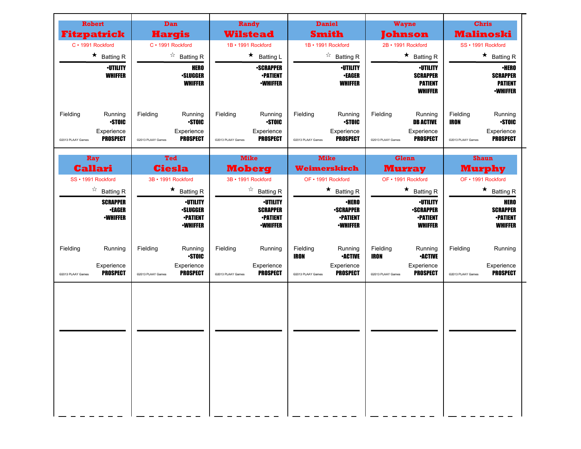| <b>Robert</b><br><b>Fitzpatrick</b>         |                                                        | Dan<br><b>Hargis</b>                |                                                                                 |                               | Randy<br><b>Wilstead</b>                                                 | <b>Daniel</b><br><b>Smith</b>                |                                                                        |                                              | <b>Wayne</b><br>Johnson                                                  |                                              | <b>Chris</b><br><b>Malinoski</b>                                     |
|---------------------------------------------|--------------------------------------------------------|-------------------------------------|---------------------------------------------------------------------------------|-------------------------------|--------------------------------------------------------------------------|----------------------------------------------|------------------------------------------------------------------------|----------------------------------------------|--------------------------------------------------------------------------|----------------------------------------------|----------------------------------------------------------------------|
| C · 1991 Rockford                           |                                                        | C · 1991 Rockford                   |                                                                                 | 1B · 1991 Rockford            |                                                                          | 1B · 1991 Rockford                           |                                                                        |                                              | 2B · 1991 Rockford                                                       |                                              | SS · 1991 Rockford                                                   |
| $\star$ Batting R                           |                                                        |                                     | $\overrightarrow{a}$ Batting R                                                  |                               | $\star$ Batting L                                                        |                                              | $\overrightarrow{a}$ Batting R                                         |                                              | $\star$ Batting R                                                        |                                              | $\star$ Batting R                                                    |
|                                             | <b>·UTILITY</b><br><b>WHIFFER</b>                      |                                     | <b>HERO</b><br><b>·SLUGGER</b><br><b>WHIFFER</b>                                |                               | <b>-SCRAPPER</b><br><b>-PATIENT</b><br><b>-WHIFFER</b>                   |                                              | <b>·UTILITY</b><br><b>•EAGER</b><br><b>WHIFFER</b>                     |                                              | <b>·UTILITY</b><br><b>SCRAPPER</b><br><b>PATIENT</b><br><b>WHIFFER</b>   |                                              | <b>·HERO</b><br><b>SCRAPPER</b><br><b>PATIENT</b><br><b>-WHIFFER</b> |
| Fielding<br>Experience<br>@2013 PLAAY Games | Running<br>Fielding<br><b>STOIC</b><br><b>PROSPECT</b> | @2013 PLAAY Games                   | Running<br><b>STOIC</b><br>Experience<br><b>PROSPECT</b>                        | Fielding<br>@2013 PLAAY Games | Running<br><b>STOIC</b><br>Experience<br><b>PROSPECT</b>                 | Fielding<br>@2013 PLAAY Games                | Running<br><b>STOIC</b><br>Experience<br><b>PROSPECT</b>               | Fielding<br>@2013 PLAAY Games                | Running<br><b>DB ACTIVE</b><br>Experience<br><b>PROSPECT</b>             | Fielding<br><b>IRON</b><br>@2013 PLAAY Games | Running<br><b>STOIC</b><br>Experience<br><b>PROSPECT</b>             |
| Ray<br><b>Callari</b>                       |                                                        | <b>Ted</b>                          |                                                                                 | <b>Mike</b>                   |                                                                          | <b>Mike</b>                                  |                                                                        |                                              | <b>Glenn</b>                                                             |                                              | <b>Shaun</b>                                                         |
| SS · 1991 Rockford                          |                                                        | <b>Ciesla</b><br>3B · 1991 Rockford |                                                                                 | 3B · 1991 Rockford            | <b>Moberg</b>                                                            | Weimerskirch<br>OF • 1991 Rockford           |                                                                        |                                              | <b>Murray</b><br>OF • 1991 Rockford                                      |                                              | <b>Murphy</b><br>OF • 1991 Rockford                                  |
| $\overrightarrow{a}$ Batting R              |                                                        |                                     | $\star$ Batting R                                                               |                               | $\overrightarrow{a}$ Batting R                                           |                                              | $\star$<br><b>Batting R</b>                                            |                                              | $\star$ Batting R                                                        |                                              | $\star$ Batting R                                                    |
|                                             | <b>SCRAPPER</b><br><b>•EAGER</b><br><b>·WHIFFER</b>    |                                     | <b><i>•UTILITY</i></b><br><b>·SLUGGER</b><br><b>•PATIENT</b><br><b>-WHIFFER</b> |                               | <b>•UTILITY</b><br><b>SCRAPPER</b><br><b>-PATIENT</b><br><b>-WHIFFER</b> |                                              | <b>·HERO</b><br><b>-SCRAPPER</b><br><b>-PATIENT</b><br><b>•WHIFFER</b> |                                              | <b>·UTILITY</b><br><b>•SCRAPPER</b><br><b>-PATIENT</b><br><b>WHIFFER</b> |                                              | <b>HERO</b><br><b>SCRAPPER</b><br><b>•PATIENT</b><br><b>WHIFFER</b>  |
| Fielding<br>Experience<br>@2013 PLAAY Games | Running<br>Fielding<br><b>PROSPECT</b>                 | @2013 PLAAY Games                   | Running<br><b>STOIC</b><br>Experience<br><b>PROSPECT</b>                        | Fielding<br>@2013 PLAAY Games | Running<br>Experience<br><b>PROSPECT</b>                                 | Fielding<br><b>IRON</b><br>@2013 PLAAY Games | Running<br><b>•ACTIVE</b><br>Experience<br><b>PROSPECT</b>             | Fielding<br><b>IRON</b><br>@2013 PLAAY Games | Running<br><b>•ACTIVE</b><br>Experience<br><b>PROSPECT</b>               | Fielding<br>@2013 PLAAY Games                | Running<br>Experience<br><b>PROSPECT</b>                             |
|                                             |                                                        |                                     |                                                                                 |                               |                                                                          |                                              |                                                                        |                                              |                                                                          |                                              |                                                                      |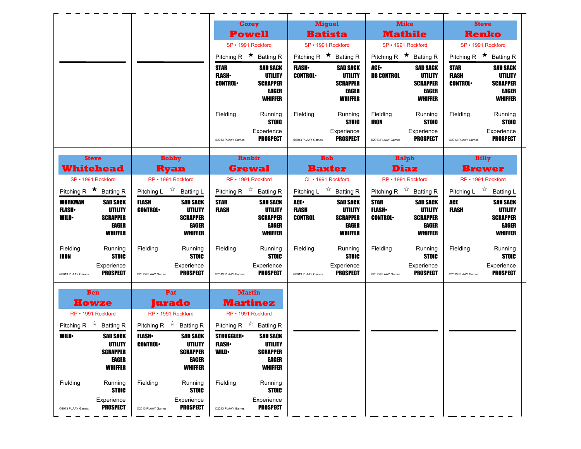|                                                                                                                                                                                                                                                                                                          | <b>Corey</b>                                                                                                                                                                      | <b>Miguel</b>                                                                                                | <b>Mike</b>                                                                                           | <b>Steve</b>                                                                                                                     |
|----------------------------------------------------------------------------------------------------------------------------------------------------------------------------------------------------------------------------------------------------------------------------------------------------------|-----------------------------------------------------------------------------------------------------------------------------------------------------------------------------------|--------------------------------------------------------------------------------------------------------------|-------------------------------------------------------------------------------------------------------|----------------------------------------------------------------------------------------------------------------------------------|
|                                                                                                                                                                                                                                                                                                          | <b>Powell</b>                                                                                                                                                                     | <b>Batista</b>                                                                                               | <b>Mathile</b>                                                                                        | <b>Renko</b>                                                                                                                     |
|                                                                                                                                                                                                                                                                                                          | SP · 1991 Rockford                                                                                                                                                                | SP · 1991 Rockford                                                                                           | SP · 1991 Rockford                                                                                    | SP · 1991 Rockford                                                                                                               |
|                                                                                                                                                                                                                                                                                                          | Pitching R $\star$ Batting R                                                                                                                                                      | Pitching R $\star$ Batting R                                                                                 | Pitching R $\star$ Batting R                                                                          | Pitching R $\star$ Batting R                                                                                                     |
|                                                                                                                                                                                                                                                                                                          | <b>SAD SACK</b><br><b>STAR</b><br><b>FLASH</b> •<br>UTILITY<br><b>CONTROL</b><br><b>SCRAPPER</b><br>EAGER<br><b>WHIFFER</b>                                                       | <b>FLASH</b> •<br><b>SAD SACK</b><br><b>CONTROL</b><br>UTILITY<br><b>SCRAPPER</b><br>EAGER<br><b>WHIFFER</b> | ACE.<br><b>SAD SACK</b><br><b>DB CONTROL</b><br>UTILITY<br><b>SCRAPPER</b><br>EAGER<br><b>WHIFFER</b> | <b>STAR</b><br><b>SAD SACK</b><br><b>FLASH</b><br>UTILITY<br><b>CONTROL</b><br><b>SCRAPPER</b><br><b>EAGER</b><br><b>WHIFFER</b> |
|                                                                                                                                                                                                                                                                                                          | Fielding<br>Running<br><b>STOIC</b><br>Experience<br><b>PROSPECT</b><br>@2013 PLAAY Games                                                                                         | Fielding<br>Running<br><b>STOIC</b><br>Experience<br><b>PROSPECT</b><br>@2013 PLAAY Games                    | Fielding<br>Running<br><b>STOIC</b><br>IRON<br>Experience<br><b>PROSPECT</b><br>@2013 PLAAY Games     | Fielding<br>Running<br><b>STOIC</b><br>Experience<br><b>PROSPECT</b><br>@2013 PLAAY Games                                        |
| <b>Bobby</b><br><b>Steve</b><br><b>Whitehead</b><br><b>Ryan</b>                                                                                                                                                                                                                                          | Ranbir<br><b>Grewal</b>                                                                                                                                                           | <b>Bob</b><br><b>Baxter</b>                                                                                  | Ralph<br><b>Diaz</b>                                                                                  | <b>Billy</b><br><b>Brewer</b>                                                                                                    |
| RP • 1991 Rockford<br>SP · 1991 Rockford                                                                                                                                                                                                                                                                 | RP · 1991 Rockford                                                                                                                                                                | CL · 1991 Rockford                                                                                           | RP · 1991 Rockford                                                                                    | RP · 1991 Rockford                                                                                                               |
| Pitching L $\overrightarrow{2}$ Batting L<br>Pitching R $\star$ Batting R                                                                                                                                                                                                                                | Pitching R $\overrightarrow{x}$ Batting R                                                                                                                                         | Pitching L $\overrightarrow{x}$ Batting R                                                                    | Pitching R $\overrightarrow{x}$ Batting R                                                             | Pitching L $\overrightarrow{x}$ Batting L                                                                                        |
| <b>FLASH</b><br><b>WORKMAN</b><br><b>SAD SACK</b><br><b>SAD SACK</b><br><b>UTILITY</b><br><b>FLASH</b> •<br>UTILITY<br><b>CONTROL</b>                                                                                                                                                                    | <b>STAR</b><br><b>SAD SACK</b><br><b>UTILITY</b><br><b>FLASH</b>                                                                                                                  | ACE.<br><b>SAD SACK</b><br><b>FLASH</b><br>UTILITY                                                           | <b>STAR</b><br><b>SAD SACK</b><br><b>FLASH</b> •<br>UTILITY                                           | <b>ACE</b><br><b>SAD SACK</b><br><b>UTILITY</b><br><b>FLASH</b>                                                                  |
| <b>SCRAPPER</b><br><b>SCRAPPER</b><br>WILD•<br><b>EAGER</b><br>EAGER<br><b>WHIFFER</b><br><b>WHIFFER</b>                                                                                                                                                                                                 | <b>SCRAPPER</b><br>EAGER<br><b>WHIFFER</b>                                                                                                                                        | <b>CONTROL</b><br><b>SCRAPPER</b><br>EAGER<br><b>WHIFFER</b>                                                 | <b>CONTROL</b><br><b>SCRAPPER</b><br>EAGER<br><b>WHIFFER</b>                                          | <b>SCRAPPER</b><br><b>EAGER</b><br><b>WHIFFER</b>                                                                                |
| Fielding<br>Running<br>Fielding<br>Running<br><b>STOIC</b><br>IRON<br><b>STOIC</b>                                                                                                                                                                                                                       | Fielding<br>Running<br><b>STOIC</b>                                                                                                                                               | Fielding<br>Running<br><b>STOIC</b>                                                                          | Fielding<br>Running<br><b>STOIC</b>                                                                   | Fielding<br>Running<br><b>STOIC</b>                                                                                              |
| Experience<br>Experience<br><b>PROSPECT</b><br><b>PROSPECT</b><br>@2013 PLAAY Games<br>@2013 PLAAY Games                                                                                                                                                                                                 | Experience<br><b>PROSPECT</b><br>@2013 PLAAY Games                                                                                                                                | Experience<br><b>PROSPECT</b><br>@2013 PLAAY Games                                                           | Experience<br><b>PROSPECT</b><br>@2013 PLAAY Games                                                    | Experience<br><b>PROSPECT</b><br>@2013 PLAAY Games                                                                               |
| Pat<br><b>Ben</b><br>Jurado<br><b>Howze</b>                                                                                                                                                                                                                                                              | <b>Martin</b><br><b>Martinez</b>                                                                                                                                                  |                                                                                                              |                                                                                                       |                                                                                                                                  |
| RP • 1991 Rockford<br>RP · 1991 Rockford                                                                                                                                                                                                                                                                 | RP · 1991 Rockford                                                                                                                                                                |                                                                                                              |                                                                                                       |                                                                                                                                  |
| Pitching R $\overrightarrow{x}$ Batting R<br>Pitching R $\overrightarrow{x}$ Batting R<br><b>SAD SACK</b><br><b>FLASH</b><br><b>SAD SACK</b><br><b>WILD•</b><br>UTILITY<br><b>CONTROL•</b><br>UTILITY<br><b>SCRAPPER</b><br><b>SCRAPPER</b><br>EAGER<br><b>EAGER</b><br><b>WHIFFER</b><br><b>WHIFFER</b> | Pitching R $\overrightarrow{x}$ Batting R<br><b>STRUGGLER</b><br><b>SAD SACK</b><br><b>FLASH</b> •<br>UTILITY<br><b>SCRAPPER</b><br><b>WILD</b><br><b>EAGER</b><br><b>WHIFFER</b> |                                                                                                              |                                                                                                       |                                                                                                                                  |
| Fielding<br>Fielding<br>Running<br>Running<br><b>STOIC</b><br><b>STOIC</b><br>Experience<br>Experience<br><b>PROSPECT</b><br><b>PROSPECT</b><br>@2013 PLAAY Games<br>@2013 PLAAY Games                                                                                                                   | Fielding<br>Running<br><b>STOIC</b><br>Experience<br><b>PROSPECT</b><br>@2013 PLAAY Games                                                                                         |                                                                                                              |                                                                                                       |                                                                                                                                  |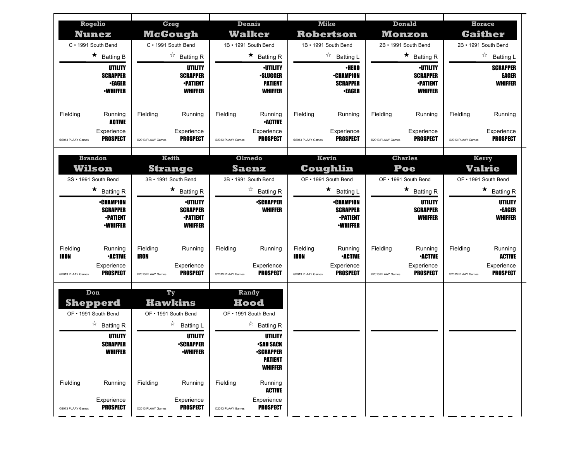| Rogelio<br><b>Nunez</b>                            | <b>Greg</b><br>McGough                             | Dennis<br><b>Walker</b>                            | <b>Mike</b><br><b>Robertson</b>                    | <b>Donald</b><br><b>Monzon</b>                     | <b>Horace</b><br><b>Gaither</b>                    |
|----------------------------------------------------|----------------------------------------------------|----------------------------------------------------|----------------------------------------------------|----------------------------------------------------|----------------------------------------------------|
| C · 1991 South Bend                                | C · 1991 South Bend                                | 1B · 1991 South Bend                               | 1B · 1991 South Bend<br>☆                          | 2B · 1991 South Bend                               | 2B · 1991 South Bend<br>☆                          |
| $\star$ Batting B<br>UTILITY                       | $\overrightarrow{a}$ Batting R<br><b>UTILITY</b>   | $\star$ Batting R<br><b><i>•UTILITY</i></b>        | <b>Batting L</b><br><b>•HERO</b>                   | $\star$ Batting R<br><b>·UTILITY</b>               | <b>Batting L</b><br><b>SCRAPPER</b>                |
| <b>SCRAPPER</b>                                    | <b>SCRAPPER</b>                                    | ∙SLUGGER                                           | <b>•CHAMPION</b>                                   | <b>SCRAPPER</b>                                    | EAGER                                              |
| <b>•EAGER</b><br><b>-WHIFFER</b>                   | <b>•PATIENT</b><br><b>WHIFFER</b>                  | <b>PATIENT</b><br><b>WHIFFER</b>                   | <b>SCRAPPER</b><br>∙EAGER                          | <b>•PATIENT</b><br><b>WHIFFER</b>                  | <b>WHIFFER</b>                                     |
|                                                    |                                                    |                                                    |                                                    |                                                    |                                                    |
| Fielding<br>Running<br><b>ACTIVE</b>               | Fielding<br>Running                                | Fielding<br>Running<br><b>•ACTIVE</b>              | Fielding<br>Running                                | Fielding<br>Running                                | Fielding<br>Running                                |
| Experience<br><b>PROSPECT</b>                      | Experience<br><b>PROSPECT</b>                      | Experience<br><b>PROSPECT</b>                      | Experience<br><b>PROSPECT</b>                      | Experience<br><b>PROSPECT</b>                      | Experience<br><b>PROSPECT</b>                      |
| @2013 PLAAY Games                                  | @2013 PLAAY Games                                  | @2013 PLAAY Games                                  | @2013 PLAAY Games                                  | @2013 PLAAY Games                                  | @2013 PLAAY Games                                  |
| <b>Brandon</b>                                     | <b>Keith</b>                                       | Olmedo                                             | Kevin                                              | <b>Charles</b>                                     | Kerry                                              |
| Wilson                                             | <b>Strange</b>                                     | <b>Saenz</b>                                       | Coughlin                                           | Poe                                                | Valrie                                             |
| SS · 1991 South Bend                               | 3B · 1991 South Bend                               | 3B · 1991 South Bend                               | OF • 1991 South Bend                               | OF • 1991 South Bend                               | OF . 1991 South Bend                               |
| $\star$ Batting R<br><b>•CHAMPION</b>              | $\star$ Batting R                                  | ☆<br><b>Batting R</b><br><b>-SCRAPPER</b>          | ★<br>Batting L                                     | *<br><b>Batting R</b>                              | $\star$ Batting R                                  |
| <b>SCRAPPER</b>                                    | ∙UTILITY<br><b>SCRAPPER</b>                        | <b>WHIFFER</b>                                     | <b>•CHAMPION</b><br><b>SCRAPPER</b>                | UTILITY<br><b>SCRAPPER</b>                         | UTILITY<br><b>•EAGER</b>                           |
|                                                    |                                                    |                                                    |                                                    |                                                    |                                                    |
| <b>•PATIENT</b>                                    | <b>•PATIENT</b>                                    |                                                    | <b>-PATIENT</b>                                    | <b>WHIFFER</b>                                     | <b>WHIFFER</b>                                     |
| <b>-WHIFFER</b>                                    | <b>WHIFFER</b>                                     |                                                    | <b>•WHIFFER</b>                                    |                                                    |                                                    |
| Fielding<br>Running                                | Fielding<br>Running                                | Fielding<br>Running                                | Fielding<br>Running                                | Fielding<br>Running                                | Fielding<br>Running                                |
| <b>IRON</b><br><b>•ACTIVE</b>                      | <b>IRON</b>                                        |                                                    | <b>IRON</b><br><b>-ACTIVE</b>                      | <b>•ACTIVE</b>                                     | <b>ACTIVE</b>                                      |
| Experience<br><b>PROSPECT</b><br>@2013 PLAAY Games | Experience<br><b>PROSPECT</b><br>@2013 PLAAY Games | Experience<br><b>PROSPECT</b><br>@2013 PLAAY Games | Experience<br><b>PROSPECT</b><br>@2013 PLAAY Games | Experience<br><b>PROSPECT</b><br>@2013 PLAAY Games | Experience<br><b>PROSPECT</b><br>@2013 PLAAY Games |
|                                                    |                                                    |                                                    |                                                    |                                                    |                                                    |
| Don                                                | Ty                                                 | Randy                                              |                                                    |                                                    |                                                    |
| <b>Shepperd</b>                                    | <b>Hawkins</b>                                     | Hood<br>OF • 1991 South Bend                       |                                                    |                                                    |                                                    |
| OF • 1991 South Bend                               | OF • 1991 South Bend<br>☆                          |                                                    |                                                    |                                                    |                                                    |
| $\overrightarrow{a}$ Batting R<br><b>UTILITY</b>   | <b>Batting L</b><br>UTILITY                        | $\overrightarrow{a}$ Batting R<br>UTILITY          |                                                    |                                                    |                                                    |
| <b>SCRAPPER</b>                                    | <b>•SCRAPPER</b>                                   | •SAD SACK                                          |                                                    |                                                    |                                                    |
| <b>WHIFFER</b>                                     | <b>-WHIFFER</b>                                    | <b>-SCRAPPER</b><br><b>PATIENT</b>                 |                                                    |                                                    |                                                    |
|                                                    |                                                    | <b>WHIFFER</b>                                     |                                                    |                                                    |                                                    |
| Fielding<br>Running                                | Fielding<br>Running                                | Fielding<br>Running<br>ACTIVE                      |                                                    |                                                    |                                                    |
| Experience<br><b>PROSPECT</b><br>@2013 PLAAY Games | Experience<br><b>PROSPECT</b><br>@2013 PLAAY Games | Experience<br><b>PROSPECT</b><br>@2013 PLAAY Games |                                                    |                                                    |                                                    |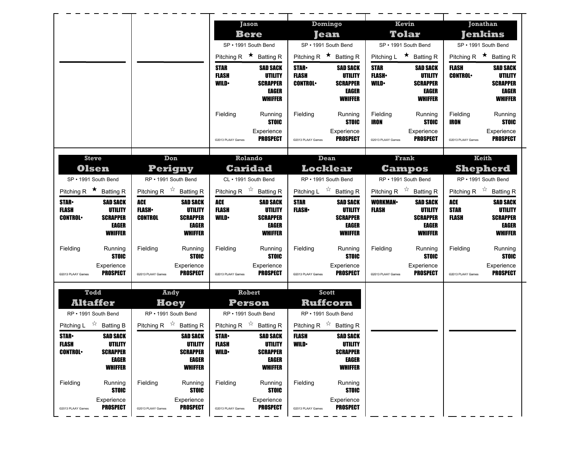|                                           |                               |                   |                                           |                                           | <b>Jason</b>                        | Domingo                                   |                                     |                             | Kevin                                |                   | <b>Jonathan</b>                           |
|-------------------------------------------|-------------------------------|-------------------|-------------------------------------------|-------------------------------------------|-------------------------------------|-------------------------------------------|-------------------------------------|-----------------------------|--------------------------------------|-------------------|-------------------------------------------|
|                                           |                               |                   |                                           |                                           | <b>Bere</b><br>SP • 1991 South Bend |                                           | <b>Jean</b><br>SP · 1991 South Bend |                             | <b>Tolar</b><br>SP · 1991 South Bend |                   | Jenkins<br>SP · 1991 South Bend           |
|                                           |                               |                   |                                           | Pitching R $\star$ Batting R              |                                     | Pitching R $\star$ Batting R              |                                     |                             | Pitching L $\star$ Batting R         |                   | Pitching R $\star$ Batting R              |
|                                           |                               |                   |                                           | <b>STAR</b>                               | <b>SAD SACK</b>                     | <b>STAR</b>                               | <b>SAD SACK</b>                     | <b>STAR</b>                 | <b>SAD SACK</b>                      | <b>FLASH</b>      | <b>SAD SACK</b>                           |
|                                           |                               |                   |                                           | <b>FLASH</b><br><b>WILD</b>               | UTILITY<br><b>SCRAPPER</b>          | <b>FLASH</b><br><b>CONTROL</b>            | UTILITY<br><b>SCRAPPER</b>          | <b>FLASH</b><br><b>WILD</b> | UTILITY<br><b>SCRAPPER</b>           | <b>CONTROL</b>    | <b>UTILITY</b><br><b>SCRAPPER</b>         |
|                                           |                               |                   |                                           |                                           | EAGER                               |                                           | EAGER                               |                             | EAGER                                |                   | EAGER                                     |
|                                           |                               |                   |                                           |                                           | <b>WHIFFER</b>                      |                                           | <b>WHIFFER</b>                      |                             | <b>WHIFFER</b>                       |                   | <b>WHIFFER</b>                            |
|                                           |                               |                   |                                           | Fielding                                  | Running                             | Fielding                                  | Running                             | Fielding                    | Running                              | Fielding          | Running                                   |
|                                           |                               |                   |                                           |                                           | <b>STOIC</b><br>Experience          |                                           | <b>STOIC</b><br>Experience          | <b>IRON</b>                 | <b>STOIC</b><br>Experience           | IRON              | <b>STOIC</b><br>Experience                |
|                                           |                               |                   |                                           | @2013 PLAAY Games                         | <b>PROSPECT</b>                     | @2013 PLAAY Games                         | <b>PROSPECT</b>                     | @2013 PLAAY Games           | <b>PROSPECT</b>                      | @2013 PLAAY Games | PROSPECT                                  |
|                                           |                               |                   |                                           |                                           | Rolando                             |                                           |                                     |                             | Frank                                |                   | Keith                                     |
| <b>Steve</b>                              | <b>Olsen</b>                  |                   | Don<br>Perigny                            |                                           | <b>Caridad</b>                      | Dean<br><b>Locklear</b>                   |                                     |                             | <b>Campos</b>                        |                   | <b>Shepherd</b>                           |
| SP · 1991 South Bend                      |                               |                   | RP • 1991 South Bend                      |                                           | CL · 1991 South Bend                | RP • 1991 South Bend                      |                                     |                             | RP • 1991 South Bend                 |                   | RP · 1991 South Bend                      |
| Pitching R $\star$ Batting R              |                               |                   | Pitching R $\overrightarrow{x}$ Batting R | Pitching R $\overrightarrow{x}$ Batting R |                                     | Pitching L $\overrightarrow{x}$ Batting R |                                     |                             | Pitching R $\overline{x}$ Batting R  |                   | Pitching R $\overrightarrow{x}$ Batting R |
| <b>STAR-</b>                              | <b>SAD SACK</b>               | <b>ACE</b>        | <b>SAD SACK</b>                           | ACE                                       | <b>SAD SACK</b>                     | <b>STAR</b>                               | <b>SAD SACK</b>                     | <b>WORKMAN-</b>             | <b>SAD SACK</b>                      | ACE               | <b>SAD SACK</b>                           |
| <b>FLASH</b>                              | UTILITY                       | <b>FLASH</b>      | UTILITY                                   | <b>FLASH</b>                              | <b>UTILITY</b>                      | <b>FLASH</b> •                            | <b>UTILITY</b>                      | <b>FLASH</b>                | UTILITY                              | <b>STAR</b>       | <b>UTILITY</b>                            |
|                                           |                               |                   |                                           | <b>WILD</b>                               |                                     |                                           |                                     |                             |                                      |                   |                                           |
| <b>CONTROL</b>                            | <b>SCRAPPER</b><br>EAGER      | <b>CONTROL</b>    | <b>SCRAPPER</b><br><b>EAGER</b>           |                                           | <b>SCRAPPER</b><br>EAGER            |                                           | <b>SCRAPPER</b><br>EAGER            |                             | <b>SCRAPPER</b><br><b>EAGER</b>      | <b>FLASH</b>      | <b>SCRAPPER</b><br><b>EAGER</b>           |
|                                           | <b>WHIFFER</b>                |                   | <b>WHIFFER</b>                            |                                           | <b>WHIFFER</b>                      |                                           | <b>WHIFFER</b>                      |                             | <b>WHIFFER</b>                       |                   | <b>WHIFFER</b>                            |
| Fielding                                  | Running                       | Fielding          | Running                                   | Fielding                                  | Running                             | Fielding                                  | Running                             | Fielding                    | Running                              | Fielding          | Running                                   |
|                                           | <b>STOIC</b>                  |                   | <b>STOIC</b>                              |                                           | <b>STOIC</b>                        |                                           | <b>STOIC</b>                        |                             | <b>STOIC</b>                         |                   | <b>STOIC</b>                              |
| @2013 PLAAY Games                         | Experience<br><b>PROSPECT</b> | @2013 PLAAY Games | Experience<br><b>PROSPECT</b>             | @2013 PLAAY Games                         | Experience<br><b>PROSPECT</b>       | @2013 PLAAY Games                         | Experience<br><b>PROSPECT</b>       | @2013 PLAAY Games           | Experience<br><b>PROSPECT</b>        | @2013 PLAAY Games | Experience<br>PROSPECT                    |
|                                           |                               |                   |                                           |                                           |                                     |                                           |                                     |                             |                                      |                   |                                           |
| Todd                                      |                               |                   | <b>Andy</b>                               |                                           | Robert                              | <b>Scott</b>                              |                                     |                             |                                      |                   |                                           |
| RP • 1991 South Bend                      | <b>Altaffer</b>               |                   | Hoey<br>RP . 1991 South Bend              |                                           | Person<br>RP • 1991 South Bend      | Ruffcorn<br>RP · 1991 South Bend          |                                     |                             |                                      |                   |                                           |
| Pitching L $\overrightarrow{x}$ Batting B |                               |                   | Pitching R $\overrightarrow{A}$ Batting R | Pitching R $\overrightarrow{x}$ Batting R |                                     | Pitching R $\overrightarrow{x}$ Batting R |                                     |                             |                                      |                   |                                           |
| <b>STAR</b>                               | <b>SAD SACK</b>               |                   | <b>SAD SACK</b>                           | <b>STAR</b>                               | <b>SAD SACK</b>                     | <b>FLASH</b>                              | <b>SAD SACK</b>                     |                             |                                      |                   |                                           |
| FLASH                                     | UTILITY                       |                   | UTILITY                                   | FLASH                                     | UTILITY                             | WILD•                                     | UTILITY                             |                             |                                      |                   |                                           |
| <b>CONTROL</b>                            | <b>SCRAPPER</b><br>EAGER      |                   | <b>SCRAPPER</b><br><b>EAGER</b>           | <b>WILD</b>                               | <b>SCRAPPER</b><br>EAGER            |                                           | <b>SCRAPPER</b><br>EAGER            |                             |                                      |                   |                                           |
|                                           | <b>WHIFFER</b>                |                   | <b>WHIFFER</b>                            |                                           | <b>WHIFFER</b>                      |                                           | <b>WHIFFER</b>                      |                             |                                      |                   |                                           |
| Fielding                                  | Running                       | Fielding          | Running                                   | Fielding                                  | Running                             | Fielding                                  | Running                             |                             |                                      |                   |                                           |
|                                           | <b>STOIC</b>                  |                   | <b>STOIC</b>                              |                                           | <b>STOIC</b>                        |                                           | <b>STOIC</b>                        |                             |                                      |                   |                                           |
| @2013 PLAAY Games                         | Experience<br><b>PROSPECT</b> | ©2013 PLAAY Games | Experience<br><b>PROSPECT</b>             | @2013 PLAAY Games                         | Experience<br><b>PROSPECT</b>       | @2013 PLAAY Games                         | Experience<br><b>PROSPECT</b>       |                             |                                      |                   |                                           |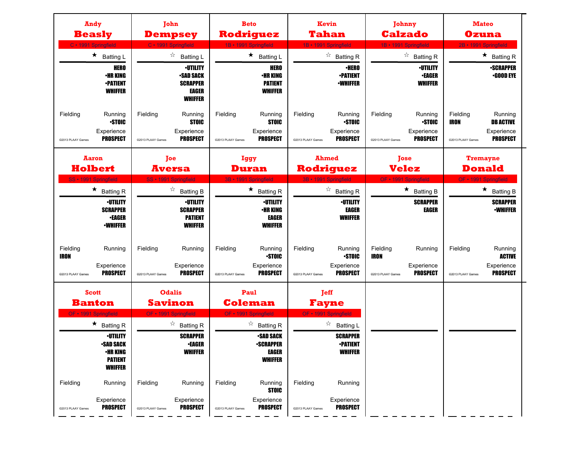| <b>Andy</b><br><b>Beasly</b><br>C · 1991 Springfield |                                                                                                                 | John<br><b>Dempsey</b><br>C · 1991 Springfield |                                                                                                      | <b>Beto</b><br>Rodriguez<br>1B · 1991 Springfield |                                                                                                   | <b>Kevin</b><br>Tahan<br>1B - 1991 Springfield |                                                                               | Johnny<br><b>Calzado</b><br>1B · 1991 Springfield |                                                          | <b>Mateo</b><br><b>Ozuna</b><br>2B · 1991 Springfield |                                                              |
|------------------------------------------------------|-----------------------------------------------------------------------------------------------------------------|------------------------------------------------|------------------------------------------------------------------------------------------------------|---------------------------------------------------|---------------------------------------------------------------------------------------------------|------------------------------------------------|-------------------------------------------------------------------------------|---------------------------------------------------|----------------------------------------------------------|-------------------------------------------------------|--------------------------------------------------------------|
|                                                      | $\star$<br><b>Batting L</b>                                                                                     |                                                | ☆<br><b>Batting L</b>                                                                                |                                                   | $\star$ Batting L                                                                                 |                                                | $\overrightarrow{a}$ Batting R                                                |                                                   | $\overrightarrow{a}$ Batting R                           |                                                       | $\star$ Batting R                                            |
|                                                      | <b>HERO</b><br><b>•HR KING</b><br><b>•PATIENT</b><br><b>WHIFFER</b>                                             |                                                | <b>•UTILITY</b><br><b>•SAD SACK</b><br><b>SCRAPPER</b><br><b>EAGER</b><br><b>WHIFFER</b>             |                                                   | <b>HERO</b><br><b>•HR KING</b><br><b>PATIENT</b><br><b>WHIFFER</b>                                |                                                | <b>·HERO</b><br><b>-PATIENT</b><br><b>•WHIFFER</b>                            |                                                   | <b>•UTILITY</b><br><b>•EAGER</b><br><b>WHIFFER</b>       |                                                       | <b>•SCRAPPER</b><br>$-$ GOOD EYE                             |
| Fielding<br>@2013 PLAAY Games                        | Running<br><b>STOIC</b><br>Experience<br><b>PROSPECT</b>                                                        | Fielding<br>@2013 PLAAY Games                  | Running<br><b>STOIC</b><br>Experience<br><b>PROSPECT</b>                                             | Fielding<br>@2013 PLAAY Games                     | Running<br><b>STOIC</b><br>Experience<br><b>PROSPECT</b>                                          | Fielding<br>@2013 PLAAY Games                  | Running<br><b>-STOIC</b><br>Experience<br><b>PROSPECT</b>                     | Fielding<br>@2013 PLAAY Games                     | Running<br><b>STOIC</b><br>Experience<br><b>PROSPECT</b> | Fielding<br><b>IRON</b><br>@2013 PLAAY Games          | Running<br><b>DB ACTIVE</b><br>Experience<br><b>PROSPECT</b> |
| <b>Aaron</b><br><b>Holbert</b>                       |                                                                                                                 | <b>Toe</b><br><b>Aversa</b>                    |                                                                                                      | <b>Iggy</b><br><b>Duran</b>                       |                                                                                                   | <b>Ahmed</b><br><b>Rodriguez</b>               |                                                                               | <b>Jose</b><br><b>Velez</b>                       |                                                          | <b>Tremayne</b><br><b>Donald</b>                      |                                                              |
| SS · 1991 Springfield                                | $\star$ Batting R                                                                                               |                                                | SS · 1991 Springfield<br>$\overrightarrow{a}$ Batting B                                              | 3B · 1991 Springfield                             | $\star$ Batting R                                                                                 | 3B · 1991 Springfield                          | $\overrightarrow{a}$ Batting R                                                |                                                   | OF · 1991 Springfield<br>$\star$ Batting B               |                                                       | OF • 1991 Springfield<br>$\star$ Batting B                   |
|                                                      | <b>-UTILITY</b><br><b>SCRAPPER</b><br><b>•EAGER</b><br><b>-WHIFFER</b>                                          |                                                | <b>-UTILITY</b><br><b>SCRAPPER</b><br><b>PATIENT</b><br><b>WHIFFER</b>                               |                                                   | <b>·UTILITY</b><br><b>•HR KING</b><br><b>EAGER</b><br><b>WHIFFER</b>                              |                                                | <b>·UTILITY</b><br>EAGER<br><b>WHIFFER</b>                                    |                                                   | <b>SCRAPPER</b><br><b>EAGER</b>                          |                                                       | <b>SCRAPPER</b><br><b>•WHIFFER</b>                           |
| Fielding<br><b>IRON</b><br>@2013 PLAAY Games         | Running<br>Experience<br><b>PROSPECT</b>                                                                        | Fielding<br>@2013 PLAAY Games                  | Running<br>Experience<br><b>PROSPECT</b>                                                             | Fielding<br>@2013 PLAAY Games                     | Running<br><b>STOIC</b><br>Experience<br><b>PROSPECT</b>                                          | Fielding<br>@2013 PLAAY Games                  | Running<br><b>STOIC</b><br>Experience<br><b>PROSPECT</b>                      | Fielding<br><b>IRON</b><br>@2013 PLAAY Games      | Running<br>Experience<br><b>PROSPECT</b>                 | Fielding<br>@2013 PLAAY Games                         | Running<br><b>ACTIVE</b><br>Experience<br><b>PROSPECT</b>    |
| <b>Scott</b>                                         |                                                                                                                 |                                                | <b>Odalis</b>                                                                                        |                                                   | Paul                                                                                              | <b>Jeff</b>                                    |                                                                               |                                                   |                                                          |                                                       |                                                              |
| <b>Banton</b>                                        |                                                                                                                 | <b>Savinon</b>                                 |                                                                                                      | <b>Coleman</b>                                    |                                                                                                   | <b>Fayne</b><br>OF - 1991 Springfield          |                                                                               |                                                   |                                                          |                                                       |                                                              |
| OF · 1991 Springfield                                | $\star$ Batting R<br><b>·UTILITY</b><br><b>-SAD SACK</b><br><b>•HR KING</b><br><b>PATIENT</b><br><b>WHIFFER</b> |                                                | OF · 1991 Springfield<br>☆<br><b>Batting R</b><br><b>SCRAPPER</b><br><b>•EAGER</b><br><b>WHIFFER</b> | OF • 1991 Springfield                             | $\overrightarrow{a}$ Batting R<br><b>-SAD SACK</b><br><b>•SCRAPPER</b><br>EAGER<br><b>WHIFFER</b> |                                                | ☆<br><b>Batting L</b><br><b>SCRAPPER</b><br><b>-PATIENT</b><br><b>WHIFFER</b> |                                                   |                                                          |                                                       |                                                              |
| Fielding<br>@2013 PLAAY Games                        | Running<br>Experience<br><b>PROSPECT</b>                                                                        | Fielding<br>@2013 PLAAY Games                  | Running<br>Experience<br><b>PROSPECT</b>                                                             | Fielding<br>@2013 PLAAY Games                     | Running<br><b>STOIC</b><br>Experience<br><b>PROSPECT</b>                                          | Fielding<br>@2013 PLAAY Games                  | Running<br>Experience<br><b>PROSPECT</b>                                      |                                                   |                                                          |                                                       |                                                              |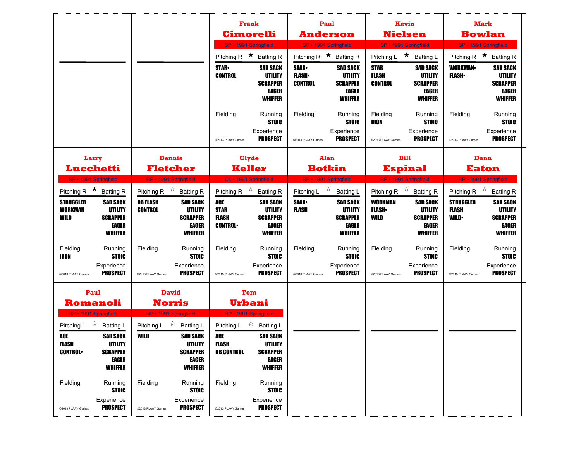|                                                                                                                                                                      |                                                                                                                                                                   | Frank                                                                                                                                                                  | Paul                                                                                                                                                    | Kevin                                                                                                                                                                    | <b>Mark</b>                                                                                                                                                              |  |
|----------------------------------------------------------------------------------------------------------------------------------------------------------------------|-------------------------------------------------------------------------------------------------------------------------------------------------------------------|------------------------------------------------------------------------------------------------------------------------------------------------------------------------|---------------------------------------------------------------------------------------------------------------------------------------------------------|--------------------------------------------------------------------------------------------------------------------------------------------------------------------------|--------------------------------------------------------------------------------------------------------------------------------------------------------------------------|--|
|                                                                                                                                                                      |                                                                                                                                                                   | <b>Cimorelli</b><br>SP · 1991 Springfield                                                                                                                              | <b>Anderson</b><br>SP · 1991 Springfield                                                                                                                | <b>Nielsen</b><br>SP · 1991 Springfield                                                                                                                                  | <b>Bowlan</b><br>SP · 1991 Springfield                                                                                                                                   |  |
|                                                                                                                                                                      |                                                                                                                                                                   | Pitching R $\star$ Batting R                                                                                                                                           | Pitching R $\star$ Batting R                                                                                                                            | Pitching L ★ Batting L                                                                                                                                                   | Pitching R $\star$ Batting R                                                                                                                                             |  |
|                                                                                                                                                                      |                                                                                                                                                                   | <b>STAR-</b><br><b>SAD SACK</b><br><b>CONTROL</b><br>UTILITY<br><b>SCRAPPER</b><br>EAGER<br><b>WHIFFER</b>                                                             | <b>STAR</b><br><b>SAD SACK</b><br><b>FLASH</b><br>UTILITY<br><b>CONTROL</b><br><b>SCRAPPER</b><br>EAGER<br><b>WHIFFER</b>                               | <b>STAR</b><br><b>SAD SACK</b><br><b>FLASH</b><br>UTILITY<br><b>CONTROL</b><br><b>SCRAPPER</b><br>EAGER<br><b>WHIFFER</b>                                                | <b>WORKMAN-</b><br><b>SAD SACK</b><br><b>FLASH</b><br>UTILITY<br><b>SCRAPPER</b><br><b>EAGER</b><br><b>WHIFFER</b>                                                       |  |
|                                                                                                                                                                      |                                                                                                                                                                   | Fielding<br>Running<br><b>STOIC</b><br>Experience<br><b>PROSPECT</b><br>@2013 PLAAY Games                                                                              | Fielding<br>Running<br><b>STOIC</b><br>Experience<br><b>PROSPECT</b><br>@2013 PLAAY Games                                                               | Fielding<br>Running<br><b>STOIC</b><br>IRON<br>Experience<br><b>PROSPECT</b><br>@2013 PLAAY Games                                                                        | Fielding<br>Running<br><b>STOIC</b><br>Experience<br><b>PROSPECT</b><br>@2013 PLAAY Games                                                                                |  |
| Larry<br>Lucchetti                                                                                                                                                   | <b>Dennis</b><br><b>Fletcher</b>                                                                                                                                  | <b>Clyde</b><br><b>Keller</b>                                                                                                                                          | <b>Alan</b><br><b>Botkin</b>                                                                                                                            | <b>Bill</b><br><b>Espinal</b>                                                                                                                                            | Dann<br><b>Eaton</b>                                                                                                                                                     |  |
| SP · 1991 Springfield                                                                                                                                                | RP · 1991 Springfield                                                                                                                                             | CL · 1991 Springfield                                                                                                                                                  | RP · 1991 Springfield                                                                                                                                   | RP · 1991 Springfield                                                                                                                                                    | RP · 1991 Springfield                                                                                                                                                    |  |
| Pitching R $\star$ Batting R<br><b>STRUGGLER</b><br><b>SAD SACK</b><br><b>UTILITY</b><br><b>WORKMAN</b><br><b>SCRAPPER</b><br>WILD<br><b>EAGER</b><br><b>WHIFFER</b> | Pitching R $\overrightarrow{x}$ Batting R<br><b>DB FLASH</b><br><b>SAD SACK</b><br><b>CONTROL</b><br>UTILITY<br><b>SCRAPPER</b><br><b>EAGER</b><br><b>WHIFFER</b> | Pitching R $\overrightarrow{x}$ Batting R<br>ACE<br><b>SAD SACK</b><br><b>STAR</b><br>UTILITY<br>FLASH<br><b>SCRAPPER</b><br><b>CONTROL</b><br>EAGER<br><b>WHIFFER</b> | Pitching L $\overrightarrow{x}$<br>Batting L<br><b>STAR</b><br><b>SAD SACK</b><br><b>FLASH</b><br>UTILITY<br><b>SCRAPPER</b><br>EAGER<br><b>WHIFFER</b> | Pitching R $\overrightarrow{x}$ Batting R<br><b>WORKMAN</b><br><b>SAD SACK</b><br><b>FLASH</b> •<br>UTILITY<br>WILD<br><b>SCRAPPER</b><br><b>EAGER</b><br><b>WHIFFER</b> | Pitching R $\overrightarrow{x}$ Batting R<br><b>STRUGGLER</b><br><b>SAD SACK</b><br>UTILITY<br>FLASH<br><b>SCRAPPER</b><br><b>WILD</b><br><b>EAGER</b><br><b>WHIFFER</b> |  |
| Fielding<br>Running<br><b>IRON</b><br><b>STOIC</b><br>Experience<br><b>PROSPECT</b><br>@2013 PLAAY Games                                                             | Fielding<br>Running<br><b>STOIC</b><br>Experience<br><b>PROSPECT</b><br>@2013 PLAAY Games                                                                         | Fielding<br>Running<br><b>STOIC</b><br>Experience<br><b>PROSPECT</b><br>@2013 PLAAY Games                                                                              | Fielding<br>Running<br><b>STOIC</b><br>Experience<br><b>PROSPECT</b><br>@2013 PLAAY Games                                                               | Fielding<br>Running<br><b>STOIC</b><br>Experience<br><b>PROSPECT</b><br>@2013 PLAAY Games                                                                                | Fielding<br>Running<br><b>STOIC</b><br>Experience<br><b>PROSPECT</b><br>@2013 PLAAY Games                                                                                |  |
| Paul<br><b>Romanoli</b><br>RP · 1991 Springfield                                                                                                                     | <b>David</b><br>Norris<br>RP · 1991 Springfield                                                                                                                   | Tom<br>Urbani<br>RP · 1991 Springfield                                                                                                                                 |                                                                                                                                                         |                                                                                                                                                                          |                                                                                                                                                                          |  |
| Pitching L $\overrightarrow{x}$ Batting L<br>ACE<br><b>SAD SACK</b><br><b>FLASH</b><br>UTILITY<br><b>CONTROL</b><br><b>SCRAPPER</b><br>EAGER<br><b>WHIFFER</b>       | Pitching L $\overrightarrow{2}$ Batting L<br>WILD<br><b>SAD SACK</b><br>UTILITY<br><b>SCRAPPER</b><br>EAGER<br><b>WHIFFER</b>                                     | Pitching L $\overrightarrow{2}$ Batting L<br><b>SAD SACK</b><br>ACE<br>FLASH<br>UTILITY<br><b>DB CONTROL</b><br><b>SCRAPPER</b><br>EAGER<br><b>WHIFFER</b>             |                                                                                                                                                         |                                                                                                                                                                          |                                                                                                                                                                          |  |
| Fielding<br>Running<br><b>STOIC</b><br>Experience<br><b>PROSPECT</b><br>@2013 PLAAY Games                                                                            | Fielding<br>Running<br><b>STOIC</b><br>Experience<br><b>PROSPECT</b><br>@2013 PLAAY Games                                                                         | Fielding<br>Running<br><b>STOIC</b><br>Experience<br><b>PROSPECT</b><br>@2013 PLAAY Games                                                                              |                                                                                                                                                         |                                                                                                                                                                          |                                                                                                                                                                          |  |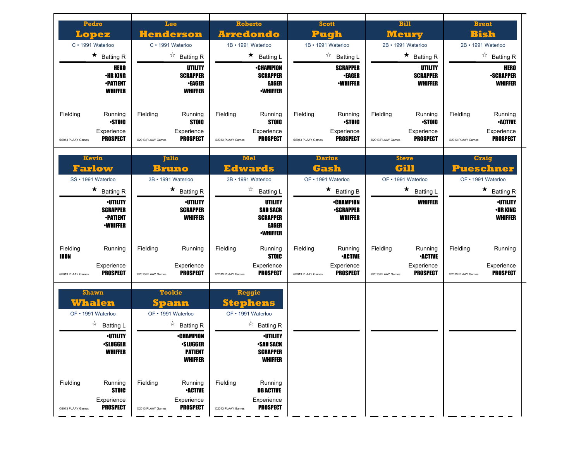| Pedro<br>Lopez<br>C · 1991 Waterloo                                                                                             | Lee<br><b>Henderson</b><br>C · 1991 Waterloo                                                                                                       | <b>Roberto</b><br><b>Arredondo</b><br>1B · 1991 Waterloo                                                                                               | <b>Scott</b><br>Pugh<br>1B · 1991 Waterloo                                                                          | <b>Bill</b><br><b>Meurv</b><br>2B · 1991 Waterloo                                           | <b>Brent</b><br>Bish<br>2B · 1991 Waterloo                                                                                                    |
|---------------------------------------------------------------------------------------------------------------------------------|----------------------------------------------------------------------------------------------------------------------------------------------------|--------------------------------------------------------------------------------------------------------------------------------------------------------|---------------------------------------------------------------------------------------------------------------------|---------------------------------------------------------------------------------------------|-----------------------------------------------------------------------------------------------------------------------------------------------|
| $\star$ Batting R<br><b>HERO</b><br><b>•HR KING</b><br><b>•PATIENT</b><br><b>WHIFFER</b>                                        | $\overrightarrow{a}$ Batting R<br>UTILITY<br><b>SCRAPPER</b><br><b>•EAGER</b><br><b>WHIFFER</b>                                                    | $\star$ Batting L<br>∙CHAMPION<br><b>SCRAPPER</b><br>EAGER<br><b>-WHIFFER</b>                                                                          | ☆<br><b>Batting L</b><br><b>SCRAPPER</b><br><b>•EAGER</b><br><b>·WHIFFER</b>                                        | $\star$ Batting R<br>UTILITY<br><b>SCRAPPER</b><br><b>WHIFFER</b>                           | $\overrightarrow{a}$ Batting R<br>HERO<br><b>-SCRAPPER</b><br><b>WHIFFER</b>                                                                  |
| Fielding<br>Running<br><b>STOIC</b><br>Experience<br><b>PROSPECT</b><br>©2013 PLAAY Games                                       | Fielding<br>Running<br><b>STOIC</b><br>Experience<br><b>PROSPECT</b><br>@2013 PLAAY Games                                                          | Fielding<br>Running<br><b>STOIC</b><br>Experience<br><b>PROSPECT</b><br>@2013 PLAAY Games                                                              | Fielding<br>Running<br><b>STOIC</b><br>Experience<br><b>PROSPECT</b><br>@2013 PLAAY Games                           | Fielding<br>Running<br><b>STOIC</b><br>Experience<br><b>PROSPECT</b><br>@2013 PLAAY Games   | Fielding<br>Running<br><b>•ACTIVE</b><br>Experience<br><b>PROSPECT</b><br>@2013 PLAAY Games                                                   |
| Kevin<br>Farlow<br>SS · 1991 Waterloo<br>$\star$ Batting R<br><b>•UTILITY</b><br><b>SCRAPPER</b><br><b>•PATIENT</b>             | <b>Julio</b><br>Bruno<br>3B · 1991 Waterloo<br>$\star$ Batting R<br><b>•UTILITY</b><br><b>SCRAPPER</b><br><b>WHIFFER</b>                           | <b>Mel</b><br><b>Edwards</b><br>3B · 1991 Waterloo<br>☆<br><b>Batting L</b><br>UTILITY<br><b>SAD SACK</b><br><b>SCRAPPER</b>                           | <b>Darius</b><br>Gash<br>OF • 1991 Waterloo<br>$\star$ Batting B<br>∙CHAMPION<br><b>-SCRAPPER</b><br><b>WHIFFER</b> | <b>Steve</b><br>Gill<br>OF • 1991 Waterloo<br>★.<br><b>Batting L</b><br><b>WHIFFER</b>      | <b>Craig</b><br><b>Pueschner</b><br>OF • 1991 Waterloo<br>$\star$<br><b>Batting R</b><br><b>•UTILITY</b><br><b>•HR KING</b><br><b>WHIFFER</b> |
| <b>-WHIFFER</b><br>Fielding<br>Running<br><b>IRON</b><br>Experience<br><b>PROSPECT</b><br>@2013 PLAAY Games                     | Fielding<br>Running<br>Experience<br>PROSPECT<br>@2013 PLAAY Games                                                                                 | EAGER<br><b>-WHIFFER</b><br>Running<br>Fielding<br><b>STOIC</b><br>Experience<br><b>PROSPECT</b><br>@2013 PLAAY Games                                  | Fielding<br>Running<br><b>•ACTIVE</b><br>Experience<br><b>PROSPECT</b><br>@2013 PLAAY Games                         | Fielding<br>Running<br><b>-ACTIVE</b><br>Experience<br><b>PROSPECT</b><br>@2013 PLAAY Games | Fielding<br>Running<br>Experience<br><b>PROSPECT</b><br>@2013 PLAAY Games                                                                     |
| <b>Shawn</b><br>Whalen<br>OF • 1991 Waterloo<br>$\overrightarrow{a}$ Batting L<br><b>•UTILITY</b><br>∙SLUGGER<br><b>WHIFFER</b> | <b>Tookie</b><br>Spann<br>OF • 1991 Waterloo<br>$\overrightarrow{a}$ Batting R<br><b>•CHAMPION</b><br>∙SLUGGER<br><b>PATIENT</b><br><b>WHIFFER</b> | <b>Reggie</b><br>Stephens<br>OF • 1991 Waterloo<br>$\overrightarrow{a}$ Batting R<br><b>·UTILITY</b><br>•SAD SACK<br><b>SCRAPPER</b><br><b>WHIFFER</b> |                                                                                                                     |                                                                                             |                                                                                                                                               |
| Fielding<br>Running<br><b>STOIC</b><br>Experience<br><b>PROSPECT</b><br>@2013 PLAAY Games                                       | Fielding<br>Running<br><b>-ACTIVE</b><br>Experience<br><b>PROSPECT</b><br>@2013 PLAAY Games                                                        | Fielding<br>Running<br><b>DB ACTIVE</b><br>Experience<br><b>PROSPECT</b><br>@2013 PLAAY Games                                                          |                                                                                                                     |                                                                                             |                                                                                                                                               |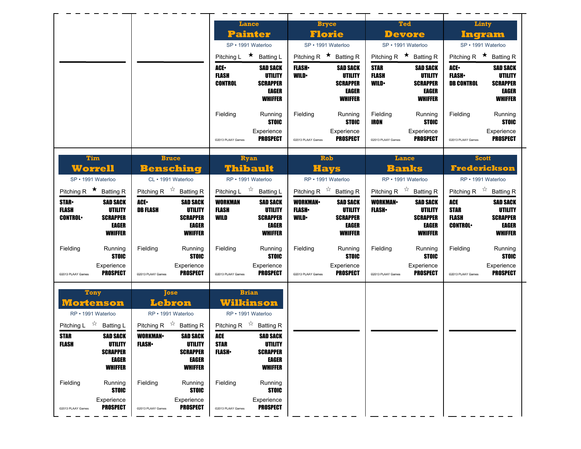|                                                                                                                                               |                                                                                                                                                                  | <b>Lance</b>                                                                      |                                                                                 |                                                 | <b>Bryce</b>                                                                    |                                              | <b>Ted</b>                                                                      |                                                             | Linty                                                                                  |
|-----------------------------------------------------------------------------------------------------------------------------------------------|------------------------------------------------------------------------------------------------------------------------------------------------------------------|-----------------------------------------------------------------------------------|---------------------------------------------------------------------------------|-------------------------------------------------|---------------------------------------------------------------------------------|----------------------------------------------|---------------------------------------------------------------------------------|-------------------------------------------------------------|----------------------------------------------------------------------------------------|
|                                                                                                                                               |                                                                                                                                                                  | <b>Painter</b><br>SP · 1991 Waterloo                                              |                                                                                 |                                                 | <b>Florie</b><br>SP · 1991 Waterloo                                             |                                              | <b>Devore</b><br>SP · 1991 Waterloo                                             |                                                             | Ingram<br>SP · 1991 Waterloo                                                           |
|                                                                                                                                               |                                                                                                                                                                  | Pitching L ★ Batting L                                                            |                                                                                 | Pitching R $\star$ Batting R                    |                                                                                 |                                              | Pitching R $\star$ Batting R                                                    |                                                             | Pitching R $\star$ Batting R                                                           |
|                                                                                                                                               |                                                                                                                                                                  | ACE.<br><b>FLASH</b><br><b>CONTROL</b>                                            | <b>SAD SACK</b><br><b>UTILITY</b><br><b>SCRAPPER</b><br>EAGER<br><b>WHIFFER</b> | <b>FLASH</b> •<br><b>WILD</b>                   | <b>SAD SACK</b><br>UTILITY<br><b>SCRAPPER</b><br>EAGER<br><b>WHIFFER</b>        | <b>STAR</b><br><b>FLASH</b><br><b>WILD</b>   | <b>SAD SACK</b><br>UTILITY<br><b>SCRAPPER</b><br><b>EAGER</b><br><b>WHIFFER</b> | <b>ACE</b><br><b>FLASH</b><br><b>DB CONTROL</b>             | <b>SAD SACK</b><br><b>UTILITY</b><br><b>SCRAPPER</b><br>EAGER<br><b>WHIFFER</b>        |
|                                                                                                                                               |                                                                                                                                                                  | Fielding<br>@2013 PLAAY Games                                                     | Running<br><b>STOIC</b><br>Experience<br><b>PROSPECT</b>                        | Fielding<br>@2013 PLAAY Games                   | Running<br><b>STOIC</b><br>Experience<br><b>PROSPECT</b>                        | Fielding<br><b>IRON</b><br>@2013 PLAAY Games | Running<br><b>STOIC</b><br>Experience<br><b>PROSPECT</b>                        | Fielding<br>@2013 PLAAY Games                               | Running<br><b>STOIC</b><br>Experience<br><b>PROSPECT</b>                               |
| <b>Tim</b><br><b>Worrell</b><br>SP · 1991 Waterloo                                                                                            | <b>Bruce</b><br><b>Bensching</b><br>CL · 1991 Waterloo                                                                                                           | <b>Ryan</b><br>Thibault<br>RP · 1991 Waterloo                                     |                                                                                 |                                                 | <b>Rob</b><br><b>Hays</b><br>RP · 1991 Waterloo                                 |                                              | Lance<br><b>Banks</b><br>RP · 1991 Waterloo                                     |                                                             | <b>Scott</b><br><b>Frederickson</b><br>RP · 1991 Waterloo                              |
| Pitching R $\star$ Batting R                                                                                                                  | Pitching R $\overrightarrow{x}$ Batting R                                                                                                                        | Pitching L                                                                        | $\overrightarrow{a}$ Batting L                                                  |                                                 | Pitching R $\overrightarrow{x}$ Batting R                                       |                                              | Pitching R $\overline{x}$ Batting R                                             |                                                             | Pitching R $\overrightarrow{x}$ Batting R                                              |
| <b>STAR-</b><br><b>SAD SACK</b><br><b>FLASH</b><br><b>UTILITY</b><br><b>CONTROL</b><br><b>SCRAPPER</b><br>EAGER<br><b>WHIFFER</b>             | ACE.<br><b>SAD SACK</b><br><b>DB FLASH</b><br>UTILITY<br><b>SCRAPPER</b><br><b>EAGER</b><br><b>WHIFFER</b>                                                       | <b>WORKMAN</b><br><b>FLASH</b><br>WILD                                            | <b>SAD SACK</b><br><b>UTILITY</b><br><b>SCRAPPER</b><br>EAGER<br><b>WHIFFER</b> | <b>WORKMAN</b><br><b>FLASH</b> •<br><b>WILD</b> | <b>SAD SACK</b><br><b>UTILITY</b><br><b>SCRAPPER</b><br>EAGER<br><b>WHIFFER</b> | <b>WORKMAN-</b><br><b>FLASH</b> •            | <b>SAD SACK</b><br>UTILITY<br><b>SCRAPPER</b><br><b>EAGER</b><br><b>WHIFFER</b> | <b>ACE</b><br><b>STAR</b><br><b>FLASH</b><br><b>CONTROL</b> | <b>SAD SACK</b><br><b>UTILITY</b><br><b>SCRAPPER</b><br><b>EAGER</b><br><b>WHIFFER</b> |
| Fielding<br>Running<br><b>STOIC</b><br>Experience                                                                                             | Fielding<br>Running<br><b>STOIC</b>                                                                                                                              | Fielding                                                                          | Running<br><b>STOIC</b>                                                         | Fielding                                        | Running<br><b>STOIC</b><br>Experience                                           | Fielding                                     | Running<br><b>STOIC</b><br>Experience                                           | Fielding                                                    | Running<br><b>STOIC</b><br>Experience                                                  |
| <b>PROSPECT</b><br>@2013 PLAAY Games                                                                                                          | Experience<br><b>PROSPECT</b><br>@2013 PLAAY Games                                                                                                               | @2013 PLAAY Games                                                                 | Experience<br><b>PROSPECT</b>                                                   | @2013 PLAAY Games                               | <b>PROSPECT</b>                                                                 | @2013 PLAAY Games                            | <b>PROSPECT</b>                                                                 | @2013 PLAAY Games                                           | PROSPECT                                                                               |
| <b>Tony</b><br><u> Mortenson</u><br>RP · 1991 Waterloo                                                                                        | <b>Jose</b><br>Lebron<br>RP · 1991 Waterloo                                                                                                                      | <b>Brian</b><br>Wilkinson<br>RP · 1991 Waterloo                                   |                                                                                 |                                                 |                                                                                 |                                              |                                                                                 |                                                             |                                                                                        |
| Pitching L $\overrightarrow{x}$ Batting L<br><b>SAD SACK</b><br><b>STAR</b><br>FLASH<br>UTILITY<br><b>SCRAPPER</b><br>EAGER<br><b>WHIFFER</b> | Pitching R $\overrightarrow{r}$ Batting R<br><b>WORKMAN-</b><br><b>SAD SACK</b><br><b>FLASH•</b><br>UTILITY<br><b>SCRAPPER</b><br><b>EAGER</b><br><b>WHIFFER</b> | Pitching R $\overrightarrow{x}$ Batting R<br>ACE<br><b>STAR</b><br><b>FLASH</b> • | <b>SAD SACK</b><br>UTILITY<br><b>SCRAPPER</b><br>EAGER<br><b>WHIFFER</b>        |                                                 |                                                                                 |                                              |                                                                                 |                                                             |                                                                                        |
| Fielding<br>Running<br><b>STOIC</b><br>Experience<br><b>PROSPECT</b><br>@2013 PLAAY Games                                                     | Fielding<br>Running<br><b>STOIC</b><br>Experience<br><b>PROSPECT</b><br>@2013 PLAAY Games                                                                        | Fielding<br>@2013 PLAAY Games                                                     | Running<br><b>STOIC</b><br>Experience<br><b>PROSPECT</b>                        |                                                 |                                                                                 |                                              |                                                                                 |                                                             |                                                                                        |